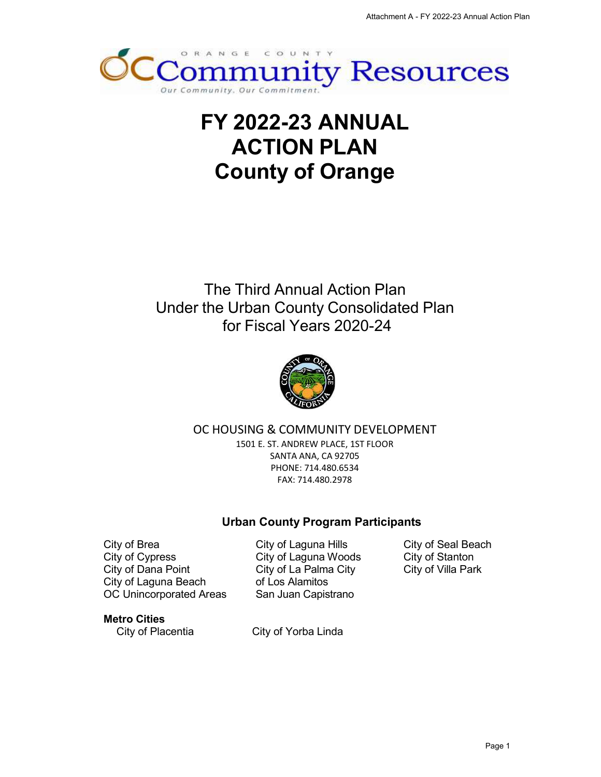

# **FY 2022-23 ANNUAL ACTION PLAN County of Orange**

## The Third Annual Action Plan Under the Urban County Consolidated Plan for Fiscal Years 2020-24



### OC HOUSING & COMMUNITY DEVELOPMENT

1501 E. ST. ANDREW PLACE, 1ST FLOOR SANTA ANA, CA 92705 PHONE: 714.480.6534 FAX: 714.480.2978

### **Urban County Program Participants**

City of Brea City of Seal Beach City of Laguna Hills City of Cypress City of Stanton City of Laguna Woods City of Dana Point **City of La Palma City** City of Villa Park City of Laguna Beach OC Unincorporated Areas San Juan Capistrano

of Los Alamitos

#### **Metro Cities**

City of Placentia City of Yorba Linda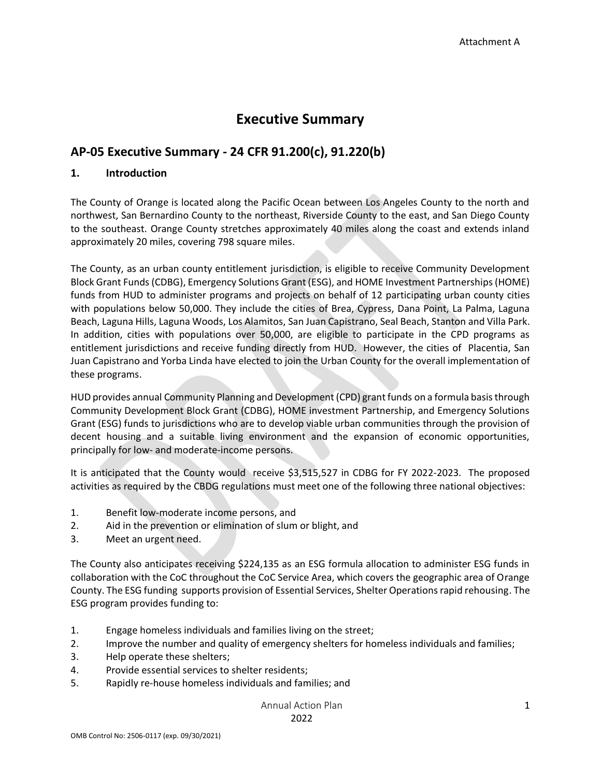## **Executive Summary**

## **AP-05 Executive Summary - 24 CFR 91.200(c), 91.220(b)**

#### **1. Introduction**

The County of Orange is located along the Pacific Ocean between Los Angeles County to the north and northwest, San Bernardino County to the northeast, Riverside County to the east, and San Diego County to the southeast. Orange County stretches approximately 40 miles along the coast and extends inland approximately 20 miles, covering 798 square miles.

The County, as an urban county entitlement jurisdiction, is eligible to receive Community Development Block Grant Funds (CDBG), Emergency Solutions Grant (ESG), and HOME Investment Partnerships (HOME) funds from HUD to administer programs and projects on behalf of 12 participating urban county cities with populations below 50,000. They include the cities of Brea, Cypress, Dana Point, La Palma, Laguna Beach, Laguna Hills, Laguna Woods, Los Alamitos, San Juan Capistrano, Seal Beach, Stanton and Villa Park. In addition, cities with populations over 50,000, are eligible to participate in the CPD programs as entitlement jurisdictions and receive funding directly from HUD. However, the cities of Placentia, San Juan Capistrano and Yorba Linda have elected to join the Urban County for the overall implementation of these programs.

HUD provides annual Community Planning and Development (CPD) grant funds on a formula basis through Community Development Block Grant (CDBG), HOME investment Partnership, and Emergency Solutions Grant (ESG) funds to jurisdictions who are to develop viable urban communities through the provision of decent housing and a suitable living environment and the expansion of economic opportunities, principally for low- and moderate-income persons.

It is anticipated that the County would receive \$3,515,527 in CDBG for FY 2022-2023. The proposed activities as required by the CBDG regulations must meet one of the following three national objectives:

- 1. Benefit low-moderate income persons, and
- 2. Aid in the prevention or elimination of slum or blight, and
- 3. Meet an urgent need.

The County also anticipates receiving \$224,135 as an ESG formula allocation to administer ESG funds in collaboration with the CoC throughout the CoC Service Area, which covers the geographic area of Orange County. The ESG funding supports provision of Essential Services, Shelter Operations rapid rehousing. The ESG program provides funding to:

- 1. Engage homeless individuals and families living on the street;
- 2. Improve the number and quality of emergency shelters for homeless individuals and families;
- 3. Help operate these shelters;
- 4. Provide essential services to shelter residents;
- 5. Rapidly re-house homeless individuals and families; and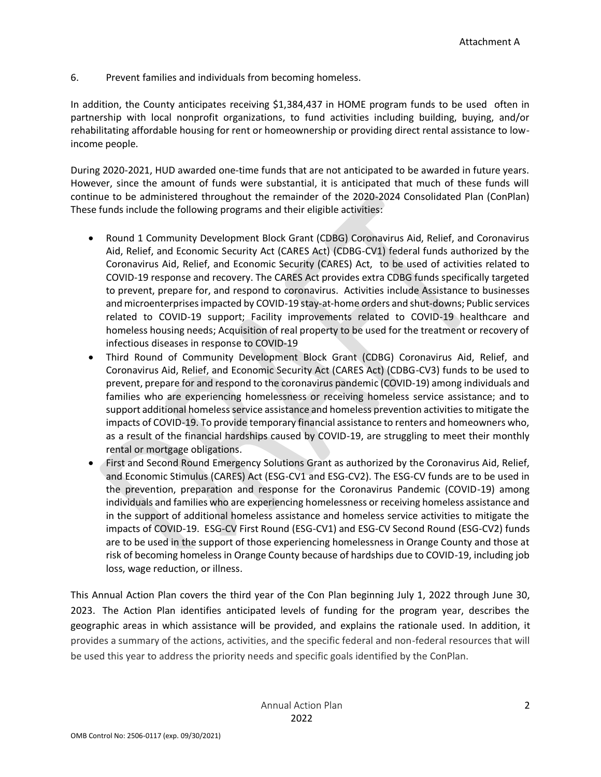6. Prevent families and individuals from becoming homeless.

In addition, the County anticipates receiving \$1,384,437 in HOME program funds to be used often in partnership with local nonprofit organizations, to fund activities including building, buying, and/or rehabilitating affordable housing for rent or homeownership or providing direct rental assistance to lowincome people.

During 2020-2021, HUD awarded one-time funds that are not anticipated to be awarded in future years. However, since the amount of funds were substantial, it is anticipated that much of these funds will continue to be administered throughout the remainder of the 2020-2024 Consolidated Plan (ConPlan) These funds include the following programs and their eligible activities:

- Round 1 Community Development Block Grant (CDBG) Coronavirus Aid, Relief, and Coronavirus Aid, Relief, and Economic Security Act (CARES Act) (CDBG-CV1) federal funds authorized by the Coronavirus Aid, Relief, and Economic Security (CARES) Act, to be used of activities related to COVID-19 response and recovery. The CARES Act provides extra CDBG funds specifically targeted to prevent, prepare for, and respond to coronavirus. Activities include Assistance to businesses and microenterprises impacted by COVID-19 stay-at-home orders and shut-downs; Public services related to COVID-19 support; Facility improvements related to COVID-19 healthcare and homeless housing needs; Acquisition of real property to be used for the treatment or recovery of infectious diseases in response to COVID-19
- Third Round of Community Development Block Grant (CDBG) Coronavirus Aid, Relief, and Coronavirus Aid, Relief, and Economic Security Act (CARES Act) (CDBG-CV3) funds to be used to prevent, prepare for and respond to the coronavirus pandemic (COVID-19) among individuals and families who are experiencing homelessness or receiving homeless service assistance; and to support additional homeless service assistance and homeless prevention activities to mitigate the impacts of COVID-19. To provide temporary financial assistance to renters and homeowners who, as a result of the financial hardships caused by COVID-19, are struggling to meet their monthly rental or mortgage obligations.
- First and Second Round Emergency Solutions Grant as authorized by the Coronavirus Aid, Relief, and Economic Stimulus (CARES) Act (ESG-CV1 and ESG-CV2). The ESG-CV funds are to be used in the prevention, preparation and response for the Coronavirus Pandemic (COVID-19) among individuals and families who are experiencing homelessness or receiving homeless assistance and in the support of additional homeless assistance and homeless service activities to mitigate the impacts of COVID-19. ESG-CV First Round (ESG-CV1) and ESG-CV Second Round (ESG-CV2) funds are to be used in the support of those experiencing homelessness in Orange County and those at risk of becoming homeless in Orange County because of hardships due to COVID-19, including job loss, wage reduction, or illness.

This Annual Action Plan covers the third year of the Con Plan beginning July 1, 2022 through June 30, 2023. The Action Plan identifies anticipated levels of funding for the program year, describes the geographic areas in which assistance will be provided, and explains the rationale used. In addition, it provides a summary of the actions, activities, and the specific federal and non-federal resources that will be used this year to address the priority needs and specific goals identified by the ConPlan.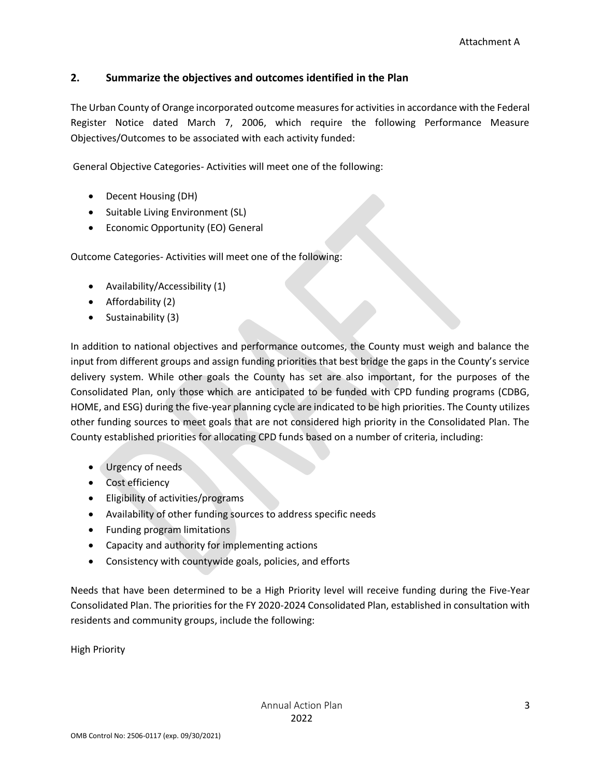#### **2. Summarize the objectives and outcomes identified in the Plan**

The Urban County of Orange incorporated outcome measures for activities in accordance with the Federal Register Notice dated March 7, 2006, which require the following Performance Measure Objectives/Outcomes to be associated with each activity funded:

General Objective Categories- Activities will meet one of the following:

- Decent Housing (DH)
- Suitable Living Environment (SL)
- Economic Opportunity (EO) General

Outcome Categories- Activities will meet one of the following:

- Availability/Accessibility (1)
- Affordability (2)
- Sustainability (3)

In addition to national objectives and performance outcomes, the County must weigh and balance the input from different groups and assign funding priorities that best bridge the gaps in the County's service delivery system. While other goals the County has set are also important, for the purposes of the Consolidated Plan, only those which are anticipated to be funded with CPD funding programs (CDBG, HOME, and ESG) during the five-year planning cycle are indicated to be high priorities. The County utilizes other funding sources to meet goals that are not considered high priority in the Consolidated Plan. The County established priorities for allocating CPD funds based on a number of criteria, including:

- Urgency of needs
- Cost efficiency
- Eligibility of activities/programs
- Availability of other funding sources to address specific needs
- Funding program limitations
- Capacity and authority for implementing actions
- Consistency with countywide goals, policies, and efforts

Needs that have been determined to be a High Priority level will receive funding during the Five-Year Consolidated Plan. The priorities for the FY 2020-2024 Consolidated Plan, established in consultation with residents and community groups, include the following:

High Priority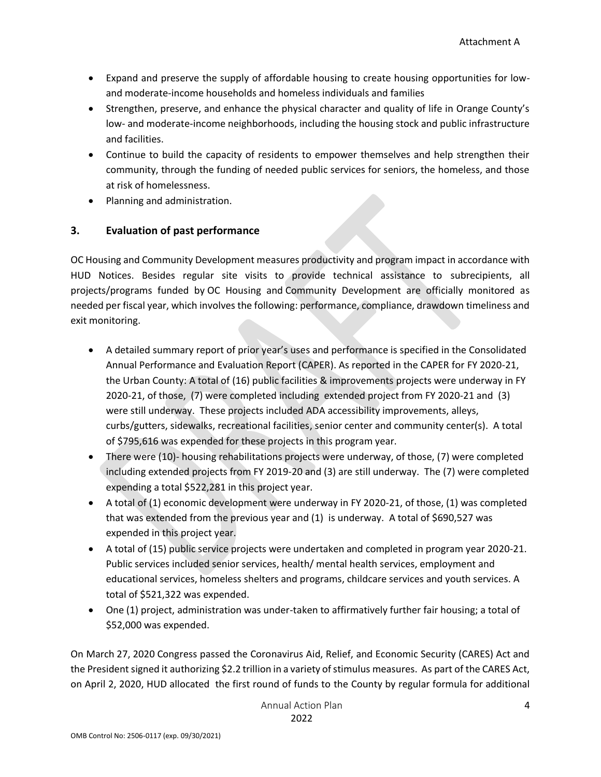- Expand and preserve the supply of affordable housing to create housing opportunities for lowand moderate-income households and homeless individuals and families
- Strengthen, preserve, and enhance the physical character and quality of life in Orange County's low- and moderate-income neighborhoods, including the housing stock and public infrastructure and facilities.
- Continue to build the capacity of residents to empower themselves and help strengthen their community, through the funding of needed public services for seniors, the homeless, and those at risk of homelessness.
- Planning and administration.

#### **3. Evaluation of past performance**

OC Housing and Community Development measures productivity and program impact in accordance with HUD Notices. Besides regular site visits to provide technical assistance to subrecipients, all projects/programs funded by OC Housing and Community Development are officially monitored as needed per fiscal year, which involves the following: performance, compliance, drawdown timeliness and exit monitoring.

- A detailed summary report of prior year's uses and performance is specified in the Consolidated Annual Performance and Evaluation Report (CAPER). As reported in the CAPER for FY 2020-21, the Urban County: A total of (16) public facilities & improvements projects were underway in FY 2020-21, of those, (7) were completed including extended project from FY 2020-21 and (3) were still underway. These projects included ADA accessibility improvements, alleys, curbs/gutters, sidewalks, recreational facilities, senior center and community center(s). A total of \$795,616 was expended for these projects in this program year.
- There were (10)- housing rehabilitations projects were underway, of those, (7) were completed including extended projects from FY 2019-20 and (3) are still underway. The (7) were completed expending a total \$522,281 in this project year.
- A total of (1) economic development were underway in FY 2020-21, of those, (1) was completed that was extended from the previous year and (1) is underway. A total of \$690,527 was expended in this project year.
- A total of (15) public service projects were undertaken and completed in program year 2020-21. Public services included senior services, health/ mental health services, employment and educational services, homeless shelters and programs, childcare services and youth services. A total of \$521,322 was expended.
- One (1) project, administration was under-taken to affirmatively further fair housing; a total of \$52,000 was expended.

On March 27, 2020 Congress passed the Coronavirus Aid, Relief, and Economic Security (CARES) Act and the President signed it authorizing \$2.2 trillion in a variety of stimulus measures. As part of the CARES Act, on April 2, 2020, HUD allocated the first round of funds to the County by regular formula for additional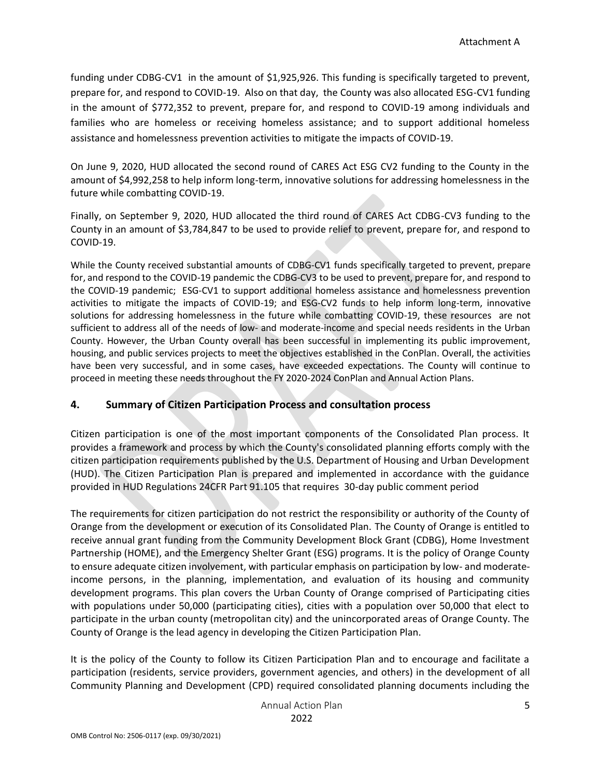funding under CDBG-CV1 in the amount of \$1,925,926. This funding is specifically targeted to prevent, prepare for, and respond to COVID-19. Also on that day, the County was also allocated ESG-CV1 funding in the amount of \$772,352 to prevent, prepare for, and respond to COVID-19 among individuals and families who are homeless or receiving homeless assistance; and to support additional homeless assistance and homelessness prevention activities to mitigate the impacts of COVID-19.

On June 9, 2020, HUD allocated the second round of CARES Act ESG CV2 funding to the County in the amount of \$4,992,258 to help inform long-term, innovative solutions for addressing homelessness in the future while combatting COVID-19.

Finally, on September 9, 2020, HUD allocated the third round of CARES Act CDBG-CV3 funding to the County in an amount of \$3,784,847 to be used to provide relief to prevent, prepare for, and respond to COVID-19.

While the County received substantial amounts of CDBG-CV1 funds specifically targeted to prevent, prepare for, and respond to the COVID-19 pandemic the CDBG-CV3 to be used to prevent, prepare for, and respond to the COVID-19 pandemic; ESG-CV1 to support additional homeless assistance and homelessness prevention activities to mitigate the impacts of COVID-19; and ESG-CV2 funds to help inform long-term, innovative solutions for addressing homelessness in the future while combatting COVID-19, these resources are not sufficient to address all of the needs of low- and moderate-income and special needs residents in the Urban County. However, the Urban County overall has been successful in implementing its public improvement, housing, and public services projects to meet the objectives established in the ConPlan. Overall, the activities have been very successful, and in some cases, have exceeded expectations. The County will continue to proceed in meeting these needs throughout the FY 2020-2024 ConPlan and Annual Action Plans.

#### **4. Summary of Citizen Participation Process and consultation process**

Citizen participation is one of the most important components of the Consolidated Plan process. It provides a framework and process by which the County's consolidated planning efforts comply with the citizen participation requirements published by the U.S. Department of Housing and Urban Development (HUD). The Citizen Participation Plan is prepared and implemented in accordance with the guidance provided in HUD Regulations 24CFR Part 91.105 that requires 30-day public comment period

The requirements for citizen participation do not restrict the responsibility or authority of the County of Orange from the development or execution of its Consolidated Plan. The County of Orange is entitled to receive annual grant funding from the Community Development Block Grant (CDBG), Home Investment Partnership (HOME), and the Emergency Shelter Grant (ESG) programs. It is the policy of Orange County to ensure adequate citizen involvement, with particular emphasis on participation by low- and moderateincome persons, in the planning, implementation, and evaluation of its housing and community development programs. This plan covers the Urban County of Orange comprised of Participating cities with populations under 50,000 (participating cities), cities with a population over 50,000 that elect to participate in the urban county (metropolitan city) and the unincorporated areas of Orange County. The County of Orange is the lead agency in developing the Citizen Participation Plan.

It is the policy of the County to follow its Citizen Participation Plan and to encourage and facilitate a participation (residents, service providers, government agencies, and others) in the development of all Community Planning and Development (CPD) required consolidated planning documents including the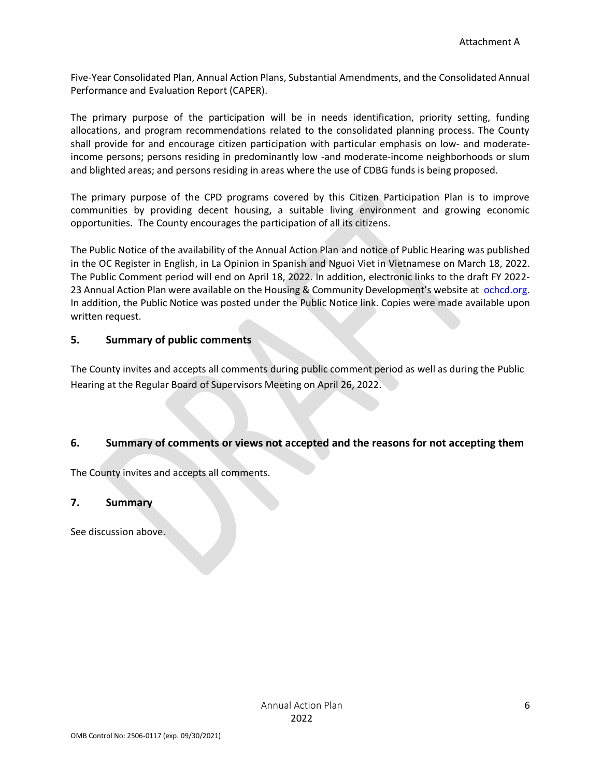Five-Year Consolidated Plan, Annual Action Plans, Substantial Amendments, and the Consolidated Annual Performance and Evaluation Report (CAPER).

The primary purpose of the participation will be in needs identification, priority setting, funding allocations, and program recommendations related to the consolidated planning process. The County shall provide for and encourage citizen participation with particular emphasis on low- and moderateincome persons; persons residing in predominantly low -and moderate-income neighborhoods or slum and blighted areas; and persons residing in areas where the use of CDBG funds is being proposed.

The primary purpose of the CPD programs covered by this Citizen Participation Plan is to improve communities by providing decent housing, a suitable living environment and growing economic opportunities. The County encourages the participation of all its citizens.

The Public Notice of the availability of the Annual Action Plan and notice of Public Hearing was published in the OC Register in English, in La Opinion in Spanish and Nguoi Viet in Vietnamese on March 18, 2022. The Public Comment period will end on April 18, 2022. In addition, electronic links to the draft FY 2022 23 Annual Action Plan were available on the Housing & Community Development's website at [ochcd.org.](https://www.ochcd.org/community-development) In addition, the Public Notice was posted under the Public Notice link. Copies were made available upon written request.

#### **5. Summary of public comments**

The County invites and accepts all comments during public comment period as well as during the Public Hearing at the Regular Board of Supervisors Meeting on April 26, 2022.

#### **6. Summary of comments or views not accepted and the reasons for not accepting them**

The County invites and accepts all comments.

#### **7. Summary**

See discussion above.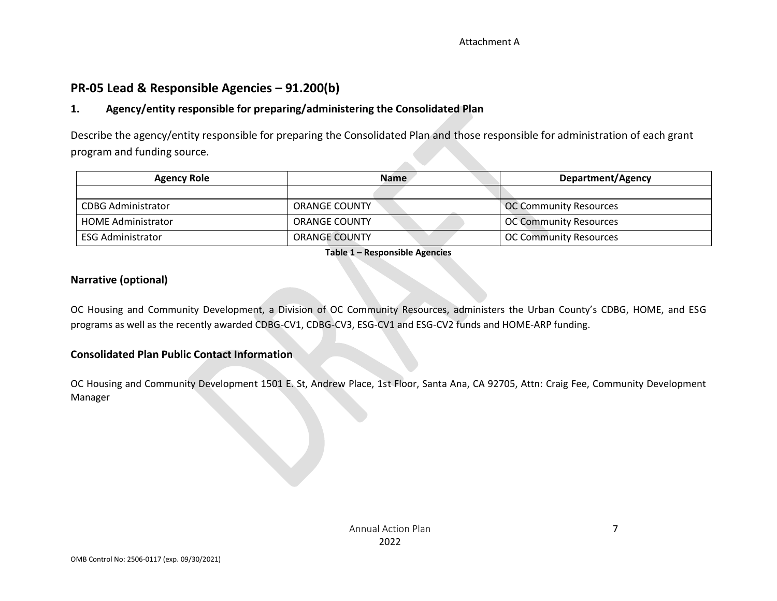## **PR-05 Lead & Responsible Agencies – 91.200(b)**

#### **1. Agency/entity responsible for preparing/administering the Consolidated Plan**

Describe the agency/entity responsible for preparing the Consolidated Plan and those responsible for administration of each grant program and funding source.

| <b>Agency Role</b>        | <b>Name</b>          | Department/Agency             |
|---------------------------|----------------------|-------------------------------|
|                           |                      |                               |
| <b>CDBG Administrator</b> | <b>ORANGE COUNTY</b> | OC Community Resources        |
| <b>HOME Administrator</b> | <b>ORANGE COUNTY</b> | <b>OC Community Resources</b> |
| <b>ESG Administrator</b>  | <b>ORANGE COUNTY</b> | <b>OC Community Resources</b> |

#### **Table 1 – Responsible Agencies**

#### **Narrative (optional)**

OC Housing and Community Development, a Division of OC Community Resources, administers the Urban County's CDBG, HOME, and ESG programs as well as the recently awarded CDBG-CV1, CDBG-CV3, ESG-CV1 and ESG-CV2 funds and HOME-ARP funding.

#### **Consolidated Plan Public Contact Information**

OC Housing and Community Development 1501 E. St, Andrew Place, 1st Floor, Santa Ana, CA 92705, Attn: Craig Fee, Community Development Manager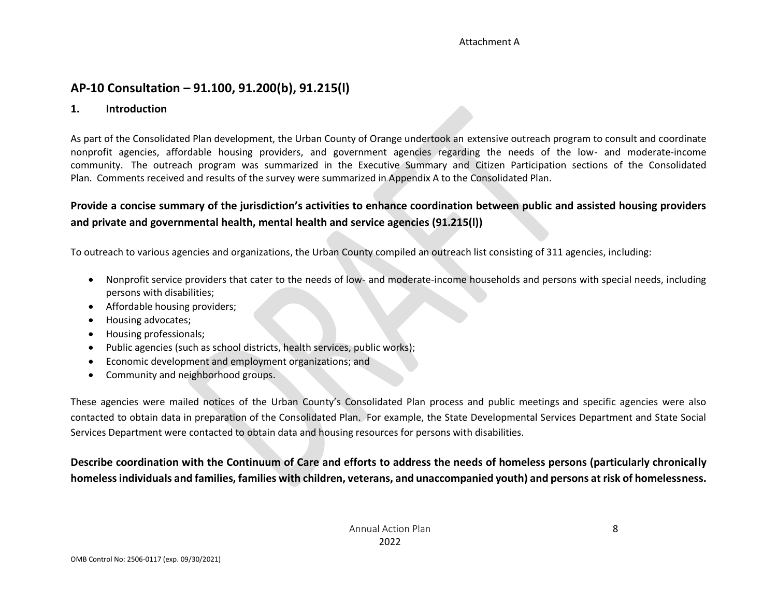## **AP-10 Consultation – 91.100, 91.200(b), 91.215(l)**

#### **1. Introduction**

As part of the Consolidated Plan development, the Urban County of Orange undertook an extensive outreach program to consult and coordinate nonprofit agencies, affordable housing providers, and government agencies regarding the needs of the low- and moderate-income community. The outreach program was summarized in the Executive Summary and Citizen Participation sections of the Consolidated Plan. Comments received and results of the survey were summarized in Appendix A to the Consolidated Plan.

### **Provide a concise summary of the jurisdiction's activities to enhance coordination between public and assisted housing providers and private and governmental health, mental health and service agencies (91.215(l))**

To outreach to various agencies and organizations, the Urban County compiled an outreach list consisting of 311 agencies, including:

- Nonprofit service providers that cater to the needs of low- and moderate-income households and persons with special needs, including persons with disabilities;
- Affordable housing providers;
- Housing advocates;
- Housing professionals;
- Public agencies (such as school districts, health services, public works);
- Economic development and employment organizations; and
- Community and neighborhood groups.

These agencies were mailed notices of the Urban County's Consolidated Plan process and public meetings and specific agencies were also contacted to obtain data in preparation of the Consolidated Plan. For example, the State Developmental Services Department and State Social Services Department were contacted to obtain data and housing resources for persons with disabilities.

**Describe coordination with the Continuum of Care and efforts to address the needs of homeless persons (particularly chronically homeless individuals and families, families with children, veterans, and unaccompanied youth) and persons at risk of homelessness.**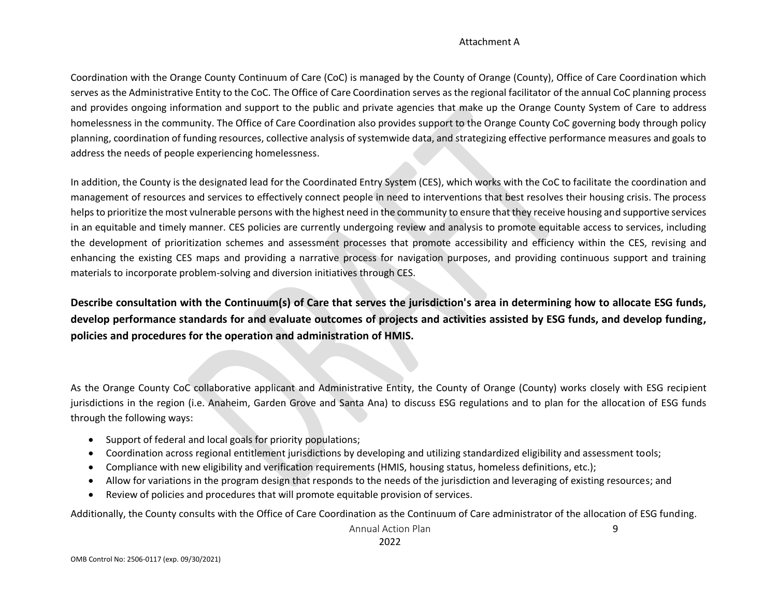Coordination with the Orange County Continuum of Care (CoC) is managed by the County of Orange (County), Office of Care Coordination which serves as the Administrative Entity to the CoC. The Office of Care Coordination serves as the regional facilitator of the annual CoC planning process and provides ongoing information and support to the public and private agencies that make up the Orange County System of Care to address homelessness in the community. The Office of Care Coordination also provides support to the Orange County CoC governing body through policy planning, coordination of funding resources, collective analysis of systemwide data, and strategizing effective performance measures and goals to address the needs of people experiencing homelessness.

In addition, the County is the designated lead for the Coordinated Entry System (CES), which works with the CoC to facilitate the coordination and management of resources and services to effectively connect people in need to interventions that best resolves their housing crisis. The process helps to prioritize the most vulnerable persons with the highest need in the community to ensure that they receive housing and supportive services in an equitable and timely manner. CES policies are currently undergoing review and analysis to promote equitable access to services, including the development of prioritization schemes and assessment processes that promote accessibility and efficiency within the CES, revising and enhancing the existing CES maps and providing a narrative process for navigation purposes, and providing continuous support and training materials to incorporate problem-solving and diversion initiatives through CES.

**Describe consultation with the Continuum(s) of Care that serves the jurisdiction's area in determining how to allocate ESG funds, develop performance standards for and evaluate outcomes of projects and activities assisted by ESG funds, and develop funding, policies and procedures for the operation and administration of HMIS.**

As the Orange County CoC collaborative applicant and Administrative Entity, the County of Orange (County) works closely with ESG recipient jurisdictions in the region (i.e. Anaheim, Garden Grove and Santa Ana) to discuss ESG regulations and to plan for the allocation of ESG funds through the following ways:

- Support of federal and local goals for priority populations;
- Coordination across regional entitlement jurisdictions by developing and utilizing standardized eligibility and assessment tools;
- Compliance with new eligibility and verification requirements (HMIS, housing status, homeless definitions, etc.);
- Allow for variations in the program design that responds to the needs of the jurisdiction and leveraging of existing resources; and
- Review of policies and procedures that will promote equitable provision of services.

Additionally, the County consults with the Office of Care Coordination as the Continuum of Care administrator of the allocation of ESG funding.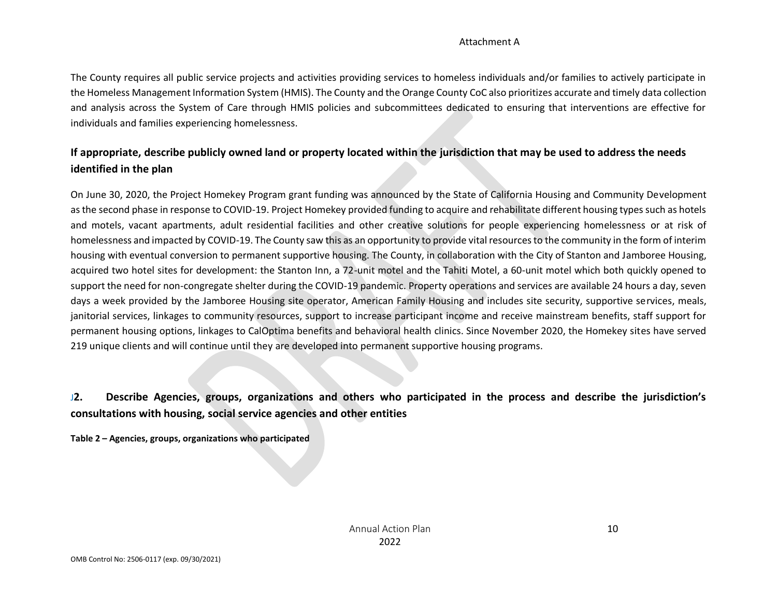The County requires all public service projects and activities providing services to homeless individuals and/or families to actively participate in the Homeless Management Information System (HMIS). The County and the Orange County CoC also prioritizes accurate and timely data collection and analysis across the System of Care through HMIS policies and subcommittees dedicated to ensuring that interventions are effective for individuals and families experiencing homelessness.

## **If appropriate, describe publicly owned land or property located within the jurisdiction that may be used to address the needs identified in the plan**

On June 30, 2020, the Project Homekey Program grant funding was announced by the State of California Housing and Community Development as the second phase in response to COVID-19. Project Homekey provided funding to acquire and rehabilitate different housing types such as hotels and motels, vacant apartments, adult residential facilities and other creative solutions for people experiencing homelessness or at risk of homelessness and impacted by COVID-19. The County saw this as an opportunity to provide vital resources to the community in the form of interim housing with eventual conversion to permanent supportive housing. The County, in collaboration with the City of Stanton and Jamboree Housing, acquired two hotel sites for development: the Stanton Inn, a 72-unit motel and the Tahiti Motel, a 60-unit motel which both quickly opened to support the need for non-congregate shelter during the COVID-19 pandemic. Property operations and services are available 24 hours a day, seven days a week provided by the Jamboree Housing site operator, American Family Housing and includes site security, supportive services, meals, janitorial services, linkages to community resources, support to increase participant income and receive mainstream benefits, staff support for permanent housing options, linkages to CalOptima benefits and behavioral health clinics. Since November 2020, the Homekey sites have served 219 unique clients and will continue until they are developed into permanent supportive housing programs.

## J**2. Describe Agencies, groups, organizations and others who participated in the process and describe the jurisdiction's consultations with housing, social service agencies and other entities**

**Table 2 – Agencies, groups, organizations who participated**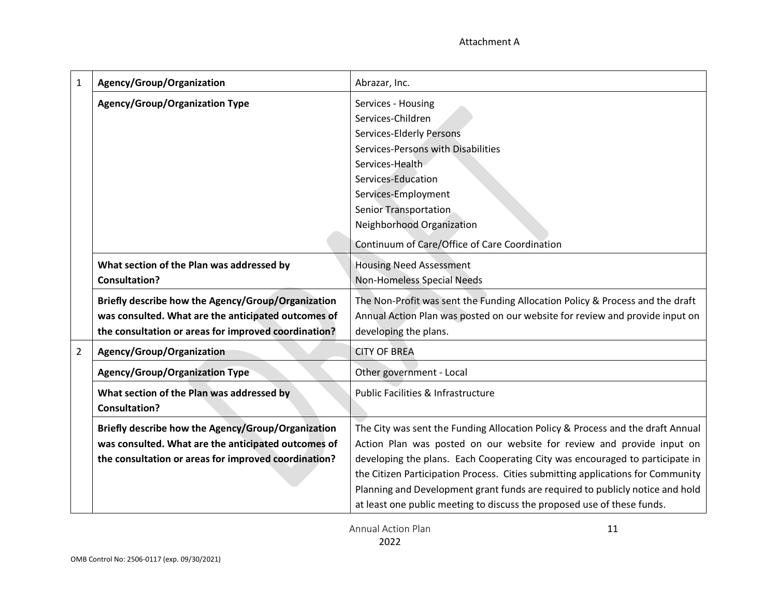| $\mathbf{1}$   | Agency/Group/Organization                            | Abrazar, Inc.                                                                   |  |  |
|----------------|------------------------------------------------------|---------------------------------------------------------------------------------|--|--|
|                | <b>Agency/Group/Organization Type</b>                | Services - Housing                                                              |  |  |
|                |                                                      | Services-Children                                                               |  |  |
|                |                                                      | <b>Services-Elderly Persons</b>                                                 |  |  |
|                |                                                      | Services-Persons with Disabilities                                              |  |  |
|                |                                                      | Services-Health                                                                 |  |  |
|                |                                                      | Services-Education                                                              |  |  |
|                |                                                      | Services-Employment                                                             |  |  |
|                |                                                      | <b>Senior Transportation</b>                                                    |  |  |
|                |                                                      | Neighborhood Organization                                                       |  |  |
|                |                                                      | Continuum of Care/Office of Care Coordination                                   |  |  |
|                | What section of the Plan was addressed by            | <b>Housing Need Assessment</b>                                                  |  |  |
|                | <b>Consultation?</b>                                 | <b>Non-Homeless Special Needs</b>                                               |  |  |
|                | Briefly describe how the Agency/Group/Organization   | The Non-Profit was sent the Funding Allocation Policy & Process and the draft   |  |  |
|                | was consulted. What are the anticipated outcomes of  | Annual Action Plan was posted on our website for review and provide input on    |  |  |
|                | the consultation or areas for improved coordination? | developing the plans.                                                           |  |  |
| $\overline{2}$ | Agency/Group/Organization                            | <b>CITY OF BREA</b>                                                             |  |  |
|                | <b>Agency/Group/Organization Type</b>                | Other government - Local                                                        |  |  |
|                | What section of the Plan was addressed by            | <b>Public Facilities &amp; Infrastructure</b>                                   |  |  |
|                | <b>Consultation?</b>                                 |                                                                                 |  |  |
|                | Briefly describe how the Agency/Group/Organization   | The City was sent the Funding Allocation Policy & Process and the draft Annual  |  |  |
|                | was consulted. What are the anticipated outcomes of  | Action Plan was posted on our website for review and provide input on           |  |  |
|                | the consultation or areas for improved coordination? | developing the plans. Each Cooperating City was encouraged to participate in    |  |  |
|                |                                                      | the Citizen Participation Process. Cities submitting applications for Community |  |  |
|                |                                                      | Planning and Development grant funds are required to publicly notice and hold   |  |  |
|                |                                                      | at least one public meeting to discuss the proposed use of these funds.         |  |  |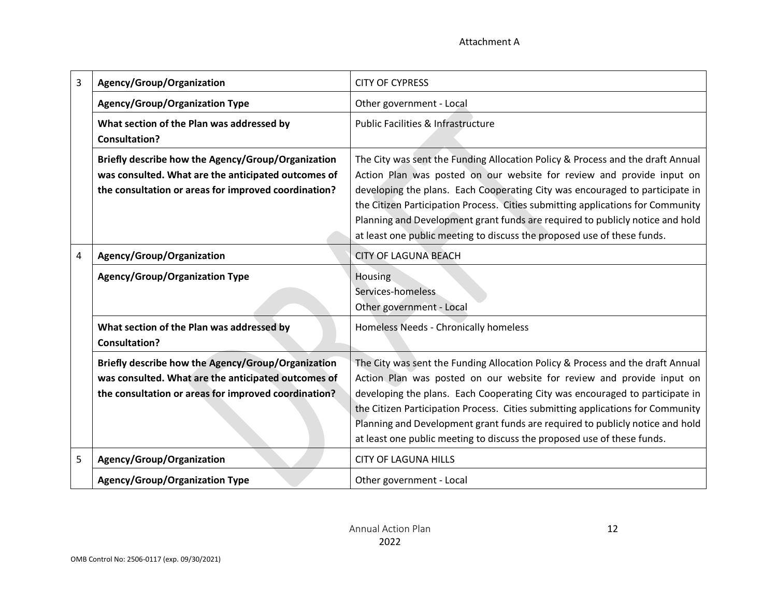| 3 | Agency/Group/Organization                                                                                                                                         | <b>CITY OF CYPRESS</b>                                                                                                                                                                                                                                                                                                                                                                                                                                                                 |  |  |  |
|---|-------------------------------------------------------------------------------------------------------------------------------------------------------------------|----------------------------------------------------------------------------------------------------------------------------------------------------------------------------------------------------------------------------------------------------------------------------------------------------------------------------------------------------------------------------------------------------------------------------------------------------------------------------------------|--|--|--|
|   | <b>Agency/Group/Organization Type</b>                                                                                                                             | Other government - Local<br><b>Public Facilities &amp; Infrastructure</b>                                                                                                                                                                                                                                                                                                                                                                                                              |  |  |  |
|   | What section of the Plan was addressed by<br><b>Consultation?</b>                                                                                                 |                                                                                                                                                                                                                                                                                                                                                                                                                                                                                        |  |  |  |
|   | Briefly describe how the Agency/Group/Organization<br>was consulted. What are the anticipated outcomes of<br>the consultation or areas for improved coordination? | The City was sent the Funding Allocation Policy & Process and the draft Annual<br>Action Plan was posted on our website for review and provide input on<br>developing the plans. Each Cooperating City was encouraged to participate in<br>the Citizen Participation Process. Cities submitting applications for Community<br>Planning and Development grant funds are required to publicly notice and hold<br>at least one public meeting to discuss the proposed use of these funds. |  |  |  |
| 4 | Agency/Group/Organization                                                                                                                                         | <b>CITY OF LAGUNA BEACH</b>                                                                                                                                                                                                                                                                                                                                                                                                                                                            |  |  |  |
|   | <b>Agency/Group/Organization Type</b>                                                                                                                             | Housing<br>Services-homeless<br>Other government - Local                                                                                                                                                                                                                                                                                                                                                                                                                               |  |  |  |
|   | What section of the Plan was addressed by<br><b>Consultation?</b>                                                                                                 | Homeless Needs - Chronically homeless                                                                                                                                                                                                                                                                                                                                                                                                                                                  |  |  |  |
|   | Briefly describe how the Agency/Group/Organization<br>was consulted. What are the anticipated outcomes of<br>the consultation or areas for improved coordination? | The City was sent the Funding Allocation Policy & Process and the draft Annual<br>Action Plan was posted on our website for review and provide input on<br>developing the plans. Each Cooperating City was encouraged to participate in<br>the Citizen Participation Process. Cities submitting applications for Community<br>Planning and Development grant funds are required to publicly notice and hold<br>at least one public meeting to discuss the proposed use of these funds. |  |  |  |
| 5 | Agency/Group/Organization                                                                                                                                         | <b>CITY OF LAGUNA HILLS</b>                                                                                                                                                                                                                                                                                                                                                                                                                                                            |  |  |  |
|   | <b>Agency/Group/Organization Type</b>                                                                                                                             | Other government - Local                                                                                                                                                                                                                                                                                                                                                                                                                                                               |  |  |  |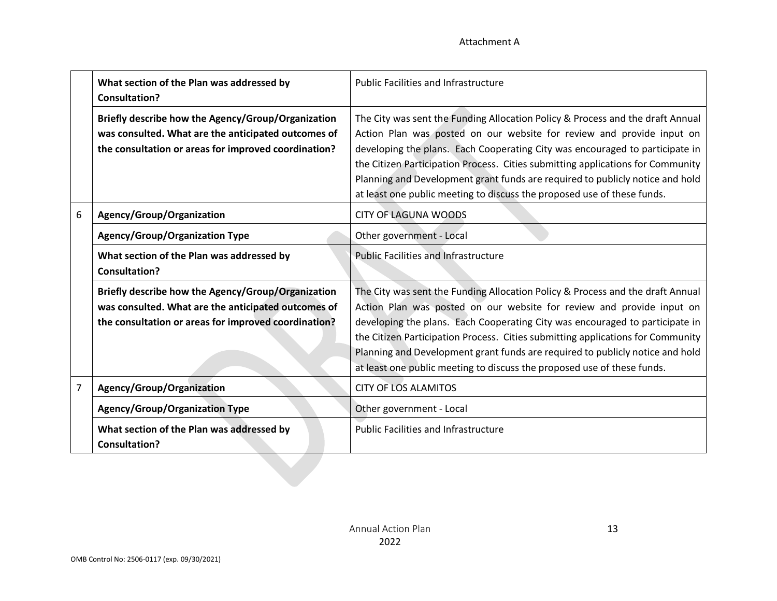|   | What section of the Plan was addressed by<br><b>Consultation?</b>                                                                                                 | <b>Public Facilities and Infrastructure</b>                                                                                                                                                                                                                                                                                                                                                                                                                                            |
|---|-------------------------------------------------------------------------------------------------------------------------------------------------------------------|----------------------------------------------------------------------------------------------------------------------------------------------------------------------------------------------------------------------------------------------------------------------------------------------------------------------------------------------------------------------------------------------------------------------------------------------------------------------------------------|
|   | Briefly describe how the Agency/Group/Organization<br>was consulted. What are the anticipated outcomes of<br>the consultation or areas for improved coordination? | The City was sent the Funding Allocation Policy & Process and the draft Annual<br>Action Plan was posted on our website for review and provide input on<br>developing the plans. Each Cooperating City was encouraged to participate in<br>the Citizen Participation Process. Cities submitting applications for Community<br>Planning and Development grant funds are required to publicly notice and hold<br>at least one public meeting to discuss the proposed use of these funds. |
| 6 | Agency/Group/Organization                                                                                                                                         | <b>CITY OF LAGUNA WOODS</b>                                                                                                                                                                                                                                                                                                                                                                                                                                                            |
|   | <b>Agency/Group/Organization Type</b>                                                                                                                             | Other government - Local                                                                                                                                                                                                                                                                                                                                                                                                                                                               |
|   | What section of the Plan was addressed by<br><b>Consultation?</b>                                                                                                 | <b>Public Facilities and Infrastructure</b>                                                                                                                                                                                                                                                                                                                                                                                                                                            |
|   | Briefly describe how the Agency/Group/Organization<br>was consulted. What are the anticipated outcomes of<br>the consultation or areas for improved coordination? | The City was sent the Funding Allocation Policy & Process and the draft Annual<br>Action Plan was posted on our website for review and provide input on<br>developing the plans. Each Cooperating City was encouraged to participate in<br>the Citizen Participation Process. Cities submitting applications for Community<br>Planning and Development grant funds are required to publicly notice and hold<br>at least one public meeting to discuss the proposed use of these funds. |
| 7 | Agency/Group/Organization                                                                                                                                         | <b>CITY OF LOS ALAMITOS</b>                                                                                                                                                                                                                                                                                                                                                                                                                                                            |
|   | <b>Agency/Group/Organization Type</b>                                                                                                                             | Other government - Local                                                                                                                                                                                                                                                                                                                                                                                                                                                               |
|   | What section of the Plan was addressed by<br><b>Consultation?</b>                                                                                                 | <b>Public Facilities and Infrastructure</b>                                                                                                                                                                                                                                                                                                                                                                                                                                            |
|   |                                                                                                                                                                   |                                                                                                                                                                                                                                                                                                                                                                                                                                                                                        |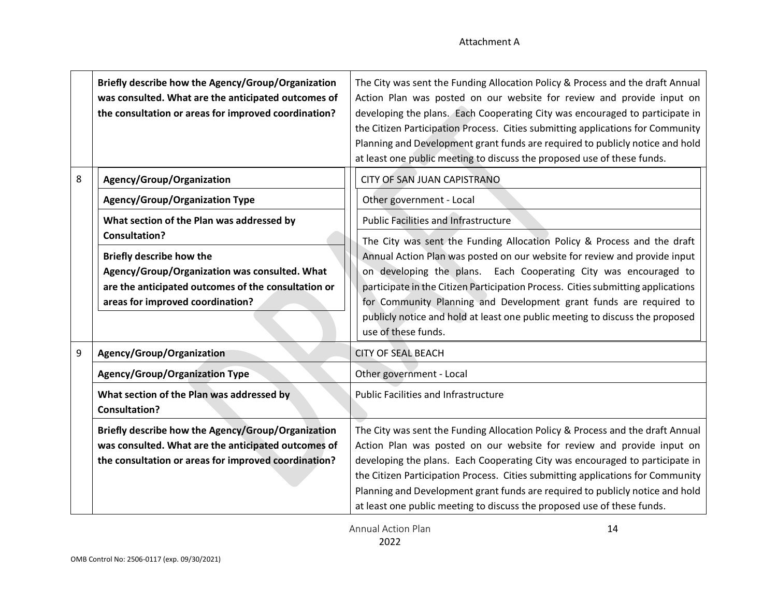|                                                     | Briefly describe how the Agency/Group/Organization<br>was consulted. What are the anticipated outcomes of<br>the consultation or areas for improved coordination? | The City was sent the Funding Allocation Policy & Process and the draft Annual<br>Action Plan was posted on our website for review and provide input on<br>developing the plans. Each Cooperating City was encouraged to participate in<br>the Citizen Participation Process. Cities submitting applications for Community<br>Planning and Development grant funds are required to publicly notice and hold<br>at least one public meeting to discuss the proposed use of these funds. |  |  |  |  |
|-----------------------------------------------------|-------------------------------------------------------------------------------------------------------------------------------------------------------------------|----------------------------------------------------------------------------------------------------------------------------------------------------------------------------------------------------------------------------------------------------------------------------------------------------------------------------------------------------------------------------------------------------------------------------------------------------------------------------------------|--|--|--|--|
| 8                                                   | Agency/Group/Organization                                                                                                                                         | <b>CITY OF SAN JUAN CAPISTRANO</b>                                                                                                                                                                                                                                                                                                                                                                                                                                                     |  |  |  |  |
|                                                     | <b>Agency/Group/Organization Type</b>                                                                                                                             | Other government - Local                                                                                                                                                                                                                                                                                                                                                                                                                                                               |  |  |  |  |
|                                                     | What section of the Plan was addressed by                                                                                                                         | <b>Public Facilities and Infrastructure</b>                                                                                                                                                                                                                                                                                                                                                                                                                                            |  |  |  |  |
|                                                     | <b>Consultation?</b>                                                                                                                                              | The City was sent the Funding Allocation Policy & Process and the draft<br>Annual Action Plan was posted on our website for review and provide input<br>on developing the plans. Each Cooperating City was encouraged to<br>participate in the Citizen Participation Process. Cities submitting applications<br>for Community Planning and Development grant funds are required to                                                                                                     |  |  |  |  |
|                                                     | Briefly describe how the                                                                                                                                          |                                                                                                                                                                                                                                                                                                                                                                                                                                                                                        |  |  |  |  |
|                                                     | Agency/Group/Organization was consulted. What<br>are the anticipated outcomes of the consultation or<br>areas for improved coordination?                          |                                                                                                                                                                                                                                                                                                                                                                                                                                                                                        |  |  |  |  |
|                                                     |                                                                                                                                                                   |                                                                                                                                                                                                                                                                                                                                                                                                                                                                                        |  |  |  |  |
|                                                     |                                                                                                                                                                   | publicly notice and hold at least one public meeting to discuss the proposed<br>use of these funds.                                                                                                                                                                                                                                                                                                                                                                                    |  |  |  |  |
| 9                                                   | Agency/Group/Organization                                                                                                                                         | <b>CITY OF SEAL BEACH</b>                                                                                                                                                                                                                                                                                                                                                                                                                                                              |  |  |  |  |
|                                                     | <b>Agency/Group/Organization Type</b>                                                                                                                             | Other government - Local                                                                                                                                                                                                                                                                                                                                                                                                                                                               |  |  |  |  |
|                                                     | What section of the Plan was addressed by<br><b>Consultation?</b>                                                                                                 | <b>Public Facilities and Infrastructure</b>                                                                                                                                                                                                                                                                                                                                                                                                                                            |  |  |  |  |
|                                                     | Briefly describe how the Agency/Group/Organization                                                                                                                | The City was sent the Funding Allocation Policy & Process and the draft Annual                                                                                                                                                                                                                                                                                                                                                                                                         |  |  |  |  |
| was consulted. What are the anticipated outcomes of |                                                                                                                                                                   | Action Plan was posted on our website for review and provide input on                                                                                                                                                                                                                                                                                                                                                                                                                  |  |  |  |  |
|                                                     | the consultation or areas for improved coordination?                                                                                                              | developing the plans. Each Cooperating City was encouraged to participate in<br>the Citizen Participation Process. Cities submitting applications for Community                                                                                                                                                                                                                                                                                                                        |  |  |  |  |
|                                                     |                                                                                                                                                                   | Planning and Development grant funds are required to publicly notice and hold                                                                                                                                                                                                                                                                                                                                                                                                          |  |  |  |  |
|                                                     |                                                                                                                                                                   | at least one public meeting to discuss the proposed use of these funds.                                                                                                                                                                                                                                                                                                                                                                                                                |  |  |  |  |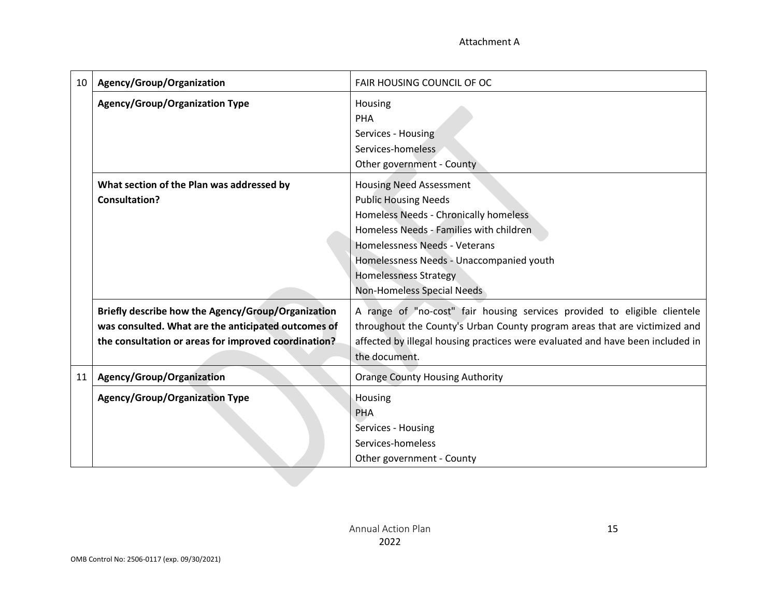15

| 10 | Agency/Group/Organization                            | FAIR HOUSING COUNCIL OF OC                                                     |  |  |
|----|------------------------------------------------------|--------------------------------------------------------------------------------|--|--|
|    | <b>Agency/Group/Organization Type</b>                | Housing                                                                        |  |  |
|    |                                                      | PHA                                                                            |  |  |
|    |                                                      | Services - Housing                                                             |  |  |
|    |                                                      | Services-homeless                                                              |  |  |
|    |                                                      | Other government - County                                                      |  |  |
|    | What section of the Plan was addressed by            | <b>Housing Need Assessment</b>                                                 |  |  |
|    | <b>Consultation?</b>                                 | <b>Public Housing Needs</b>                                                    |  |  |
|    |                                                      | Homeless Needs - Chronically homeless                                          |  |  |
|    |                                                      | Homeless Needs - Families with children                                        |  |  |
|    |                                                      | Homelessness Needs - Veterans                                                  |  |  |
|    |                                                      | Homelessness Needs - Unaccompanied youth                                       |  |  |
|    |                                                      | <b>Homelessness Strategy</b>                                                   |  |  |
|    |                                                      | Non-Homeless Special Needs                                                     |  |  |
|    | Briefly describe how the Agency/Group/Organization   | A range of "no-cost" fair housing services provided to eligible clientele      |  |  |
|    | was consulted. What are the anticipated outcomes of  | throughout the County's Urban County program areas that are victimized and     |  |  |
|    | the consultation or areas for improved coordination? | affected by illegal housing practices were evaluated and have been included in |  |  |
|    |                                                      | the document.                                                                  |  |  |
| 11 | Agency/Group/Organization                            | <b>Orange County Housing Authority</b>                                         |  |  |
|    | <b>Agency/Group/Organization Type</b>                | Housing                                                                        |  |  |
|    |                                                      | <b>PHA</b>                                                                     |  |  |
|    |                                                      | Services - Housing                                                             |  |  |
|    |                                                      | Services-homeless                                                              |  |  |
|    |                                                      | Other government - County                                                      |  |  |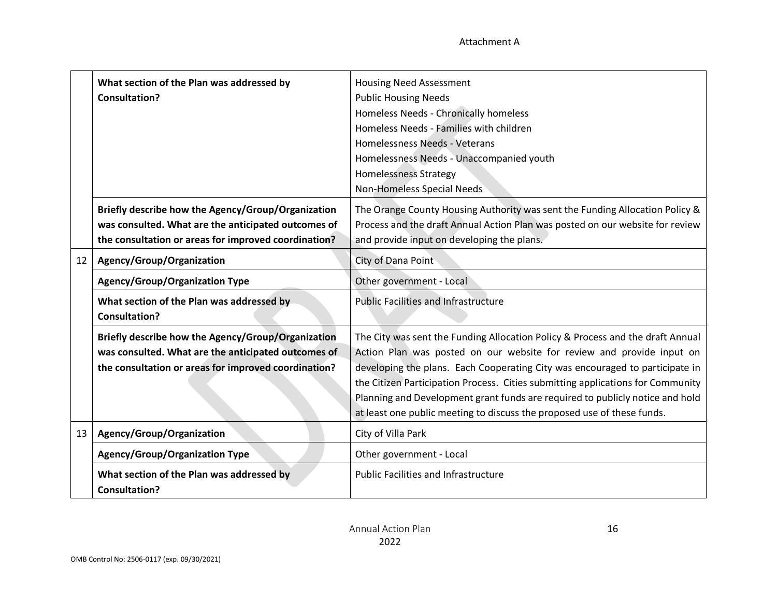|    | What section of the Plan was addressed by<br><b>Consultation?</b>                                                                                                 | <b>Housing Need Assessment</b><br><b>Public Housing Needs</b><br>Homeless Needs - Chronically homeless<br>Homeless Needs - Families with children<br>Homelessness Needs - Veterans<br>Homelessness Needs - Unaccompanied youth<br><b>Homelessness Strategy</b><br>Non-Homeless Special Needs                                                                                                                                                                                           |  |  |
|----|-------------------------------------------------------------------------------------------------------------------------------------------------------------------|----------------------------------------------------------------------------------------------------------------------------------------------------------------------------------------------------------------------------------------------------------------------------------------------------------------------------------------------------------------------------------------------------------------------------------------------------------------------------------------|--|--|
|    | Briefly describe how the Agency/Group/Organization<br>was consulted. What are the anticipated outcomes of<br>the consultation or areas for improved coordination? | The Orange County Housing Authority was sent the Funding Allocation Policy &<br>Process and the draft Annual Action Plan was posted on our website for review<br>and provide input on developing the plans.                                                                                                                                                                                                                                                                            |  |  |
| 12 | Agency/Group/Organization                                                                                                                                         | City of Dana Point                                                                                                                                                                                                                                                                                                                                                                                                                                                                     |  |  |
|    | <b>Agency/Group/Organization Type</b>                                                                                                                             | Other government - Local                                                                                                                                                                                                                                                                                                                                                                                                                                                               |  |  |
|    | What section of the Plan was addressed by<br><b>Consultation?</b>                                                                                                 | <b>Public Facilities and Infrastructure</b>                                                                                                                                                                                                                                                                                                                                                                                                                                            |  |  |
|    | Briefly describe how the Agency/Group/Organization<br>was consulted. What are the anticipated outcomes of<br>the consultation or areas for improved coordination? | The City was sent the Funding Allocation Policy & Process and the draft Annual<br>Action Plan was posted on our website for review and provide input on<br>developing the plans. Each Cooperating City was encouraged to participate in<br>the Citizen Participation Process. Cities submitting applications for Community<br>Planning and Development grant funds are required to publicly notice and hold<br>at least one public meeting to discuss the proposed use of these funds. |  |  |
| 13 | Agency/Group/Organization                                                                                                                                         | City of Villa Park                                                                                                                                                                                                                                                                                                                                                                                                                                                                     |  |  |
|    | <b>Agency/Group/Organization Type</b>                                                                                                                             | Other government - Local                                                                                                                                                                                                                                                                                                                                                                                                                                                               |  |  |
|    | What section of the Plan was addressed by<br><b>Consultation?</b>                                                                                                 | <b>Public Facilities and Infrastructure</b>                                                                                                                                                                                                                                                                                                                                                                                                                                            |  |  |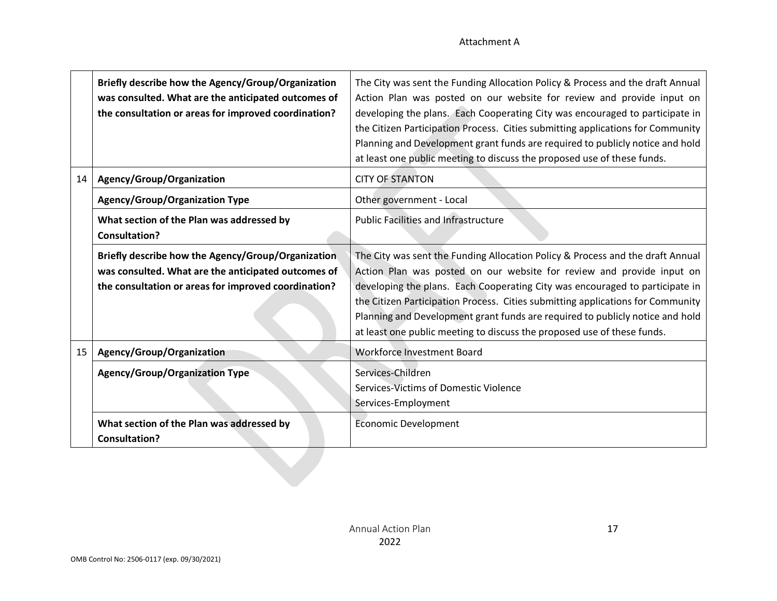|    | Briefly describe how the Agency/Group/Organization<br>was consulted. What are the anticipated outcomes of<br>the consultation or areas for improved coordination? | The City was sent the Funding Allocation Policy & Process and the draft Annual<br>Action Plan was posted on our website for review and provide input on<br>developing the plans. Each Cooperating City was encouraged to participate in<br>the Citizen Participation Process. Cities submitting applications for Community<br>Planning and Development grant funds are required to publicly notice and hold<br>at least one public meeting to discuss the proposed use of these funds. |
|----|-------------------------------------------------------------------------------------------------------------------------------------------------------------------|----------------------------------------------------------------------------------------------------------------------------------------------------------------------------------------------------------------------------------------------------------------------------------------------------------------------------------------------------------------------------------------------------------------------------------------------------------------------------------------|
| 14 | Agency/Group/Organization                                                                                                                                         | <b>CITY OF STANTON</b>                                                                                                                                                                                                                                                                                                                                                                                                                                                                 |
|    | <b>Agency/Group/Organization Type</b>                                                                                                                             | Other government - Local                                                                                                                                                                                                                                                                                                                                                                                                                                                               |
|    | What section of the Plan was addressed by<br><b>Consultation?</b>                                                                                                 | <b>Public Facilities and Infrastructure</b>                                                                                                                                                                                                                                                                                                                                                                                                                                            |
|    | Briefly describe how the Agency/Group/Organization<br>was consulted. What are the anticipated outcomes of<br>the consultation or areas for improved coordination? | The City was sent the Funding Allocation Policy & Process and the draft Annual<br>Action Plan was posted on our website for review and provide input on<br>developing the plans. Each Cooperating City was encouraged to participate in<br>the Citizen Participation Process. Cities submitting applications for Community<br>Planning and Development grant funds are required to publicly notice and hold<br>at least one public meeting to discuss the proposed use of these funds. |
| 15 | Agency/Group/Organization                                                                                                                                         | <b>Workforce Investment Board</b>                                                                                                                                                                                                                                                                                                                                                                                                                                                      |
|    | <b>Agency/Group/Organization Type</b>                                                                                                                             | Services-Children<br>Services-Victims of Domestic Violence<br>Services-Employment                                                                                                                                                                                                                                                                                                                                                                                                      |
|    | What section of the Plan was addressed by<br><b>Consultation?</b>                                                                                                 | <b>Economic Development</b>                                                                                                                                                                                                                                                                                                                                                                                                                                                            |
|    |                                                                                                                                                                   |                                                                                                                                                                                                                                                                                                                                                                                                                                                                                        |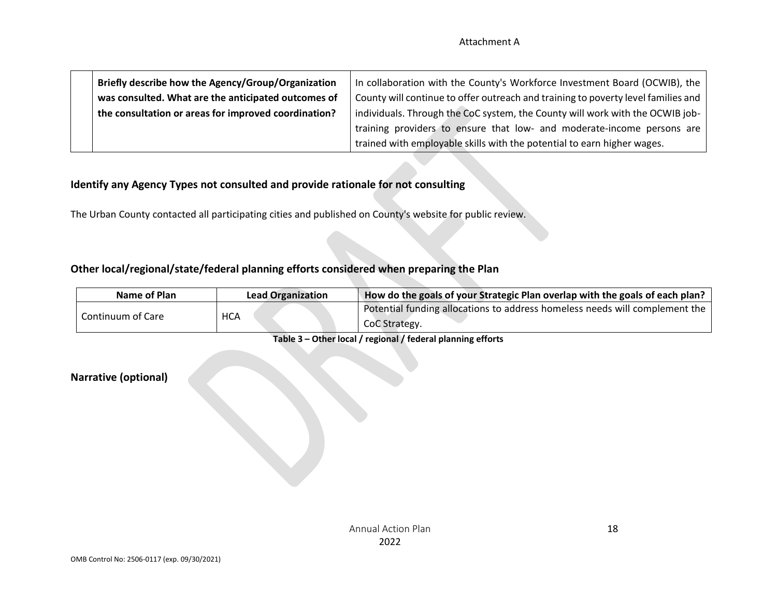| Briefly describe how the Agency/Group/Organization   | In collaboration with the County's Workforce Investment Board (OCWIB), the        |
|------------------------------------------------------|-----------------------------------------------------------------------------------|
| was consulted. What are the anticipated outcomes of  | County will continue to offer outreach and training to poverty level families and |
| the consultation or areas for improved coordination? | individuals. Through the CoC system, the County will work with the OCWIB job-     |
|                                                      | training providers to ensure that low- and moderate-income persons are            |
|                                                      | trained with employable skills with the potential to earn higher wages.           |

#### **Identify any Agency Types not consulted and provide rationale for not consulting**

The Urban County contacted all participating cities and published on County's website for public review.

#### **Other local/regional/state/federal planning efforts considered when preparing the Plan**

| Name of Plan      | <b>Lead Organization</b> | How do the goals of your Strategic Plan overlap with the goals of each plan?                 |
|-------------------|--------------------------|----------------------------------------------------------------------------------------------|
| Continuum of Care | <b>HCA</b>               | Potential funding allocations to address homeless needs will complement the<br>CoC Strategy. |

**Table 3 – Other local / regional / federal planning efforts**

#### **Narrative (optional)**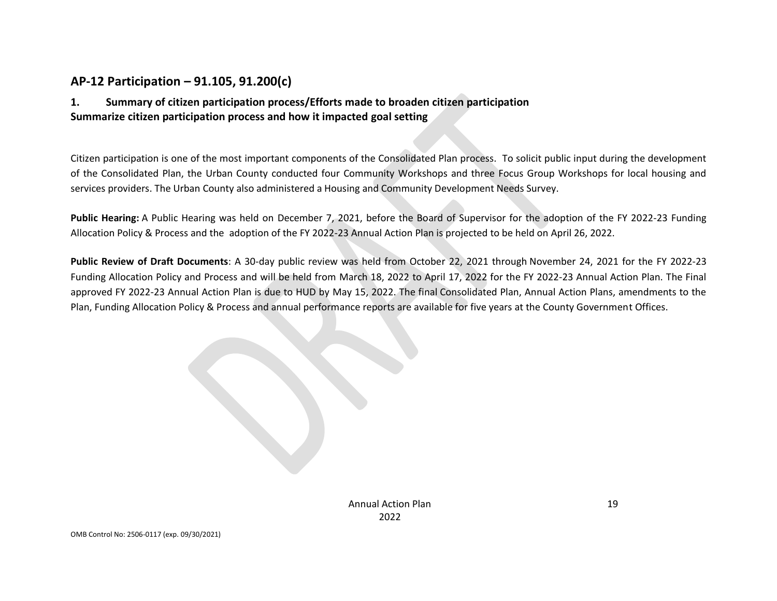## **AP-12 Participation – 91.105, 91.200(c)**

#### **1. Summary of citizen participation process/Efforts made to broaden citizen participation Summarize citizen participation process and how it impacted goal setting**

Citizen participation is one of the most important components of the Consolidated Plan process. To solicit public input during the development of the Consolidated Plan, the Urban County conducted four Community Workshops and three Focus Group Workshops for local housing and services providers. The Urban County also administered a Housing and Community Development Needs Survey.

**Public Hearing:** A Public Hearing was held on December 7, 2021, before the Board of Supervisor for the adoption of the FY 2022-23 Funding Allocation Policy & Process and the adoption of the FY 2022-23 Annual Action Plan is projected to be held on April 26, 2022.

**Public Review of Draft Documents**: A 30-day public review was held from October 22, 2021 through November 24, 2021 for the FY 2022-23 Funding Allocation Policy and Process and will be held from March 18, 2022 to April 17, 2022 for the FY 2022-23 Annual Action Plan. The Final approved FY 2022-23 Annual Action Plan is due to HUD by May 15, 2022. The final Consolidated Plan, Annual Action Plans, amendments to the Plan, Funding Allocation Policy & Process and annual performance reports are available for five years at the County Government Offices.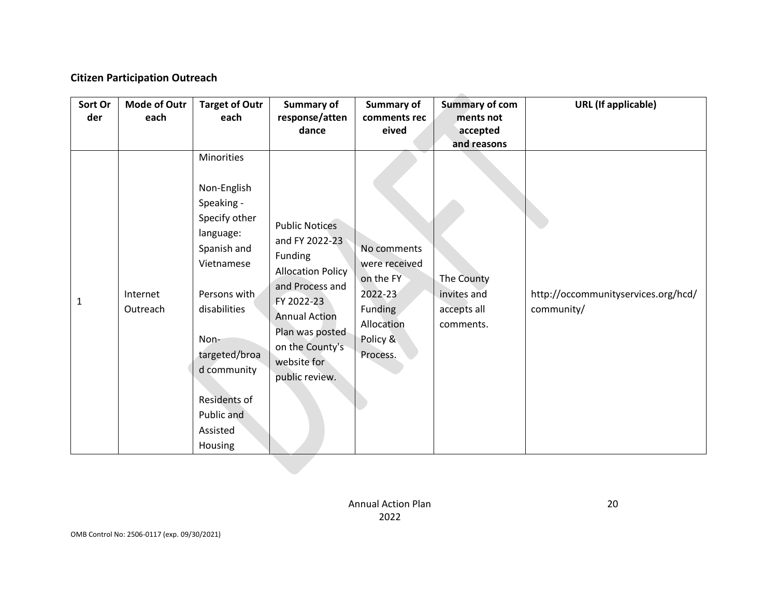#### **Citizen Participation Outreach**

| Sort Or | Mode of Outr         | <b>Target of Outr</b>                                                                                                                                                                                             | Summary of                                                                                                                                                                                                     | <b>Summary of</b>                                                                                     | <b>Summary of com</b>                                 | <b>URL</b> (If applicable)                        |
|---------|----------------------|-------------------------------------------------------------------------------------------------------------------------------------------------------------------------------------------------------------------|----------------------------------------------------------------------------------------------------------------------------------------------------------------------------------------------------------------|-------------------------------------------------------------------------------------------------------|-------------------------------------------------------|---------------------------------------------------|
| der     | each                 | each                                                                                                                                                                                                              | response/atten                                                                                                                                                                                                 | comments rec                                                                                          | ments not                                             |                                                   |
|         |                      |                                                                                                                                                                                                                   | dance                                                                                                                                                                                                          | eived                                                                                                 | accepted                                              |                                                   |
|         |                      | Minorities                                                                                                                                                                                                        |                                                                                                                                                                                                                |                                                                                                       | and reasons                                           |                                                   |
| 1       | Internet<br>Outreach | Non-English<br>Speaking -<br>Specify other<br>language:<br>Spanish and<br>Vietnamese<br>Persons with<br>disabilities<br>Non-<br>targeted/broa<br>d community<br>Residents of<br>Public and<br>Assisted<br>Housing | <b>Public Notices</b><br>and FY 2022-23<br>Funding<br><b>Allocation Policy</b><br>and Process and<br>FY 2022-23<br><b>Annual Action</b><br>Plan was posted<br>on the County's<br>website for<br>public review. | No comments<br>were received<br>on the FY<br>2022-23<br>Funding<br>Allocation<br>Policy &<br>Process. | The County<br>invites and<br>accepts all<br>comments. | http://occommunityservices.org/hcd/<br>community/ |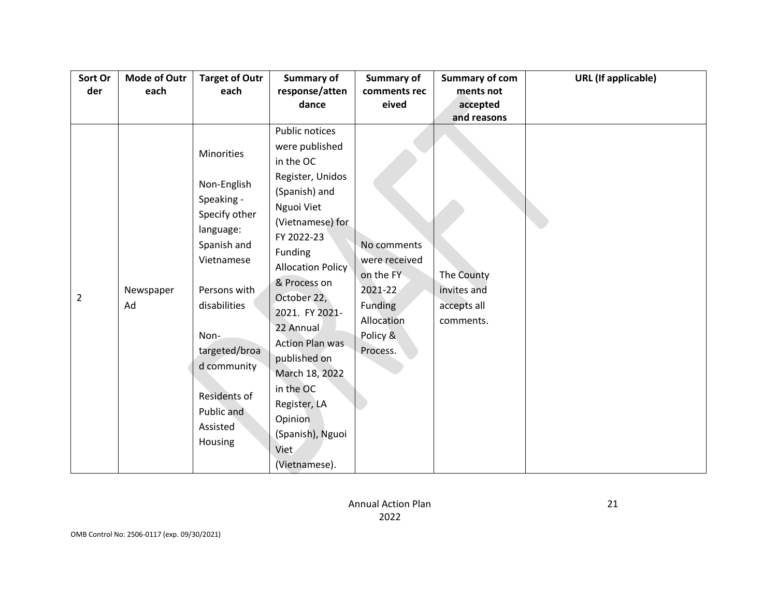| Sort Or | <b>Mode of Outr</b> | <b>Target of Outr</b>                                                                                                                                                                                                           | Summary of                                                                                                                                                                                                                                                                                                                                                               | Summary of                                                                                                            | <b>Summary of com</b>                                                            | <b>URL</b> (If applicable) |
|---------|---------------------|---------------------------------------------------------------------------------------------------------------------------------------------------------------------------------------------------------------------------------|--------------------------------------------------------------------------------------------------------------------------------------------------------------------------------------------------------------------------------------------------------------------------------------------------------------------------------------------------------------------------|-----------------------------------------------------------------------------------------------------------------------|----------------------------------------------------------------------------------|----------------------------|
| der     | each                | each                                                                                                                                                                                                                            | response/atten                                                                                                                                                                                                                                                                                                                                                           | comments rec                                                                                                          | ments not                                                                        |                            |
|         |                     |                                                                                                                                                                                                                                 |                                                                                                                                                                                                                                                                                                                                                                          |                                                                                                                       |                                                                                  |                            |
|         |                     |                                                                                                                                                                                                                                 |                                                                                                                                                                                                                                                                                                                                                                          |                                                                                                                       |                                                                                  |                            |
| 2       | Newspaper<br>Ad     | Minorities<br>Non-English<br>Speaking -<br>Specify other<br>language:<br>Spanish and<br>Vietnamese<br>Persons with<br>disabilities<br>Non-<br>targeted/broa<br>d community<br>Residents of<br>Public and<br>Assisted<br>Housing | dance<br>Public notices<br>were published<br>in the OC<br>Register, Unidos<br>(Spanish) and<br>Nguoi Viet<br>(Vietnamese) for<br>FY 2022-23<br>Funding<br><b>Allocation Policy</b><br>& Process on<br>October 22,<br>2021. FY 2021-<br>22 Annual<br><b>Action Plan was</b><br>published on<br>March 18, 2022<br>in the OC<br>Register, LA<br>Opinion<br>(Spanish), Nguoi | eived<br>No comments<br>were received<br>on the FY<br>2021-22<br><b>Funding</b><br>Allocation<br>Policy &<br>Process. | accepted<br>and reasons<br>The County<br>invites and<br>accepts all<br>comments. |                            |
|         |                     |                                                                                                                                                                                                                                 | Viet<br>(Vietnamese).                                                                                                                                                                                                                                                                                                                                                    |                                                                                                                       |                                                                                  |                            |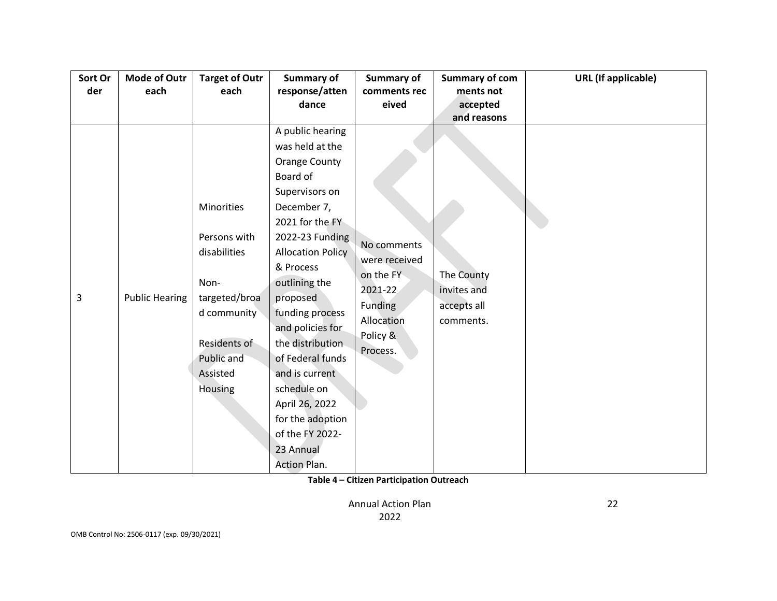| Sort Or | <b>Mode of Outr</b>   | <b>Target of Outr</b> | Summary of               | Summary of     | <b>Summary of com</b> | <b>URL</b> (If applicable) |
|---------|-----------------------|-----------------------|--------------------------|----------------|-----------------------|----------------------------|
| der     | each                  | each                  | response/atten           | comments rec   | ments not             |                            |
|         |                       |                       | dance                    | eived          | accepted              |                            |
|         |                       |                       |                          |                | and reasons           |                            |
|         |                       |                       | A public hearing         |                |                       |                            |
|         |                       |                       | was held at the          |                |                       |                            |
|         |                       |                       | <b>Orange County</b>     |                |                       |                            |
|         |                       |                       | Board of                 |                |                       |                            |
|         |                       |                       | Supervisors on           |                |                       |                            |
|         |                       | Minorities            | December 7,              |                |                       |                            |
|         |                       |                       | 2021 for the FY          |                |                       |                            |
|         |                       | Persons with          | 2022-23 Funding          |                |                       |                            |
|         |                       | disabilities          | <b>Allocation Policy</b> | No comments    |                       |                            |
|         |                       |                       | & Process                | were received  |                       |                            |
|         |                       | Non-                  | outlining the            | on the FY      | The County            |                            |
| 3       | <b>Public Hearing</b> | targeted/broa         | proposed                 | 2021-22        | invites and           |                            |
|         |                       | d community           | funding process          | <b>Funding</b> | accepts all           |                            |
|         |                       |                       | and policies for         | Allocation     | comments.             |                            |
|         |                       | Residents of          | the distribution         | Policy &       |                       |                            |
|         |                       | Public and            | of Federal funds         | Process.       |                       |                            |
|         |                       | Assisted              | and is current           |                |                       |                            |
|         |                       | Housing               | schedule on              |                |                       |                            |
|         |                       |                       | April 26, 2022           |                |                       |                            |
|         |                       |                       |                          |                |                       |                            |
|         |                       |                       | for the adoption         |                |                       |                            |
|         |                       |                       | of the FY 2022-          |                |                       |                            |
|         |                       |                       | 23 Annual                |                |                       |                            |
|         |                       |                       | <b>Action Plan.</b>      |                |                       |                            |

**Table 4 – Citizen Participation Outreach**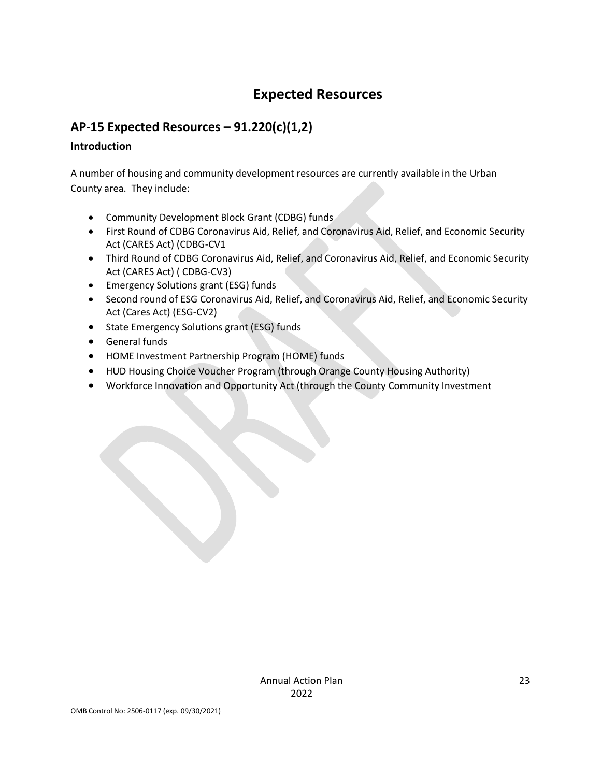## **Expected Resources**

## **AP-15 Expected Resources – 91.220(c)(1,2)**

#### **Introduction**

A number of housing and community development resources are currently available in the Urban County area. They include:

- Community Development Block Grant (CDBG) funds
- First Round of CDBG Coronavirus Aid, Relief, and Coronavirus Aid, Relief, and Economic Security Act (CARES Act) (CDBG-CV1
- Third Round of CDBG Coronavirus Aid, Relief, and Coronavirus Aid, Relief, and Economic Security Act (CARES Act) ( CDBG-CV3)
- Emergency Solutions grant (ESG) funds
- Second round of ESG Coronavirus Aid, Relief, and Coronavirus Aid, Relief, and Economic Security Act (Cares Act) (ESG-CV2)
- State Emergency Solutions grant (ESG) funds
- General funds
- HOME Investment Partnership Program (HOME) funds
- HUD Housing Choice Voucher Program (through Orange County Housing Authority)
- Workforce Innovation and Opportunity Act (through the County Community Investment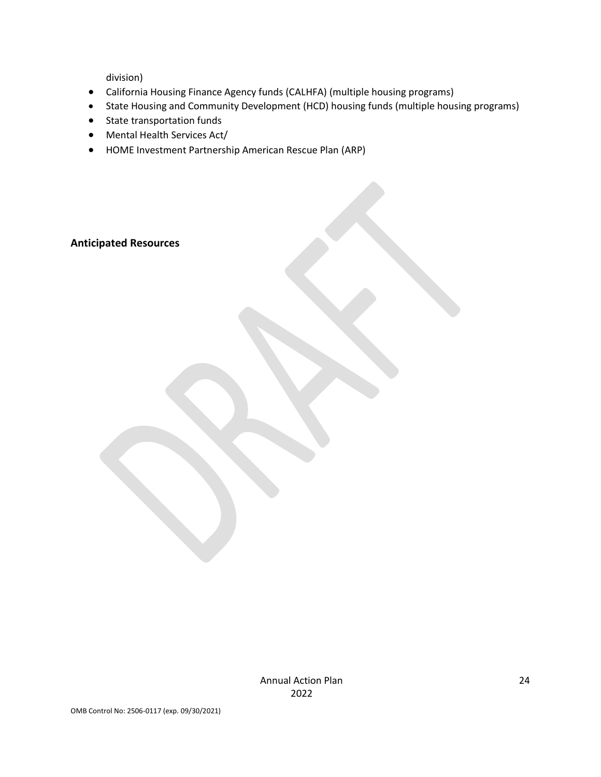division)

- California Housing Finance Agency funds (CALHFA) (multiple housing programs)
- State Housing and Community Development (HCD) housing funds (multiple housing programs)
- State transportation funds
- Mental Health Services Act/
- HOME Investment Partnership American Rescue Plan (ARP)

#### **Anticipated Resources**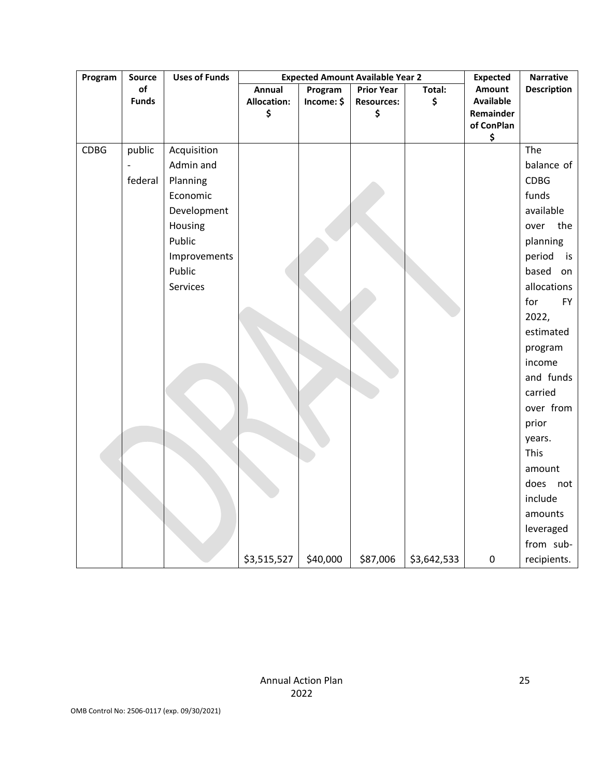| Program     | <b>Source</b> | <b>Uses of Funds</b> |                    | <b>Expected Amount Available Year 2</b> | <b>Expected</b>   | <b>Narrative</b> |                         |                    |
|-------------|---------------|----------------------|--------------------|-----------------------------------------|-------------------|------------------|-------------------------|--------------------|
|             | of            |                      | Annual             | Program                                 | <b>Prior Year</b> | Total:           | Amount                  | <b>Description</b> |
|             | <b>Funds</b>  |                      | <b>Allocation:</b> | Income: \$                              | <b>Resources:</b> | \$               | <b>Available</b>        |                    |
|             |               |                      | \$                 |                                         | \$                |                  | Remainder<br>of ConPlan |                    |
|             |               |                      |                    |                                         |                   |                  | \$                      |                    |
| <b>CDBG</b> | public        | Acquisition          |                    |                                         |                   |                  |                         | The                |
|             |               | Admin and            |                    |                                         |                   |                  |                         | balance of         |
|             | federal       | Planning             |                    |                                         |                   |                  |                         | <b>CDBG</b>        |
|             |               | Economic             |                    |                                         |                   |                  |                         | funds              |
|             |               | Development          |                    |                                         |                   |                  |                         | available          |
|             |               | Housing              |                    |                                         |                   |                  |                         | the<br>over        |
|             |               | Public               |                    |                                         |                   |                  |                         | planning           |
|             |               | Improvements         |                    |                                         |                   |                  |                         | period<br>is       |
|             |               | Public               |                    |                                         |                   |                  |                         | based on           |
|             |               | Services             |                    |                                         |                   |                  |                         | allocations        |
|             |               |                      |                    |                                         |                   |                  |                         | for<br><b>FY</b>   |
|             |               |                      |                    |                                         |                   |                  |                         | 2022,              |
|             |               |                      |                    |                                         |                   |                  |                         | estimated          |
|             |               |                      |                    |                                         |                   |                  |                         | program            |
|             |               |                      |                    |                                         |                   |                  |                         | income             |
|             |               |                      |                    |                                         |                   |                  |                         | and funds          |
|             |               |                      |                    |                                         |                   |                  |                         | carried            |
|             |               |                      |                    |                                         |                   |                  |                         | over from          |
|             |               |                      |                    |                                         |                   |                  |                         | prior              |
|             |               |                      |                    |                                         |                   |                  |                         | years.             |
|             |               |                      |                    |                                         |                   |                  |                         | This               |
|             |               |                      |                    |                                         |                   |                  |                         | amount             |
|             |               |                      |                    |                                         |                   |                  |                         | does<br>not        |
|             |               |                      |                    |                                         |                   |                  |                         | include            |
|             |               |                      |                    |                                         |                   |                  |                         | amounts            |
|             |               |                      |                    |                                         |                   |                  |                         | leveraged          |
|             |               |                      |                    |                                         |                   |                  |                         | from sub-          |
|             |               |                      | \$3,515,527        | \$40,000                                | \$87,006          | \$3,642,533      | $\pmb{0}$               | recipients.        |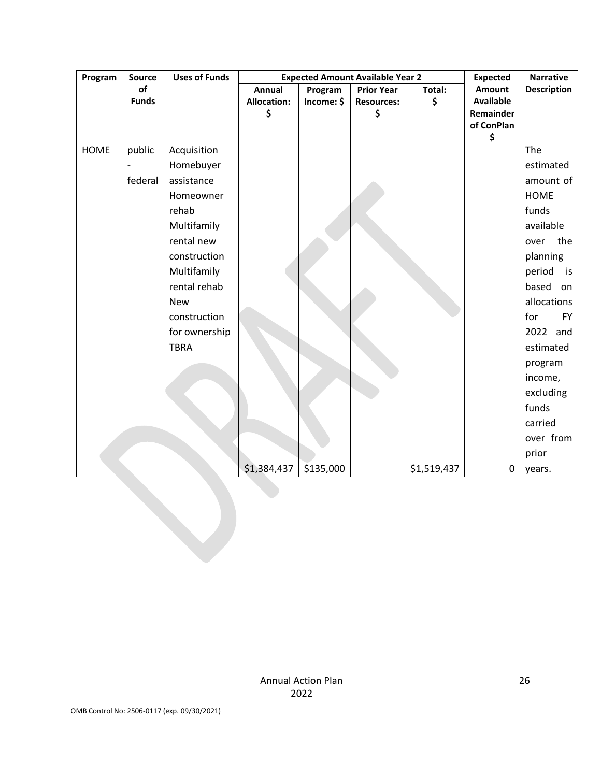| Program     | Source                   | <b>Uses of Funds</b> |                    |            | <b>Expected Amount Available Year 2</b> |             | <b>Expected</b>  | <b>Narrative</b>   |
|-------------|--------------------------|----------------------|--------------------|------------|-----------------------------------------|-------------|------------------|--------------------|
|             | of                       |                      | Annual             | Program    | <b>Prior Year</b>                       | Total:      | <b>Amount</b>    | <b>Description</b> |
|             | <b>Funds</b>             |                      | <b>Allocation:</b> | Income: \$ | <b>Resources:</b>                       | \$          | <b>Available</b> |                    |
|             |                          |                      | \$                 |            | \$                                      |             | Remainder        |                    |
|             |                          |                      |                    |            |                                         |             | of ConPlan<br>\$ |                    |
| <b>HOME</b> | public                   | Acquisition          |                    |            |                                         |             |                  | The                |
|             | $\overline{\phantom{a}}$ | Homebuyer            |                    |            |                                         |             |                  | estimated          |
|             | federal                  | assistance           |                    |            |                                         |             |                  | amount of          |
|             |                          | Homeowner            |                    |            |                                         |             |                  | <b>HOME</b>        |
|             |                          | rehab                |                    |            |                                         |             |                  | funds              |
|             |                          | Multifamily          |                    |            |                                         |             |                  | available          |
|             |                          | rental new           |                    |            |                                         |             |                  | over<br>the        |
|             |                          | construction         |                    |            |                                         |             |                  | planning           |
|             |                          | Multifamily          |                    |            |                                         |             |                  | period<br>is       |
|             |                          | rental rehab         |                    |            |                                         |             |                  | based on           |
|             |                          | <b>New</b>           |                    |            |                                         |             |                  | allocations        |
|             |                          | construction         |                    |            |                                         |             |                  | for<br><b>FY</b>   |
|             |                          | for ownership        |                    |            |                                         |             |                  | 2022 and           |
|             |                          | <b>TBRA</b>          |                    |            |                                         |             |                  | estimated          |
|             |                          |                      |                    |            |                                         |             |                  | program            |
|             |                          |                      |                    |            |                                         |             |                  | income,            |
|             |                          |                      |                    |            |                                         |             |                  | excluding          |
|             |                          |                      |                    |            |                                         |             |                  | funds              |
|             |                          |                      |                    |            |                                         |             |                  | carried            |
|             |                          |                      |                    |            |                                         |             |                  | over from          |
|             |                          |                      |                    |            |                                         |             |                  | prior              |
|             |                          |                      | \$1,384,437        | \$135,000  |                                         | \$1,519,437 | $\pmb{0}$        | years.             |
|             |                          |                      |                    |            |                                         |             |                  |                    |
|             |                          |                      |                    |            |                                         |             |                  |                    |
|             |                          |                      |                    |            |                                         |             |                  |                    |
|             |                          |                      |                    |            |                                         |             |                  |                    |
|             |                          |                      |                    |            |                                         |             |                  |                    |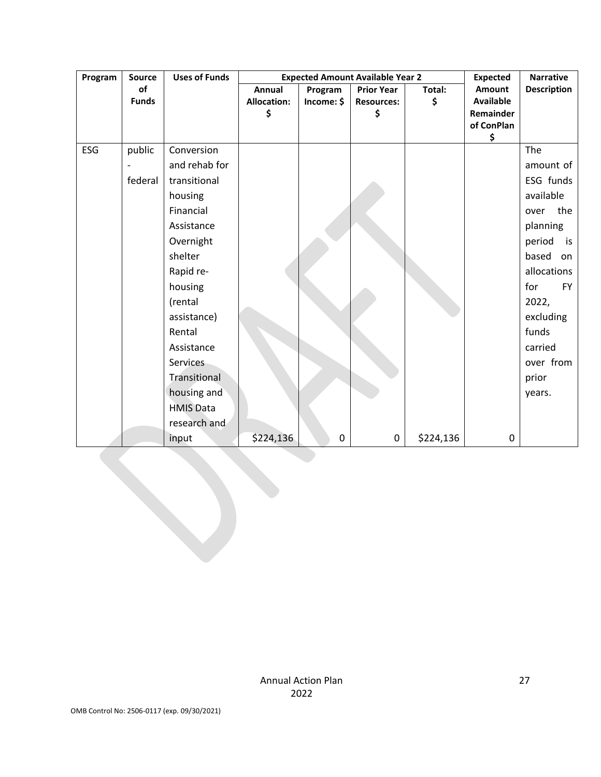| Program | <b>Source</b> | <b>Uses of Funds</b> |                    | <b>Expected Amount Available Year 2</b> | <b>Expected</b>   | <b>Narrative</b> |                  |                    |
|---------|---------------|----------------------|--------------------|-----------------------------------------|-------------------|------------------|------------------|--------------------|
|         | of            |                      | Annual             | Program                                 | <b>Prior Year</b> | Total:           | <b>Amount</b>    | <b>Description</b> |
|         | <b>Funds</b>  |                      | <b>Allocation:</b> | Income: \$                              | <b>Resources:</b> | \$               | <b>Available</b> |                    |
|         |               |                      | \$                 |                                         | Ś                 |                  | Remainder        |                    |
|         |               |                      |                    |                                         |                   |                  | of ConPlan<br>\$ |                    |
| ESG     | public        | Conversion           |                    |                                         |                   |                  |                  | The                |
|         |               | and rehab for        |                    |                                         |                   |                  |                  | amount of          |
|         | federal       | transitional         |                    |                                         |                   |                  |                  | ESG funds          |
|         |               | housing              |                    |                                         |                   |                  |                  | available          |
|         |               | Financial            |                    |                                         |                   |                  |                  | the<br>over        |
|         |               | Assistance           |                    |                                         |                   |                  |                  | planning           |
|         |               | Overnight            |                    |                                         |                   |                  |                  | period<br>is       |
|         |               | shelter              |                    |                                         |                   |                  |                  | based<br>on        |
|         |               | Rapid re-            |                    |                                         |                   |                  |                  | allocations        |
|         |               | housing              |                    |                                         |                   |                  |                  | for<br><b>FY</b>   |
|         |               | (rental              |                    |                                         |                   |                  |                  | 2022,              |
|         |               | assistance)          |                    |                                         |                   |                  |                  | excluding          |
|         |               | Rental               |                    |                                         |                   |                  |                  | funds              |
|         |               | Assistance           |                    |                                         |                   |                  |                  | carried            |
|         |               | <b>Services</b>      |                    |                                         |                   |                  |                  | over from          |
|         |               | Transitional         |                    |                                         |                   |                  |                  | prior              |
|         |               | housing and          |                    |                                         |                   |                  |                  | years.             |
|         |               | <b>HMIS Data</b>     |                    |                                         |                   |                  |                  |                    |
|         |               | research and         |                    |                                         |                   |                  |                  |                    |
|         |               | input                | \$224,136          | 0                                       | 0                 | \$224,136        | $\pmb{0}$        |                    |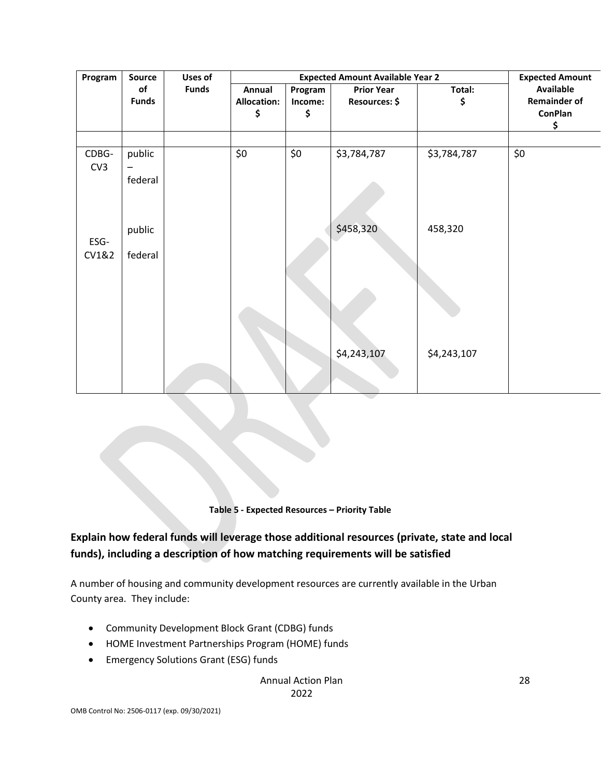| Program      | <b>Source</b>      | Uses of      |                                    |                          | <b>Expected Amount Available Year 2</b> |              | <b>Expected Amount</b>                                          |
|--------------|--------------------|--------------|------------------------------------|--------------------------|-----------------------------------------|--------------|-----------------------------------------------------------------|
|              | of<br><b>Funds</b> | <b>Funds</b> | Annual<br><b>Allocation:</b><br>\$ | Program<br>Income:<br>\$ | <b>Prior Year</b><br>Resources: \$      | Total:<br>\$ | <b>Available</b><br><b>Remainder of</b><br><b>ConPlan</b><br>\$ |
|              |                    |              |                                    |                          |                                         |              |                                                                 |
| CDBG-<br>CV3 | public<br>federal  |              | \$0                                | \$0                      | \$3,784,787                             | \$3,784,787  | \$0                                                             |
| ESG-         | public             |              |                                    |                          | \$458,320                               | 458,320      |                                                                 |
| CV1&2        | federal            |              |                                    |                          |                                         |              |                                                                 |
|              |                    |              |                                    |                          | \$4,243,107                             | \$4,243,107  |                                                                 |
|              |                    |              |                                    |                          |                                         |              |                                                                 |

**Table 5 - Expected Resources – Priority Table**

## **Explain how federal funds will leverage those additional resources (private, state and local funds), including a description of how matching requirements will be satisfied**

A number of housing and community development resources are currently available in the Urban County area. They include:

- Community Development Block Grant (CDBG) funds
- HOME Investment Partnerships Program (HOME) funds
- Emergency Solutions Grant (ESG) funds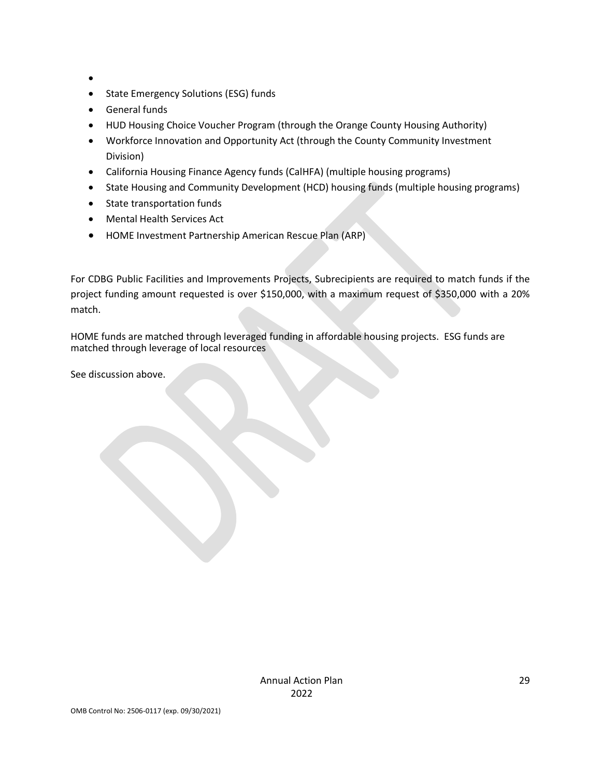- •
- State Emergency Solutions (ESG) funds
- General funds
- HUD Housing Choice Voucher Program (through the Orange County Housing Authority)
- Workforce Innovation and Opportunity Act (through the County Community Investment Division)
- California Housing Finance Agency funds (CalHFA) (multiple housing programs)
- State Housing and Community Development (HCD) housing funds (multiple housing programs)
- State transportation funds
- Mental Health Services Act
- HOME Investment Partnership American Rescue Plan (ARP)

For CDBG Public Facilities and Improvements Projects, Subrecipients are required to match funds if the project funding amount requested is over \$150,000, with a maximum request of \$350,000 with a 20% match.

HOME funds are matched through leveraged funding in affordable housing projects. ESG funds are matched through leverage of local resources

See discussion above.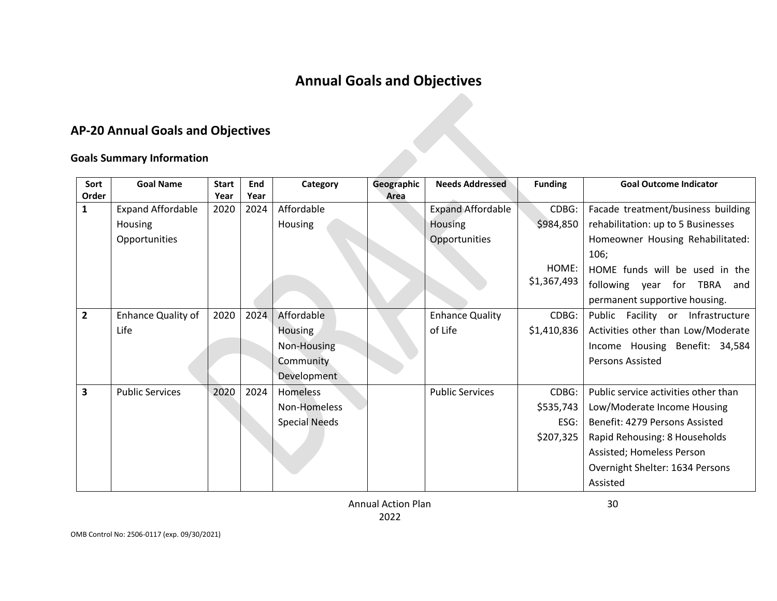## **Annual Goals and Objectives**

## **AP-20 Annual Goals and Objectives**

#### **Goals Summary Information**

| Sort           | <b>Goal Name</b>          | <b>Start</b> | End  | Category             | Geographic | <b>Needs Addressed</b>   | <b>Funding</b> | <b>Goal Outcome Indicator</b>        |
|----------------|---------------------------|--------------|------|----------------------|------------|--------------------------|----------------|--------------------------------------|
| Order          |                           | Year         | Year |                      | Area       |                          |                |                                      |
| $\mathbf{1}$   | <b>Expand Affordable</b>  | 2020         | 2024 | Affordable           |            | <b>Expand Affordable</b> | CDBG:          | Facade treatment/business building   |
|                | <b>Housing</b>            |              |      | Housing              |            | <b>Housing</b>           | \$984,850      | rehabilitation: up to 5 Businesses   |
|                | Opportunities             |              |      |                      |            | Opportunities            |                | Homeowner Housing Rehabilitated:     |
|                |                           |              |      |                      |            |                          |                | 106;                                 |
|                |                           |              |      |                      |            |                          | HOME:          | HOME funds will be used in the       |
|                |                           |              |      |                      |            |                          | \$1,367,493    | following year for TBRA and          |
|                |                           |              |      |                      |            |                          |                | permanent supportive housing.        |
| $\overline{2}$ | <b>Enhance Quality of</b> | 2020         | 2024 | Affordable           |            | <b>Enhance Quality</b>   | CDBG:          | Public Facility or Infrastructure    |
|                | Life                      |              |      | Housing              |            | of Life                  | \$1,410,836    | Activities other than Low/Moderate   |
|                |                           |              |      | Non-Housing          |            |                          |                | Income Housing Benefit: 34,584       |
|                |                           |              |      | Community            |            |                          |                | Persons Assisted                     |
|                |                           |              |      | Development          |            |                          |                |                                      |
| 3              | <b>Public Services</b>    | 2020         | 2024 | Homeless             |            | <b>Public Services</b>   | CDBG:          | Public service activities other than |
|                |                           |              |      | Non-Homeless         |            |                          | \$535,743      | Low/Moderate Income Housing          |
|                |                           |              |      | <b>Special Needs</b> |            |                          | ESG:           | Benefit: 4279 Persons Assisted       |
|                |                           |              |      |                      |            |                          | \$207,325      | Rapid Rehousing: 8 Households        |
|                |                           |              |      |                      |            |                          |                | Assisted; Homeless Person            |
|                |                           |              |      |                      |            |                          |                | Overnight Shelter: 1634 Persons      |
|                |                           |              |      |                      |            |                          |                | Assisted                             |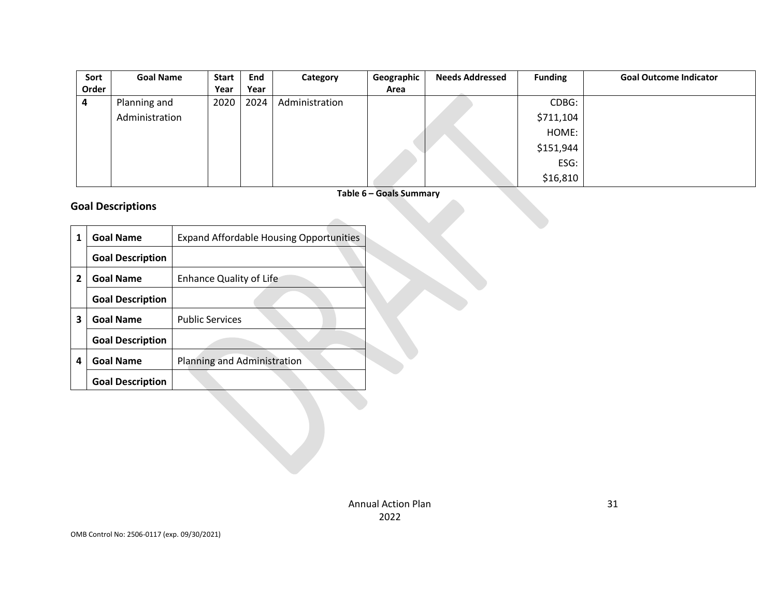| Sort  | <b>Goal Name</b> | <b>Start</b> | End  | Category       | Geographic | <b>Needs Addressed</b> | <b>Funding</b> | <b>Goal Outcome Indicator</b> |
|-------|------------------|--------------|------|----------------|------------|------------------------|----------------|-------------------------------|
| Order |                  | Year         | Year |                | Area       |                        |                |                               |
| 4     | Planning and     | 2020         | 2024 | Administration |            |                        | CDBG:          |                               |
|       | Administration   |              |      |                |            |                        | \$711,104      |                               |
|       |                  |              |      |                |            |                        | HOME:          |                               |
|       |                  |              |      |                |            |                        | \$151,944      |                               |
|       |                  |              |      |                |            |                        | ESG:           |                               |
|       |                  |              |      |                |            |                        | \$16,810       |                               |

**Table 6 – Goals Summary**

#### **Goal Descriptions**

| 1 | <b>Goal Name</b>        | <b>Expand Affordable Housing Opportunities</b> |  |
|---|-------------------------|------------------------------------------------|--|
|   | <b>Goal Description</b> |                                                |  |
| 2 | <b>Goal Name</b>        | <b>Enhance Quality of Life</b>                 |  |
|   | <b>Goal Description</b> |                                                |  |
| 3 | <b>Goal Name</b>        | <b>Public Services</b>                         |  |
|   | <b>Goal Description</b> |                                                |  |
| 4 | <b>Goal Name</b>        | Planning and Administration                    |  |
|   | <b>Goal Description</b> |                                                |  |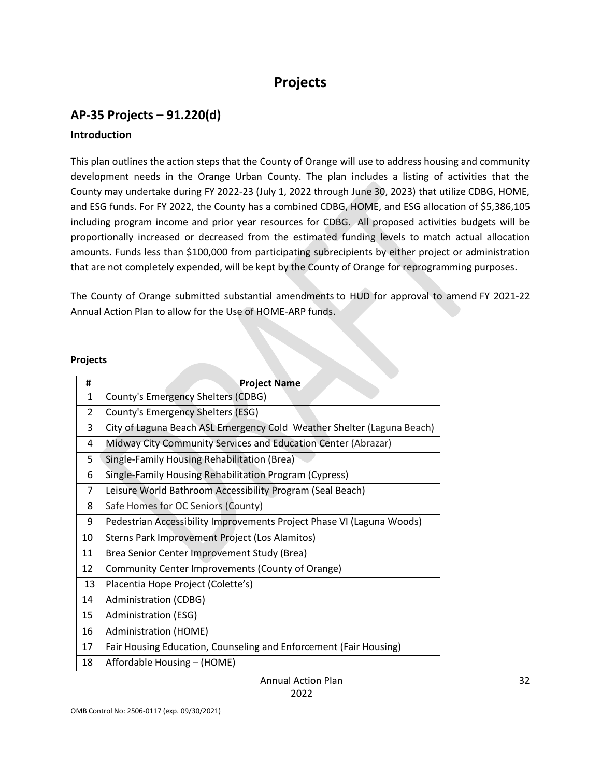## **Projects**

# **AP-35 Projects – 91.220(d)**

#### **Introduction**

This plan outlines the action steps that the County of Orange will use to address housing and community development needs in the Orange Urban County. The plan includes a listing of activities that the County may undertake during FY 2022-23 (July 1, 2022 through June 30, 2023) that utilize CDBG, HOME, and ESG funds. For FY 2022, the County has a combined CDBG, HOME, and ESG allocation of \$5,386,105 including program income and prior year resources for CDBG. All proposed activities budgets will be proportionally increased or decreased from the estimated funding levels to match actual allocation amounts. Funds less than \$100,000 from participating subrecipients by either project or administration that are not completely expended, will be kept by the County of Orange for reprogramming purposes.

The County of Orange submitted substantial amendments to HUD for approval to amend FY 2021-22 Annual Action Plan to allow for the Use of HOME-ARP funds.

#### **Projects**

| #                        | <b>Project Name</b>                                                    |
|--------------------------|------------------------------------------------------------------------|
| $\mathbf{1}$             | County's Emergency Shelters (CDBG)                                     |
| $\overline{\mathcal{L}}$ | County's Emergency Shelters (ESG)                                      |
| 3                        | City of Laguna Beach ASL Emergency Cold Weather Shelter (Laguna Beach) |
| 4                        | Midway City Community Services and Education Center (Abrazar)          |
| 5                        | Single-Family Housing Rehabilitation (Brea)                            |
| 6                        | Single-Family Housing Rehabilitation Program (Cypress)                 |
| 7                        | Leisure World Bathroom Accessibility Program (Seal Beach)              |
| 8                        | Safe Homes for OC Seniors (County)                                     |
| 9                        | Pedestrian Accessibility Improvements Project Phase VI (Laguna Woods)  |
| 10                       | Sterns Park Improvement Project (Los Alamitos)                         |
| 11                       | Brea Senior Center Improvement Study (Brea)                            |
| 12                       | Community Center Improvements (County of Orange)                       |
| 13                       | Placentia Hope Project (Colette's)                                     |
| 14                       | Administration (CDBG)                                                  |
| 15                       | Administration (ESG)                                                   |
| 16                       | Administration (HOME)                                                  |
| 17                       | Fair Housing Education, Counseling and Enforcement (Fair Housing)      |
| 18                       | Affordable Housing - (HOME)                                            |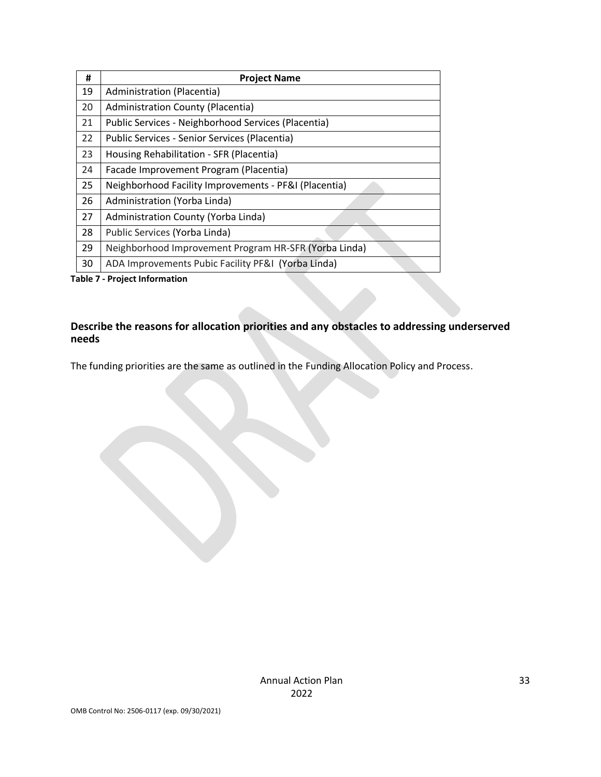| #  | <b>Project Name</b>                                   |
|----|-------------------------------------------------------|
| 19 | Administration (Placentia)                            |
| 20 | <b>Administration County (Placentia)</b>              |
| 21 | Public Services - Neighborhood Services (Placentia)   |
| 22 | Public Services - Senior Services (Placentia)         |
| 23 | Housing Rehabilitation - SFR (Placentia)              |
| 24 | Facade Improvement Program (Placentia)                |
| 25 | Neighborhood Facility Improvements - PF&I (Placentia) |
| 26 | Administration (Yorba Linda)                          |
| 27 | Administration County (Yorba Linda)                   |
| 28 | Public Services (Yorba Linda)                         |
| 29 | Neighborhood Improvement Program HR-SFR (Yorba Linda) |
| 30 | ADA Improvements Pubic Facility PF&I (Yorba Linda)    |

**Table 7 - Project Information**

#### **Describe the reasons for allocation priorities and any obstacles to addressing underserved needs**

The funding priorities are the same as outlined in the Funding Allocation Policy and Process.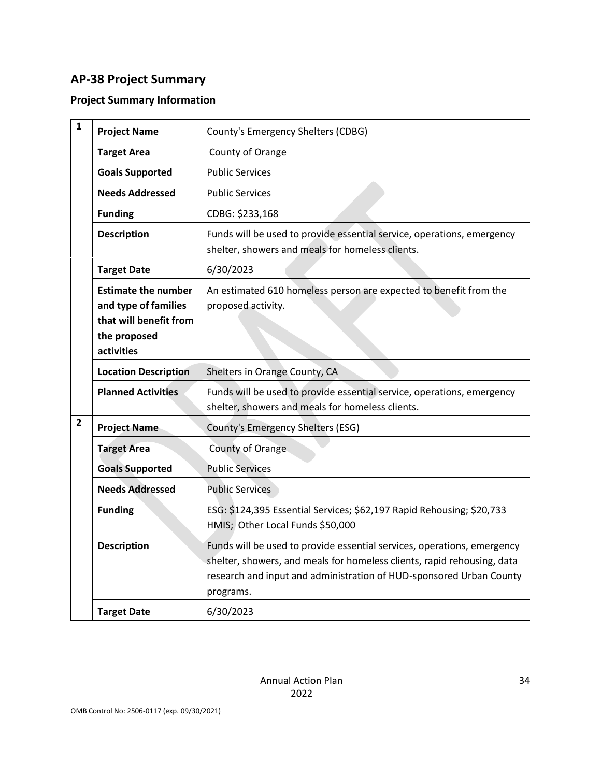## **AP-38 Project Summary**

## **Project Summary Information**

| $\mathbf{1}$   | <b>Project Name</b>                                                                                        | County's Emergency Shelters (CDBG)                                                                                                                                                                                                     |
|----------------|------------------------------------------------------------------------------------------------------------|----------------------------------------------------------------------------------------------------------------------------------------------------------------------------------------------------------------------------------------|
|                | <b>Target Area</b>                                                                                         | County of Orange                                                                                                                                                                                                                       |
|                | <b>Goals Supported</b>                                                                                     | <b>Public Services</b>                                                                                                                                                                                                                 |
|                | <b>Needs Addressed</b>                                                                                     | <b>Public Services</b>                                                                                                                                                                                                                 |
|                | <b>Funding</b>                                                                                             | CDBG: \$233,168                                                                                                                                                                                                                        |
|                | <b>Description</b>                                                                                         | Funds will be used to provide essential service, operations, emergency<br>shelter, showers and meals for homeless clients.                                                                                                             |
|                | <b>Target Date</b>                                                                                         | 6/30/2023                                                                                                                                                                                                                              |
|                | <b>Estimate the number</b><br>and type of families<br>that will benefit from<br>the proposed<br>activities | An estimated 610 homeless person are expected to benefit from the<br>proposed activity.                                                                                                                                                |
|                | <b>Location Description</b>                                                                                | Shelters in Orange County, CA                                                                                                                                                                                                          |
|                | <b>Planned Activities</b>                                                                                  | Funds will be used to provide essential service, operations, emergency<br>shelter, showers and meals for homeless clients.                                                                                                             |
| $\overline{2}$ | <b>Project Name</b>                                                                                        | County's Emergency Shelters (ESG)                                                                                                                                                                                                      |
|                | <b>Target Area</b>                                                                                         | County of Orange                                                                                                                                                                                                                       |
|                | <b>Goals Supported</b>                                                                                     | <b>Public Services</b>                                                                                                                                                                                                                 |
|                | <b>Needs Addressed</b>                                                                                     | <b>Public Services</b>                                                                                                                                                                                                                 |
|                | <b>Funding</b>                                                                                             | ESG: \$124,395 Essential Services; \$62,197 Rapid Rehousing; \$20,733<br>HMIS; Other Local Funds \$50,000                                                                                                                              |
|                | <b>Description</b>                                                                                         | Funds will be used to provide essential services, operations, emergency<br>shelter, showers, and meals for homeless clients, rapid rehousing, data<br>research and input and administration of HUD-sponsored Urban County<br>programs. |
|                | <b>Target Date</b>                                                                                         | 6/30/2023                                                                                                                                                                                                                              |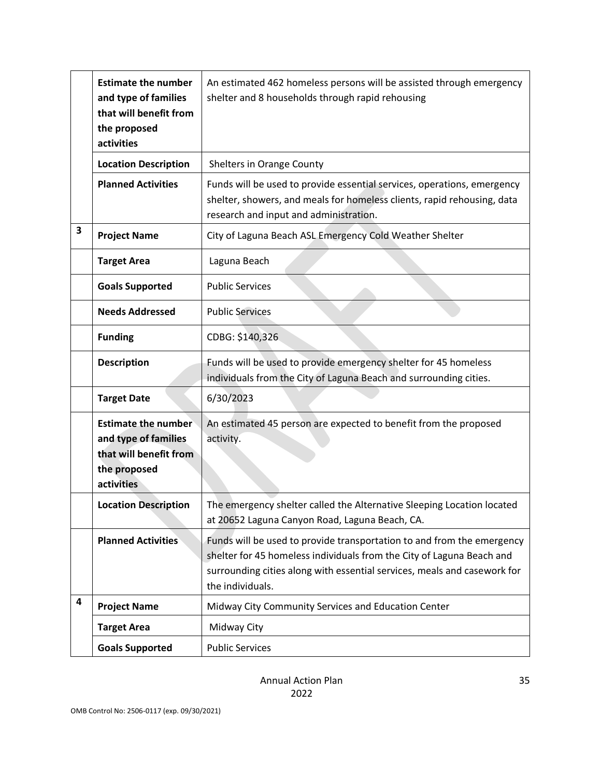|   | <b>Estimate the number</b><br>and type of families<br>that will benefit from<br>the proposed<br>activities | An estimated 462 homeless persons will be assisted through emergency<br>shelter and 8 households through rapid rehousing                                                                                                                        |
|---|------------------------------------------------------------------------------------------------------------|-------------------------------------------------------------------------------------------------------------------------------------------------------------------------------------------------------------------------------------------------|
|   | <b>Location Description</b>                                                                                | Shelters in Orange County                                                                                                                                                                                                                       |
|   | <b>Planned Activities</b>                                                                                  | Funds will be used to provide essential services, operations, emergency<br>shelter, showers, and meals for homeless clients, rapid rehousing, data<br>research and input and administration.                                                    |
| 3 | <b>Project Name</b>                                                                                        | City of Laguna Beach ASL Emergency Cold Weather Shelter                                                                                                                                                                                         |
|   | <b>Target Area</b>                                                                                         | Laguna Beach                                                                                                                                                                                                                                    |
|   | <b>Goals Supported</b>                                                                                     | <b>Public Services</b>                                                                                                                                                                                                                          |
|   | <b>Needs Addressed</b>                                                                                     | <b>Public Services</b>                                                                                                                                                                                                                          |
|   | <b>Funding</b>                                                                                             | CDBG: \$140,326                                                                                                                                                                                                                                 |
|   | <b>Description</b>                                                                                         | Funds will be used to provide emergency shelter for 45 homeless<br>individuals from the City of Laguna Beach and surrounding cities.                                                                                                            |
|   | <b>Target Date</b>                                                                                         | 6/30/2023                                                                                                                                                                                                                                       |
|   | <b>Estimate the number</b><br>and type of families<br>that will benefit from<br>the proposed<br>activities | An estimated 45 person are expected to benefit from the proposed<br>activity.                                                                                                                                                                   |
|   | <b>Location Description</b>                                                                                | The emergency shelter called the Alternative Sleeping Location located<br>at 20652 Laguna Canyon Road, Laguna Beach, CA.                                                                                                                        |
|   | <b>Planned Activities</b>                                                                                  | Funds will be used to provide transportation to and from the emergency<br>shelter for 45 homeless individuals from the City of Laguna Beach and<br>surrounding cities along with essential services, meals and casework for<br>the individuals. |
| 4 | <b>Project Name</b>                                                                                        | Midway City Community Services and Education Center                                                                                                                                                                                             |
|   | <b>Target Area</b>                                                                                         | Midway City                                                                                                                                                                                                                                     |
|   | <b>Goals Supported</b>                                                                                     | <b>Public Services</b>                                                                                                                                                                                                                          |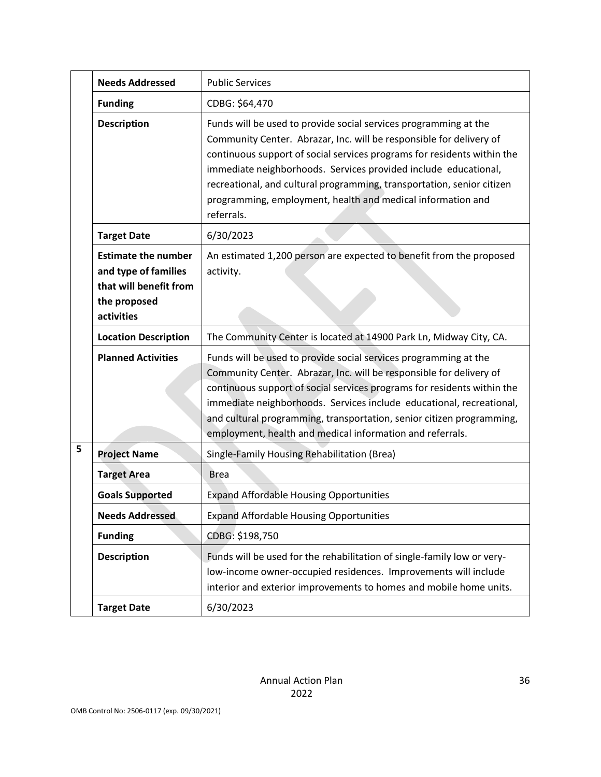|   | <b>Needs Addressed</b>                                                                                     | <b>Public Services</b>                                                                                                                                                                                                                                                                                                                                                                                                                       |
|---|------------------------------------------------------------------------------------------------------------|----------------------------------------------------------------------------------------------------------------------------------------------------------------------------------------------------------------------------------------------------------------------------------------------------------------------------------------------------------------------------------------------------------------------------------------------|
|   | <b>Funding</b>                                                                                             | CDBG: \$64,470                                                                                                                                                                                                                                                                                                                                                                                                                               |
|   | <b>Description</b>                                                                                         | Funds will be used to provide social services programming at the<br>Community Center. Abrazar, Inc. will be responsible for delivery of<br>continuous support of social services programs for residents within the<br>immediate neighborhoods. Services provided include educational,<br>recreational, and cultural programming, transportation, senior citizen<br>programming, employment, health and medical information and<br>referrals. |
|   | <b>Target Date</b>                                                                                         | 6/30/2023                                                                                                                                                                                                                                                                                                                                                                                                                                    |
|   | <b>Estimate the number</b><br>and type of families<br>that will benefit from<br>the proposed<br>activities | An estimated 1,200 person are expected to benefit from the proposed<br>activity.                                                                                                                                                                                                                                                                                                                                                             |
|   | <b>Location Description</b>                                                                                | The Community Center is located at 14900 Park Ln, Midway City, CA.                                                                                                                                                                                                                                                                                                                                                                           |
|   | <b>Planned Activities</b>                                                                                  | Funds will be used to provide social services programming at the<br>Community Center. Abrazar, Inc. will be responsible for delivery of<br>continuous support of social services programs for residents within the<br>immediate neighborhoods. Services include educational, recreational,<br>and cultural programming, transportation, senior citizen programming,<br>employment, health and medical information and referrals.             |
| 5 | <b>Project Name</b>                                                                                        | Single-Family Housing Rehabilitation (Brea)                                                                                                                                                                                                                                                                                                                                                                                                  |
|   | <b>Target Area</b>                                                                                         | <b>Brea</b>                                                                                                                                                                                                                                                                                                                                                                                                                                  |
|   | <b>Goals Supported</b>                                                                                     | <b>Expand Affordable Housing Opportunities</b>                                                                                                                                                                                                                                                                                                                                                                                               |
|   | <b>Needs Addressed</b>                                                                                     | <b>Expand Affordable Housing Opportunities</b>                                                                                                                                                                                                                                                                                                                                                                                               |
|   | <b>Funding</b>                                                                                             | CDBG: \$198,750                                                                                                                                                                                                                                                                                                                                                                                                                              |
|   | <b>Description</b>                                                                                         | Funds will be used for the rehabilitation of single-family low or very-<br>low-income owner-occupied residences. Improvements will include<br>interior and exterior improvements to homes and mobile home units.                                                                                                                                                                                                                             |
|   | <b>Target Date</b>                                                                                         | 6/30/2023                                                                                                                                                                                                                                                                                                                                                                                                                                    |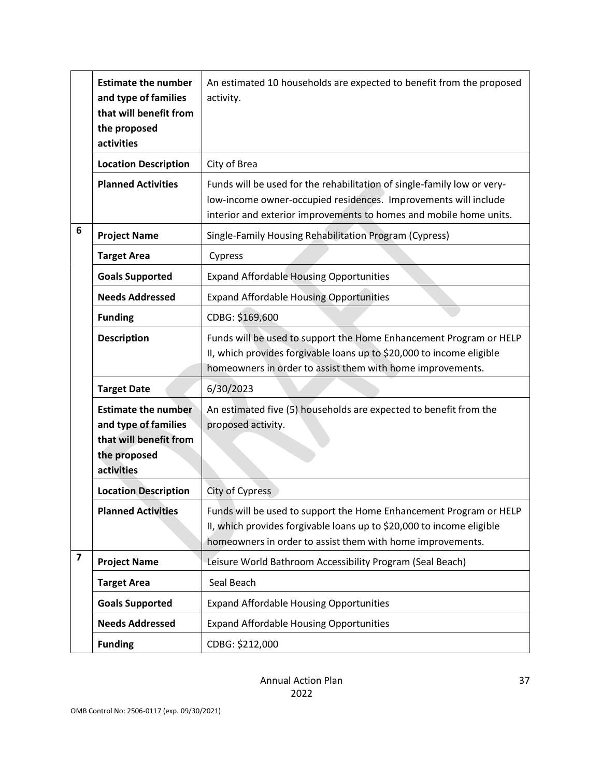|                         | <b>Estimate the number</b><br>and type of families<br>that will benefit from<br>the proposed<br>activities | An estimated 10 households are expected to benefit from the proposed<br>activity.                                                                                                                                |
|-------------------------|------------------------------------------------------------------------------------------------------------|------------------------------------------------------------------------------------------------------------------------------------------------------------------------------------------------------------------|
|                         | <b>Location Description</b>                                                                                | City of Brea                                                                                                                                                                                                     |
|                         | <b>Planned Activities</b>                                                                                  | Funds will be used for the rehabilitation of single-family low or very-<br>low-income owner-occupied residences. Improvements will include<br>interior and exterior improvements to homes and mobile home units. |
| 6                       | <b>Project Name</b>                                                                                        | Single-Family Housing Rehabilitation Program (Cypress)                                                                                                                                                           |
|                         | <b>Target Area</b>                                                                                         | Cypress                                                                                                                                                                                                          |
|                         | <b>Goals Supported</b>                                                                                     | <b>Expand Affordable Housing Opportunities</b>                                                                                                                                                                   |
|                         | <b>Needs Addressed</b>                                                                                     | <b>Expand Affordable Housing Opportunities</b>                                                                                                                                                                   |
|                         | <b>Funding</b>                                                                                             | CDBG: \$169,600                                                                                                                                                                                                  |
|                         | <b>Description</b>                                                                                         | Funds will be used to support the Home Enhancement Program or HELP<br>II, which provides forgivable loans up to \$20,000 to income eligible<br>homeowners in order to assist them with home improvements.        |
|                         | <b>Target Date</b>                                                                                         | 6/30/2023                                                                                                                                                                                                        |
|                         | <b>Estimate the number</b><br>and type of families<br>that will benefit from<br>the proposed<br>activities | An estimated five (5) households are expected to benefit from the<br>proposed activity.                                                                                                                          |
|                         | <b>Location Description</b>                                                                                | City of Cypress                                                                                                                                                                                                  |
|                         | <b>Planned Activities</b>                                                                                  | Funds will be used to support the Home Enhancement Program or HELP<br>II, which provides forgivable loans up to \$20,000 to income eligible<br>homeowners in order to assist them with home improvements.        |
| $\overline{\mathbf{z}}$ | <b>Project Name</b>                                                                                        | Leisure World Bathroom Accessibility Program (Seal Beach)                                                                                                                                                        |
|                         | <b>Target Area</b>                                                                                         | Seal Beach                                                                                                                                                                                                       |
|                         | <b>Goals Supported</b>                                                                                     | <b>Expand Affordable Housing Opportunities</b>                                                                                                                                                                   |
|                         | <b>Needs Addressed</b>                                                                                     | <b>Expand Affordable Housing Opportunities</b>                                                                                                                                                                   |
|                         | <b>Funding</b>                                                                                             | CDBG: \$212,000                                                                                                                                                                                                  |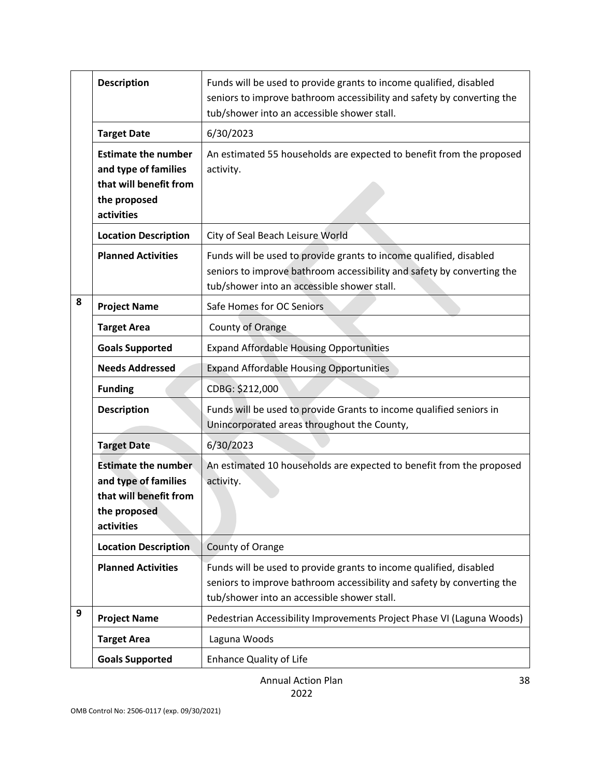|   | <b>Description</b>                                                                                         | Funds will be used to provide grants to income qualified, disabled<br>seniors to improve bathroom accessibility and safety by converting the<br>tub/shower into an accessible shower stall. |
|---|------------------------------------------------------------------------------------------------------------|---------------------------------------------------------------------------------------------------------------------------------------------------------------------------------------------|
|   | <b>Target Date</b>                                                                                         | 6/30/2023                                                                                                                                                                                   |
|   | <b>Estimate the number</b><br>and type of families<br>that will benefit from<br>the proposed<br>activities | An estimated 55 households are expected to benefit from the proposed<br>activity.                                                                                                           |
|   | <b>Location Description</b>                                                                                | City of Seal Beach Leisure World                                                                                                                                                            |
|   | <b>Planned Activities</b>                                                                                  | Funds will be used to provide grants to income qualified, disabled<br>seniors to improve bathroom accessibility and safety by converting the<br>tub/shower into an accessible shower stall. |
| 8 | <b>Project Name</b>                                                                                        | Safe Homes for OC Seniors                                                                                                                                                                   |
|   | <b>Target Area</b>                                                                                         | County of Orange                                                                                                                                                                            |
|   | <b>Goals Supported</b>                                                                                     | <b>Expand Affordable Housing Opportunities</b>                                                                                                                                              |
|   | <b>Needs Addressed</b>                                                                                     | <b>Expand Affordable Housing Opportunities</b>                                                                                                                                              |
|   | <b>Funding</b>                                                                                             | CDBG: \$212,000                                                                                                                                                                             |
|   | <b>Description</b>                                                                                         | Funds will be used to provide Grants to income qualified seniors in<br>Unincorporated areas throughout the County,                                                                          |
|   | <b>Target Date</b>                                                                                         | 6/30/2023                                                                                                                                                                                   |
|   | <b>Estimate the number</b><br>and type of families<br>that will benefit from<br>the proposed<br>activities | An estimated 10 households are expected to benefit from the proposed<br>activity.                                                                                                           |
|   | <b>Location Description</b>                                                                                | County of Orange                                                                                                                                                                            |
|   | <b>Planned Activities</b>                                                                                  | Funds will be used to provide grants to income qualified, disabled<br>seniors to improve bathroom accessibility and safety by converting the<br>tub/shower into an accessible shower stall. |
| 9 | <b>Project Name</b>                                                                                        | Pedestrian Accessibility Improvements Project Phase VI (Laguna Woods)                                                                                                                       |
|   | <b>Target Area</b>                                                                                         | Laguna Woods                                                                                                                                                                                |
|   | <b>Goals Supported</b>                                                                                     | <b>Enhance Quality of Life</b>                                                                                                                                                              |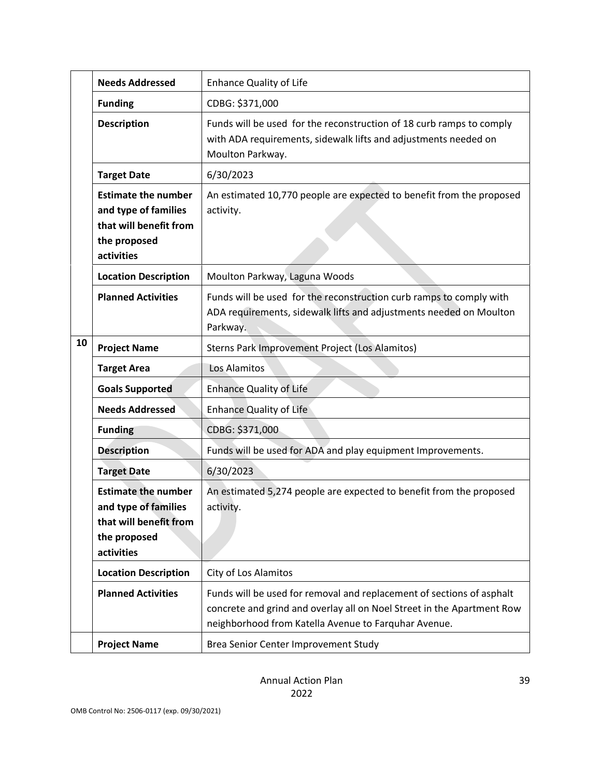|    | <b>Needs Addressed</b>                                                                                     | <b>Enhance Quality of Life</b>                                                                                                                                                                          |
|----|------------------------------------------------------------------------------------------------------------|---------------------------------------------------------------------------------------------------------------------------------------------------------------------------------------------------------|
|    | <b>Funding</b>                                                                                             | CDBG: \$371,000                                                                                                                                                                                         |
|    | <b>Description</b>                                                                                         | Funds will be used for the reconstruction of 18 curb ramps to comply<br>with ADA requirements, sidewalk lifts and adjustments needed on<br>Moulton Parkway.                                             |
|    | <b>Target Date</b>                                                                                         | 6/30/2023                                                                                                                                                                                               |
|    | <b>Estimate the number</b><br>and type of families<br>that will benefit from<br>the proposed<br>activities | An estimated 10,770 people are expected to benefit from the proposed<br>activity.                                                                                                                       |
|    | <b>Location Description</b>                                                                                | Moulton Parkway, Laguna Woods                                                                                                                                                                           |
|    | <b>Planned Activities</b>                                                                                  | Funds will be used for the reconstruction curb ramps to comply with<br>ADA requirements, sidewalk lifts and adjustments needed on Moulton<br>Parkway.                                                   |
| 10 | <b>Project Name</b>                                                                                        | Sterns Park Improvement Project (Los Alamitos)                                                                                                                                                          |
|    | <b>Target Area</b>                                                                                         | Los Alamitos                                                                                                                                                                                            |
|    | <b>Goals Supported</b>                                                                                     | <b>Enhance Quality of Life</b>                                                                                                                                                                          |
|    | <b>Needs Addressed</b>                                                                                     | <b>Enhance Quality of Life</b>                                                                                                                                                                          |
|    | <b>Funding</b>                                                                                             | CDBG: \$371,000                                                                                                                                                                                         |
|    | <b>Description</b>                                                                                         | Funds will be used for ADA and play equipment Improvements.                                                                                                                                             |
|    | <b>Target Date</b>                                                                                         | 6/30/2023                                                                                                                                                                                               |
|    | <b>Estimate the number</b><br>and type of families<br>that will benefit from<br>the proposed<br>activities | An estimated 5,274 people are expected to benefit from the proposed<br>activity.                                                                                                                        |
|    | <b>Location Description</b>                                                                                | City of Los Alamitos                                                                                                                                                                                    |
|    | <b>Planned Activities</b>                                                                                  | Funds will be used for removal and replacement of sections of asphalt<br>concrete and grind and overlay all on Noel Street in the Apartment Row<br>neighborhood from Katella Avenue to Farquhar Avenue. |
|    | <b>Project Name</b>                                                                                        | Brea Senior Center Improvement Study                                                                                                                                                                    |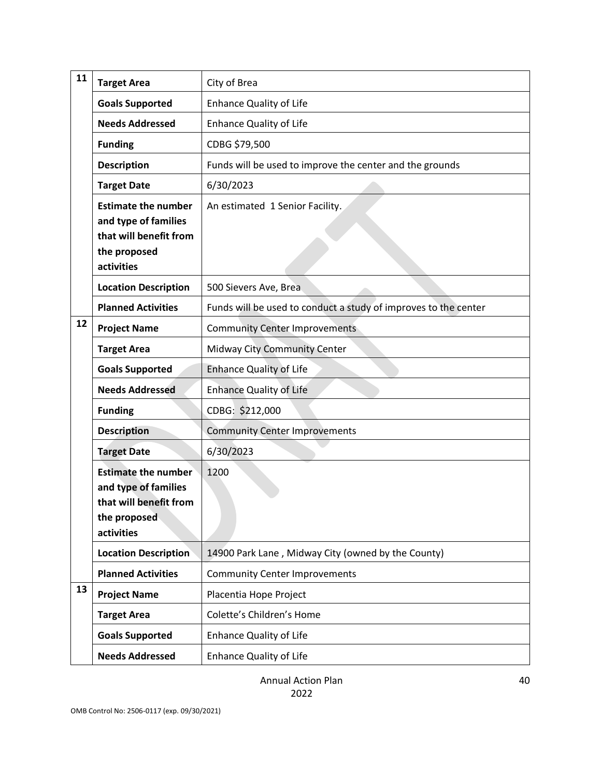| 11 | <b>Target Area</b>                                                                                         | City of Brea                                                    |
|----|------------------------------------------------------------------------------------------------------------|-----------------------------------------------------------------|
|    | <b>Goals Supported</b>                                                                                     | <b>Enhance Quality of Life</b>                                  |
|    | <b>Needs Addressed</b>                                                                                     | <b>Enhance Quality of Life</b>                                  |
|    | <b>Funding</b>                                                                                             | CDBG \$79,500                                                   |
|    | <b>Description</b>                                                                                         | Funds will be used to improve the center and the grounds        |
|    | <b>Target Date</b>                                                                                         | 6/30/2023                                                       |
|    | <b>Estimate the number</b><br>and type of families<br>that will benefit from<br>the proposed<br>activities | An estimated 1 Senior Facility.                                 |
|    | <b>Location Description</b>                                                                                | 500 Sievers Ave, Brea                                           |
|    | <b>Planned Activities</b>                                                                                  | Funds will be used to conduct a study of improves to the center |
| 12 | <b>Project Name</b>                                                                                        | <b>Community Center Improvements</b>                            |
|    | <b>Target Area</b>                                                                                         | Midway City Community Center                                    |
|    | <b>Goals Supported</b>                                                                                     | <b>Enhance Quality of Life</b>                                  |
|    | <b>Needs Addressed</b>                                                                                     | <b>Enhance Quality of Life</b>                                  |
|    | <b>Funding</b>                                                                                             | CDBG: \$212,000                                                 |
|    | <b>Description</b>                                                                                         | <b>Community Center Improvements</b>                            |
|    | <b>Target Date</b>                                                                                         | 6/30/2023                                                       |
|    | <b>Estimate the number</b><br>and type of families<br>that will benefit from<br>the proposed<br>activities | 1200                                                            |
|    | <b>Location Description</b>                                                                                | 14900 Park Lane, Midway City (owned by the County)              |
|    | <b>Planned Activities</b>                                                                                  | <b>Community Center Improvements</b>                            |
| 13 | <b>Project Name</b>                                                                                        | Placentia Hope Project                                          |
|    | <b>Target Area</b>                                                                                         | Colette's Children's Home                                       |
|    | <b>Goals Supported</b>                                                                                     | <b>Enhance Quality of Life</b>                                  |
|    | <b>Needs Addressed</b>                                                                                     | Enhance Quality of Life                                         |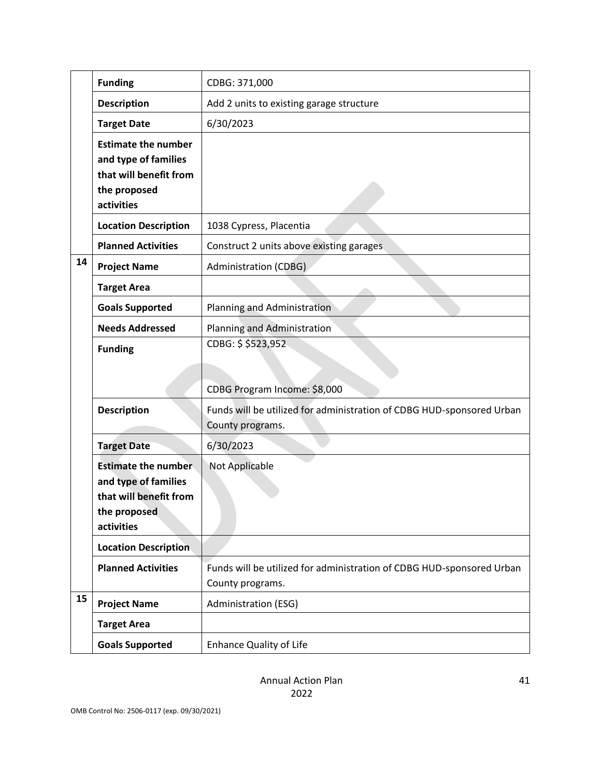|    | <b>Funding</b>                                                                                             | CDBG: 371,000                                                                                                             |
|----|------------------------------------------------------------------------------------------------------------|---------------------------------------------------------------------------------------------------------------------------|
|    | <b>Description</b>                                                                                         | Add 2 units to existing garage structure                                                                                  |
|    | <b>Target Date</b>                                                                                         | 6/30/2023                                                                                                                 |
|    | <b>Estimate the number</b><br>and type of families<br>that will benefit from<br>the proposed<br>activities |                                                                                                                           |
|    | <b>Location Description</b>                                                                                | 1038 Cypress, Placentia                                                                                                   |
|    | <b>Planned Activities</b>                                                                                  | Construct 2 units above existing garages                                                                                  |
| 14 | <b>Project Name</b>                                                                                        | <b>Administration (CDBG)</b>                                                                                              |
|    | <b>Target Area</b>                                                                                         |                                                                                                                           |
|    | <b>Goals Supported</b>                                                                                     | Planning and Administration                                                                                               |
|    | <b>Needs Addressed</b>                                                                                     | Planning and Administration                                                                                               |
|    | <b>Funding</b>                                                                                             | CDBG: \$ \$523,952                                                                                                        |
|    | <b>Description</b>                                                                                         | CDBG Program Income: \$8,000<br>Funds will be utilized for administration of CDBG HUD-sponsored Urban<br>County programs. |
|    | <b>Target Date</b>                                                                                         | 6/30/2023                                                                                                                 |
|    | <b>Estimate the number</b><br>and type of families<br>that will benefit from<br>the proposed<br>activities | Not Applicable                                                                                                            |
|    | <b>Location Description</b>                                                                                |                                                                                                                           |
|    | <b>Planned Activities</b>                                                                                  | Funds will be utilized for administration of CDBG HUD-sponsored Urban<br>County programs.                                 |
| 15 | <b>Project Name</b>                                                                                        | Administration (ESG)                                                                                                      |
|    | <b>Target Area</b>                                                                                         |                                                                                                                           |
|    | <b>Goals Supported</b>                                                                                     | <b>Enhance Quality of Life</b>                                                                                            |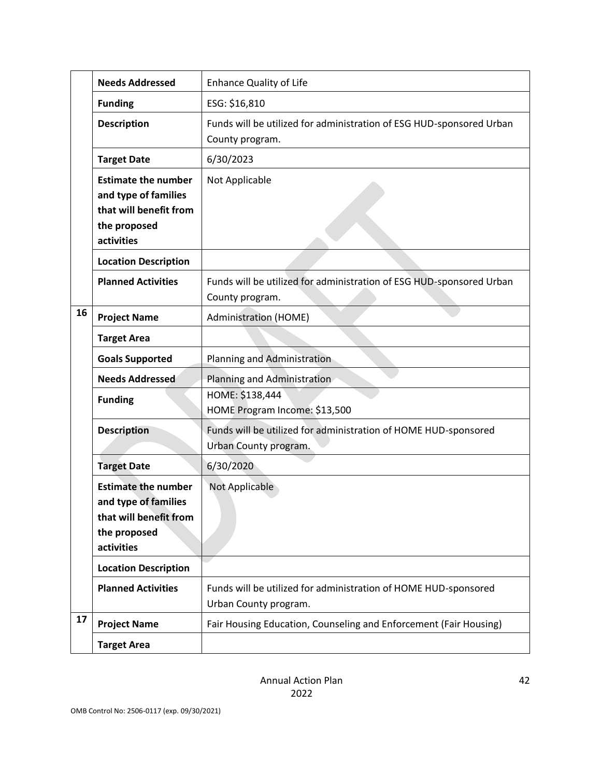|    | <b>Needs Addressed</b>                                                                                     | <b>Enhance Quality of Life</b>                                                           |
|----|------------------------------------------------------------------------------------------------------------|------------------------------------------------------------------------------------------|
|    | <b>Funding</b>                                                                                             | ESG: \$16,810                                                                            |
|    | <b>Description</b>                                                                                         | Funds will be utilized for administration of ESG HUD-sponsored Urban<br>County program.  |
|    | <b>Target Date</b>                                                                                         | 6/30/2023                                                                                |
|    | <b>Estimate the number</b><br>and type of families<br>that will benefit from<br>the proposed<br>activities | Not Applicable                                                                           |
|    | <b>Location Description</b>                                                                                |                                                                                          |
|    | <b>Planned Activities</b>                                                                                  | Funds will be utilized for administration of ESG HUD-sponsored Urban<br>County program.  |
| 16 | <b>Project Name</b>                                                                                        | <b>Administration (HOME)</b>                                                             |
|    | <b>Target Area</b>                                                                                         |                                                                                          |
|    | <b>Goals Supported</b>                                                                                     | Planning and Administration                                                              |
|    | <b>Needs Addressed</b>                                                                                     | Planning and Administration                                                              |
|    | <b>Funding</b>                                                                                             | HOME: \$138,444<br>HOME Program Income: \$13,500                                         |
|    | <b>Description</b>                                                                                         | Funds will be utilized for administration of HOME HUD-sponsored<br>Urban County program. |
|    | <b>Target Date</b>                                                                                         | 6/30/2020                                                                                |
|    | <b>Estimate the number</b><br>and type of families<br>that will benefit from<br>the proposed<br>activities | Not Applicable                                                                           |
|    | <b>Location Description</b>                                                                                |                                                                                          |
|    | <b>Planned Activities</b>                                                                                  | Funds will be utilized for administration of HOME HUD-sponsored<br>Urban County program. |
| 17 | <b>Project Name</b>                                                                                        | Fair Housing Education, Counseling and Enforcement (Fair Housing)                        |
|    | <b>Target Area</b>                                                                                         |                                                                                          |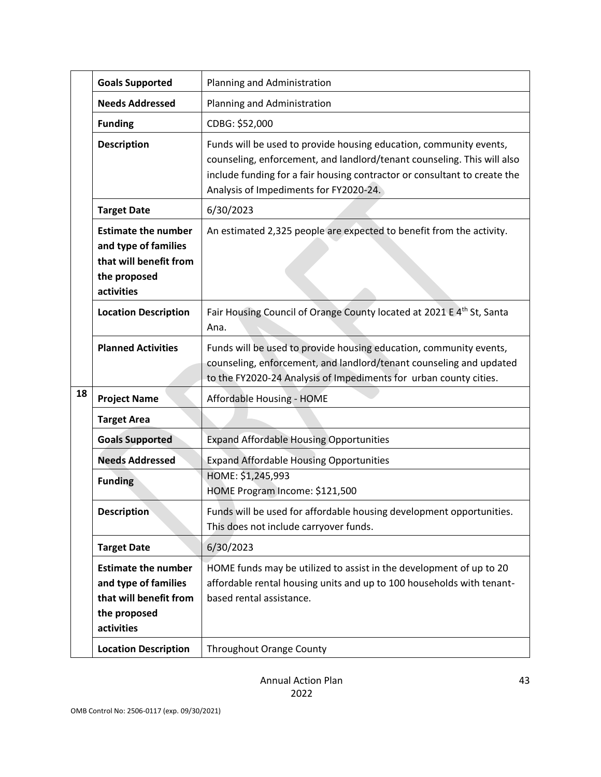|    | <b>Goals Supported</b>                                                                                     | Planning and Administration                                                                                                                                                                                                                                          |
|----|------------------------------------------------------------------------------------------------------------|----------------------------------------------------------------------------------------------------------------------------------------------------------------------------------------------------------------------------------------------------------------------|
|    | <b>Needs Addressed</b>                                                                                     | Planning and Administration                                                                                                                                                                                                                                          |
|    | <b>Funding</b>                                                                                             | CDBG: \$52,000                                                                                                                                                                                                                                                       |
|    | <b>Description</b>                                                                                         | Funds will be used to provide housing education, community events,<br>counseling, enforcement, and landlord/tenant counseling. This will also<br>include funding for a fair housing contractor or consultant to create the<br>Analysis of Impediments for FY2020-24. |
|    | <b>Target Date</b>                                                                                         | 6/30/2023                                                                                                                                                                                                                                                            |
|    | <b>Estimate the number</b><br>and type of families<br>that will benefit from<br>the proposed<br>activities | An estimated 2,325 people are expected to benefit from the activity.                                                                                                                                                                                                 |
|    | <b>Location Description</b>                                                                                | Fair Housing Council of Orange County located at 2021 E 4 <sup>th</sup> St, Santa<br>Ana.                                                                                                                                                                            |
|    | <b>Planned Activities</b>                                                                                  | Funds will be used to provide housing education, community events,<br>counseling, enforcement, and landlord/tenant counseling and updated<br>to the FY2020-24 Analysis of Impediments for urban county cities.                                                       |
| 18 | <b>Project Name</b>                                                                                        | Affordable Housing - HOME                                                                                                                                                                                                                                            |
|    | <b>Target Area</b>                                                                                         |                                                                                                                                                                                                                                                                      |
|    | <b>Goals Supported</b>                                                                                     | <b>Expand Affordable Housing Opportunities</b>                                                                                                                                                                                                                       |
|    | <b>Needs Addressed</b>                                                                                     | <b>Expand Affordable Housing Opportunities</b>                                                                                                                                                                                                                       |
|    | <b>Funding</b>                                                                                             | HOME: \$1,245,993<br>HOME Program Income: \$121,500                                                                                                                                                                                                                  |
|    | <b>Description</b>                                                                                         | Funds will be used for affordable housing development opportunities.<br>This does not include carryover funds.                                                                                                                                                       |
|    | <b>Target Date</b>                                                                                         | 6/30/2023                                                                                                                                                                                                                                                            |
|    | <b>Estimate the number</b><br>and type of families<br>that will benefit from<br>the proposed<br>activities | HOME funds may be utilized to assist in the development of up to 20<br>affordable rental housing units and up to 100 households with tenant-<br>based rental assistance.                                                                                             |
|    | <b>Location Description</b>                                                                                | Throughout Orange County                                                                                                                                                                                                                                             |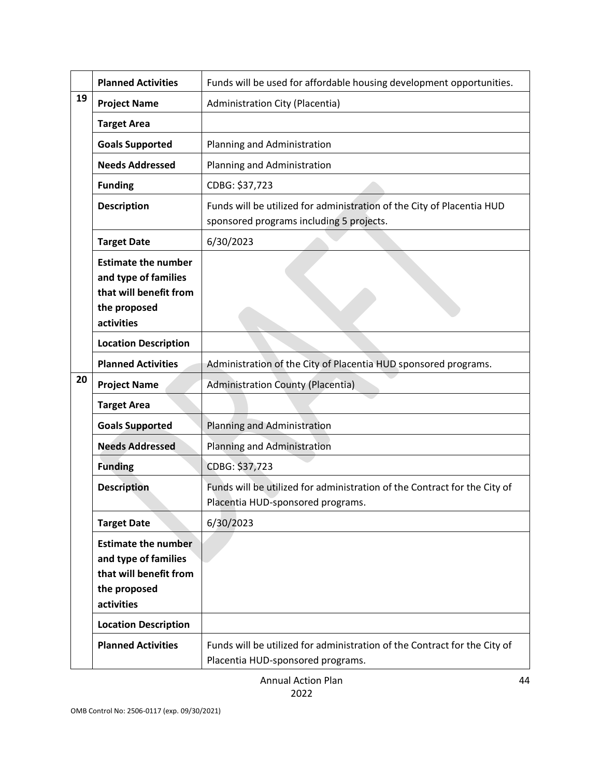|    | <b>Planned Activities</b>                                                                                  | Funds will be used for affordable housing development opportunities.                                               |
|----|------------------------------------------------------------------------------------------------------------|--------------------------------------------------------------------------------------------------------------------|
| 19 | <b>Project Name</b>                                                                                        | Administration City (Placentia)                                                                                    |
|    | <b>Target Area</b>                                                                                         |                                                                                                                    |
|    | <b>Goals Supported</b>                                                                                     | Planning and Administration                                                                                        |
|    | <b>Needs Addressed</b>                                                                                     | Planning and Administration                                                                                        |
|    | <b>Funding</b>                                                                                             | CDBG: \$37,723                                                                                                     |
|    | <b>Description</b>                                                                                         | Funds will be utilized for administration of the City of Placentia HUD<br>sponsored programs including 5 projects. |
|    | <b>Target Date</b>                                                                                         | 6/30/2023                                                                                                          |
|    | <b>Estimate the number</b><br>and type of families<br>that will benefit from<br>the proposed<br>activities |                                                                                                                    |
|    | <b>Location Description</b>                                                                                |                                                                                                                    |
|    | <b>Planned Activities</b>                                                                                  | Administration of the City of Placentia HUD sponsored programs.                                                    |
| 20 | <b>Project Name</b>                                                                                        | <b>Administration County (Placentia)</b>                                                                           |
|    | <b>Target Area</b>                                                                                         |                                                                                                                    |
|    | <b>Goals Supported</b>                                                                                     | Planning and Administration                                                                                        |
|    | <b>Needs Addressed</b>                                                                                     | Planning and Administration                                                                                        |
|    | <b>Funding</b>                                                                                             | CDBG: \$37,723                                                                                                     |
|    | <b>Description</b>                                                                                         | Funds will be utilized for administration of the Contract for the City of<br>Placentia HUD-sponsored programs.     |
|    | <b>Target Date</b>                                                                                         | 6/30/2023                                                                                                          |
|    | <b>Estimate the number</b><br>and type of families<br>that will benefit from<br>the proposed<br>activities |                                                                                                                    |
|    | <b>Location Description</b>                                                                                |                                                                                                                    |
|    | <b>Planned Activities</b>                                                                                  | Funds will be utilized for administration of the Contract for the City of<br>Placentia HUD-sponsored programs.     |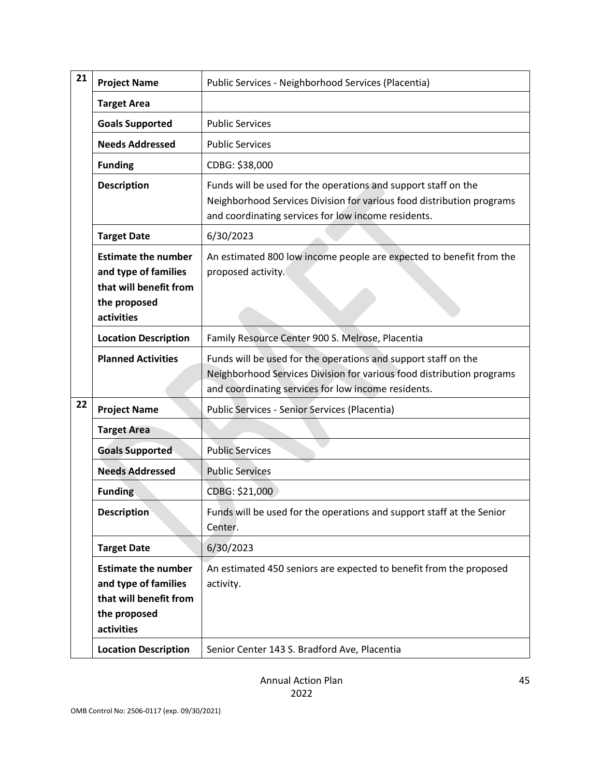| 21 | <b>Project Name</b>                                                                                        | Public Services - Neighborhood Services (Placentia)                                                                                                                                            |
|----|------------------------------------------------------------------------------------------------------------|------------------------------------------------------------------------------------------------------------------------------------------------------------------------------------------------|
|    | <b>Target Area</b>                                                                                         |                                                                                                                                                                                                |
|    | <b>Goals Supported</b>                                                                                     | <b>Public Services</b>                                                                                                                                                                         |
|    | <b>Needs Addressed</b>                                                                                     | <b>Public Services</b>                                                                                                                                                                         |
|    | <b>Funding</b>                                                                                             | CDBG: \$38,000                                                                                                                                                                                 |
|    | <b>Description</b>                                                                                         | Funds will be used for the operations and support staff on the<br>Neighborhood Services Division for various food distribution programs<br>and coordinating services for low income residents. |
|    | <b>Target Date</b>                                                                                         | 6/30/2023                                                                                                                                                                                      |
|    | <b>Estimate the number</b><br>and type of families<br>that will benefit from<br>the proposed<br>activities | An estimated 800 low income people are expected to benefit from the<br>proposed activity.                                                                                                      |
|    | <b>Location Description</b>                                                                                | Family Resource Center 900 S. Melrose, Placentia                                                                                                                                               |
|    | <b>Planned Activities</b>                                                                                  | Funds will be used for the operations and support staff on the<br>Neighborhood Services Division for various food distribution programs<br>and coordinating services for low income residents. |
| 22 | <b>Project Name</b>                                                                                        | Public Services - Senior Services (Placentia)                                                                                                                                                  |
|    | <b>Target Area</b>                                                                                         |                                                                                                                                                                                                |
|    | <b>Goals Supported</b>                                                                                     | <b>Public Services</b>                                                                                                                                                                         |
|    | <b>Needs Addressed</b>                                                                                     | <b>Public Services</b>                                                                                                                                                                         |
|    | <b>Funding</b>                                                                                             | CDBG: \$21,000                                                                                                                                                                                 |
|    | <b>Description</b>                                                                                         | Funds will be used for the operations and support staff at the Senior<br>Center.                                                                                                               |
|    | <b>Target Date</b>                                                                                         | 6/30/2023                                                                                                                                                                                      |
|    | <b>Estimate the number</b><br>and type of families<br>that will benefit from<br>the proposed<br>activities | An estimated 450 seniors are expected to benefit from the proposed<br>activity.                                                                                                                |
|    | <b>Location Description</b>                                                                                | Senior Center 143 S. Bradford Ave, Placentia                                                                                                                                                   |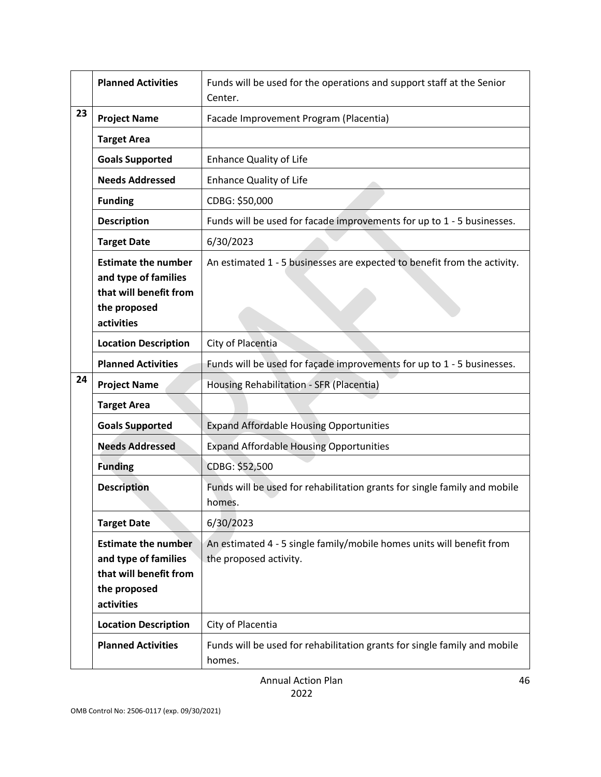|    | <b>Planned Activities</b>                                                                                  | Funds will be used for the operations and support staff at the Senior<br>Center.                |
|----|------------------------------------------------------------------------------------------------------------|-------------------------------------------------------------------------------------------------|
| 23 | <b>Project Name</b>                                                                                        | Facade Improvement Program (Placentia)                                                          |
|    | <b>Target Area</b>                                                                                         |                                                                                                 |
|    | <b>Goals Supported</b>                                                                                     | <b>Enhance Quality of Life</b>                                                                  |
|    | <b>Needs Addressed</b>                                                                                     | <b>Enhance Quality of Life</b>                                                                  |
|    | <b>Funding</b>                                                                                             | CDBG: \$50,000                                                                                  |
|    | <b>Description</b>                                                                                         | Funds will be used for facade improvements for up to 1 - 5 businesses.                          |
|    | <b>Target Date</b>                                                                                         | 6/30/2023                                                                                       |
|    | <b>Estimate the number</b><br>and type of families<br>that will benefit from<br>the proposed<br>activities | An estimated 1 - 5 businesses are expected to benefit from the activity.                        |
|    | <b>Location Description</b>                                                                                | City of Placentia                                                                               |
|    | <b>Planned Activities</b>                                                                                  | Funds will be used for façade improvements for up to 1 - 5 businesses.                          |
| 24 | <b>Project Name</b>                                                                                        | Housing Rehabilitation - SFR (Placentia)                                                        |
|    | <b>Target Area</b>                                                                                         |                                                                                                 |
|    | <b>Goals Supported</b>                                                                                     | <b>Expand Affordable Housing Opportunities</b>                                                  |
|    | <b>Needs Addressed</b>                                                                                     | <b>Expand Affordable Housing Opportunities</b>                                                  |
|    | <b>Funding</b>                                                                                             | CDBG: \$52,500                                                                                  |
|    | <b>Description</b>                                                                                         | Funds will be used for rehabilitation grants for single family and mobile<br>homes.             |
|    | <b>Target Date</b>                                                                                         | 6/30/2023                                                                                       |
|    | <b>Estimate the number</b><br>and type of families<br>that will benefit from<br>the proposed<br>activities | An estimated 4 - 5 single family/mobile homes units will benefit from<br>the proposed activity. |
|    | <b>Location Description</b>                                                                                | City of Placentia                                                                               |
|    | <b>Planned Activities</b>                                                                                  | Funds will be used for rehabilitation grants for single family and mobile<br>homes.             |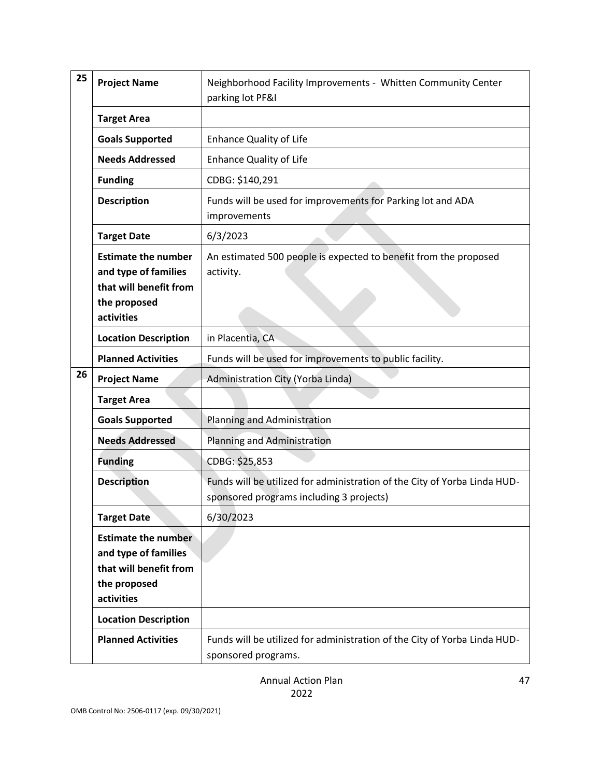| 25 | <b>Project Name</b>                                                                                        | Neighborhood Facility Improvements - Whitten Community Center<br>parking lot PF&I                                     |
|----|------------------------------------------------------------------------------------------------------------|-----------------------------------------------------------------------------------------------------------------------|
|    | <b>Target Area</b>                                                                                         |                                                                                                                       |
|    | <b>Goals Supported</b>                                                                                     | <b>Enhance Quality of Life</b>                                                                                        |
|    | <b>Needs Addressed</b>                                                                                     | <b>Enhance Quality of Life</b>                                                                                        |
|    | <b>Funding</b>                                                                                             | CDBG: \$140,291                                                                                                       |
|    | <b>Description</b>                                                                                         | Funds will be used for improvements for Parking lot and ADA<br>improvements                                           |
|    | <b>Target Date</b>                                                                                         | 6/3/2023                                                                                                              |
|    | <b>Estimate the number</b><br>and type of families<br>that will benefit from<br>the proposed<br>activities | An estimated 500 people is expected to benefit from the proposed<br>activity.                                         |
|    | <b>Location Description</b>                                                                                | in Placentia, CA                                                                                                      |
|    | <b>Planned Activities</b>                                                                                  | Funds will be used for improvements to public facility.                                                               |
| 26 | <b>Project Name</b>                                                                                        | Administration City (Yorba Linda)                                                                                     |
|    | <b>Target Area</b>                                                                                         |                                                                                                                       |
|    | <b>Goals Supported</b>                                                                                     | Planning and Administration                                                                                           |
|    | <b>Needs Addressed</b>                                                                                     | Planning and Administration                                                                                           |
|    | <b>Funding</b>                                                                                             | CDBG: \$25,853                                                                                                        |
|    | <b>Description</b>                                                                                         | Funds will be utilized for administration of the City of Yorba Linda HUD-<br>sponsored programs including 3 projects) |
|    | <b>Target Date</b>                                                                                         | 6/30/2023                                                                                                             |
|    | <b>Estimate the number</b><br>and type of families<br>that will benefit from<br>the proposed<br>activities |                                                                                                                       |
|    | <b>Location Description</b>                                                                                |                                                                                                                       |
|    | <b>Planned Activities</b>                                                                                  | Funds will be utilized for administration of the City of Yorba Linda HUD-<br>sponsored programs.                      |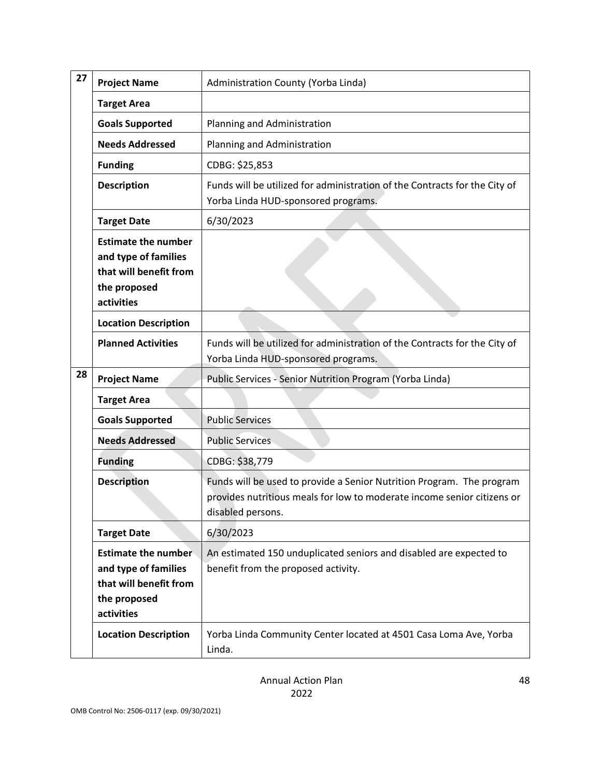| 27 | <b>Project Name</b>                                                                                        | Administration County (Yorba Linda)                                                                                                                                   |
|----|------------------------------------------------------------------------------------------------------------|-----------------------------------------------------------------------------------------------------------------------------------------------------------------------|
|    | <b>Target Area</b>                                                                                         |                                                                                                                                                                       |
|    | <b>Goals Supported</b>                                                                                     | Planning and Administration                                                                                                                                           |
|    | <b>Needs Addressed</b>                                                                                     | Planning and Administration                                                                                                                                           |
|    | <b>Funding</b>                                                                                             | CDBG: \$25,853                                                                                                                                                        |
|    | <b>Description</b>                                                                                         | Funds will be utilized for administration of the Contracts for the City of<br>Yorba Linda HUD-sponsored programs.                                                     |
|    | <b>Target Date</b>                                                                                         | 6/30/2023                                                                                                                                                             |
|    | <b>Estimate the number</b><br>and type of families<br>that will benefit from<br>the proposed<br>activities |                                                                                                                                                                       |
|    | <b>Location Description</b>                                                                                |                                                                                                                                                                       |
|    | <b>Planned Activities</b>                                                                                  | Funds will be utilized for administration of the Contracts for the City of<br>Yorba Linda HUD-sponsored programs.                                                     |
| 28 | <b>Project Name</b>                                                                                        | Public Services - Senior Nutrition Program (Yorba Linda)                                                                                                              |
|    | <b>Target Area</b>                                                                                         |                                                                                                                                                                       |
|    | <b>Goals Supported</b>                                                                                     | <b>Public Services</b>                                                                                                                                                |
|    | <b>Needs Addressed</b>                                                                                     | <b>Public Services</b>                                                                                                                                                |
|    | <b>Funding</b>                                                                                             | CDBG: \$38,779                                                                                                                                                        |
|    | <b>Description</b>                                                                                         | Funds will be used to provide a Senior Nutrition Program. The program<br>provides nutritious meals for low to moderate income senior citizens or<br>disabled persons. |
|    | <b>Target Date</b>                                                                                         | 6/30/2023                                                                                                                                                             |
|    | <b>Estimate the number</b><br>and type of families<br>that will benefit from<br>the proposed<br>activities | An estimated 150 unduplicated seniors and disabled are expected to<br>benefit from the proposed activity.                                                             |
|    | <b>Location Description</b>                                                                                | Yorba Linda Community Center located at 4501 Casa Loma Ave, Yorba<br>Linda.                                                                                           |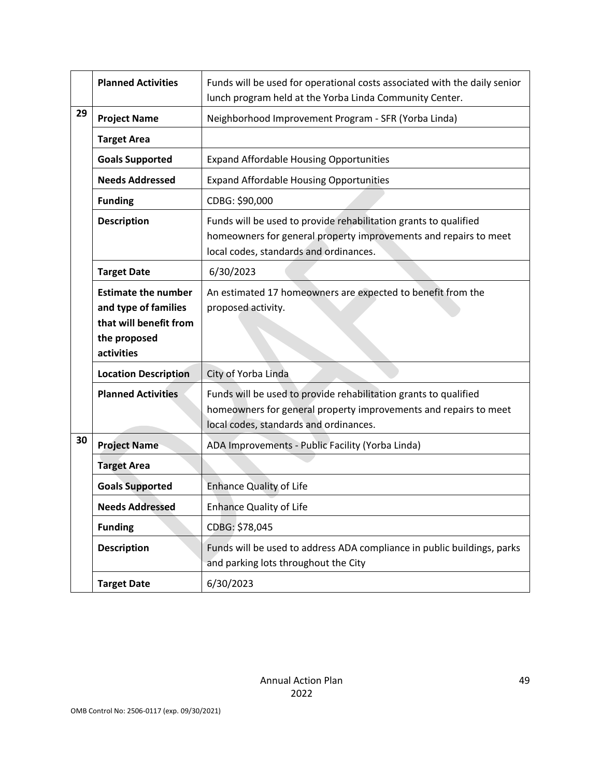|    | <b>Planned Activities</b>                                                                                  | Funds will be used for operational costs associated with the daily senior<br>lunch program held at the Yorba Linda Community Center.                                           |
|----|------------------------------------------------------------------------------------------------------------|--------------------------------------------------------------------------------------------------------------------------------------------------------------------------------|
| 29 | <b>Project Name</b>                                                                                        | Neighborhood Improvement Program - SFR (Yorba Linda)                                                                                                                           |
|    | <b>Target Area</b>                                                                                         |                                                                                                                                                                                |
|    | <b>Goals Supported</b>                                                                                     | <b>Expand Affordable Housing Opportunities</b>                                                                                                                                 |
|    | <b>Needs Addressed</b>                                                                                     | <b>Expand Affordable Housing Opportunities</b>                                                                                                                                 |
|    | <b>Funding</b>                                                                                             | CDBG: \$90,000                                                                                                                                                                 |
|    | <b>Description</b>                                                                                         | Funds will be used to provide rehabilitation grants to qualified<br>homeowners for general property improvements and repairs to meet<br>local codes, standards and ordinances. |
|    | <b>Target Date</b>                                                                                         | 6/30/2023                                                                                                                                                                      |
|    | <b>Estimate the number</b><br>and type of families<br>that will benefit from<br>the proposed<br>activities | An estimated 17 homeowners are expected to benefit from the<br>proposed activity.                                                                                              |
|    | <b>Location Description</b>                                                                                | City of Yorba Linda                                                                                                                                                            |
|    | <b>Planned Activities</b>                                                                                  | Funds will be used to provide rehabilitation grants to qualified<br>homeowners for general property improvements and repairs to meet<br>local codes, standards and ordinances. |
| 30 | <b>Project Name</b>                                                                                        | ADA Improvements - Public Facility (Yorba Linda)                                                                                                                               |
|    | <b>Target Area</b>                                                                                         |                                                                                                                                                                                |
|    | <b>Goals Supported</b>                                                                                     | <b>Enhance Quality of Life</b>                                                                                                                                                 |
|    | <b>Needs Addressed</b>                                                                                     | <b>Enhance Quality of Life</b>                                                                                                                                                 |
|    | <b>Funding</b>                                                                                             | CDBG: \$78,045                                                                                                                                                                 |
|    | <b>Description</b>                                                                                         | Funds will be used to address ADA compliance in public buildings, parks<br>and parking lots throughout the City                                                                |
|    | <b>Target Date</b>                                                                                         | 6/30/2023                                                                                                                                                                      |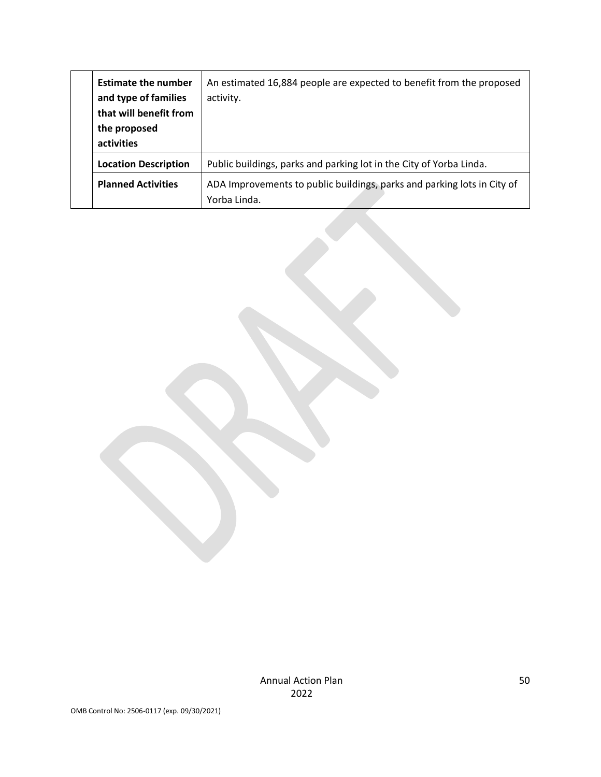| <b>Estimate the number</b><br>and type of families<br>that will benefit from<br>the proposed<br>activities | An estimated 16,884 people are expected to benefit from the proposed<br>activity.       |
|------------------------------------------------------------------------------------------------------------|-----------------------------------------------------------------------------------------|
| <b>Location Description</b>                                                                                | Public buildings, parks and parking lot in the City of Yorba Linda.                     |
| <b>Planned Activities</b>                                                                                  | ADA Improvements to public buildings, parks and parking lots in City of<br>Yorba Linda. |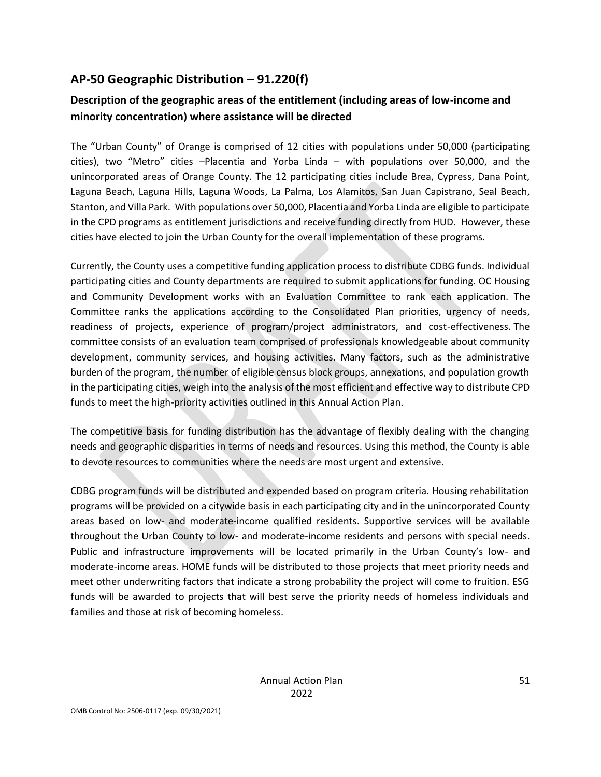# **AP-50 Geographic Distribution – 91.220(f)**

# **Description of the geographic areas of the entitlement (including areas of low-income and minority concentration) where assistance will be directed**

The "Urban County" of Orange is comprised of 12 cities with populations under 50,000 (participating cities), two "Metro" cities –Placentia and Yorba Linda – with populations over 50,000, and the unincorporated areas of Orange County. The 12 participating cities include Brea, Cypress, Dana Point, Laguna Beach, Laguna Hills, Laguna Woods, La Palma, Los Alamitos, San Juan Capistrano, Seal Beach, Stanton, and Villa Park. With populations over 50,000, Placentia and Yorba Linda are eligible to participate in the CPD programs as entitlement jurisdictions and receive funding directly from HUD. However, these cities have elected to join the Urban County for the overall implementation of these programs.

Currently, the County uses a competitive funding application process to distribute CDBG funds. Individual participating cities and County departments are required to submit applications for funding. OC Housing and Community Development works with an Evaluation Committee to rank each application. The Committee ranks the applications according to the Consolidated Plan priorities, urgency of needs, readiness of projects, experience of program/project administrators, and cost-effectiveness. The committee consists of an evaluation team comprised of professionals knowledgeable about community development, community services, and housing activities. Many factors, such as the administrative burden of the program, the number of eligible census block groups, annexations, and population growth in the participating cities, weigh into the analysis of the most efficient and effective way to distribute CPD funds to meet the high-priority activities outlined in this Annual Action Plan.

The competitive basis for funding distribution has the advantage of flexibly dealing with the changing needs and geographic disparities in terms of needs and resources. Using this method, the County is able to devote resources to communities where the needs are most urgent and extensive.

CDBG program funds will be distributed and expended based on program criteria. Housing rehabilitation programs will be provided on a citywide basis in each participating city and in the unincorporated County areas based on low- and moderate-income qualified residents. Supportive services will be available throughout the Urban County to low- and moderate-income residents and persons with special needs. Public and infrastructure improvements will be located primarily in the Urban County's low- and moderate-income areas. HOME funds will be distributed to those projects that meet priority needs and meet other underwriting factors that indicate a strong probability the project will come to fruition. ESG funds will be awarded to projects that will best serve the priority needs of homeless individuals and families and those at risk of becoming homeless.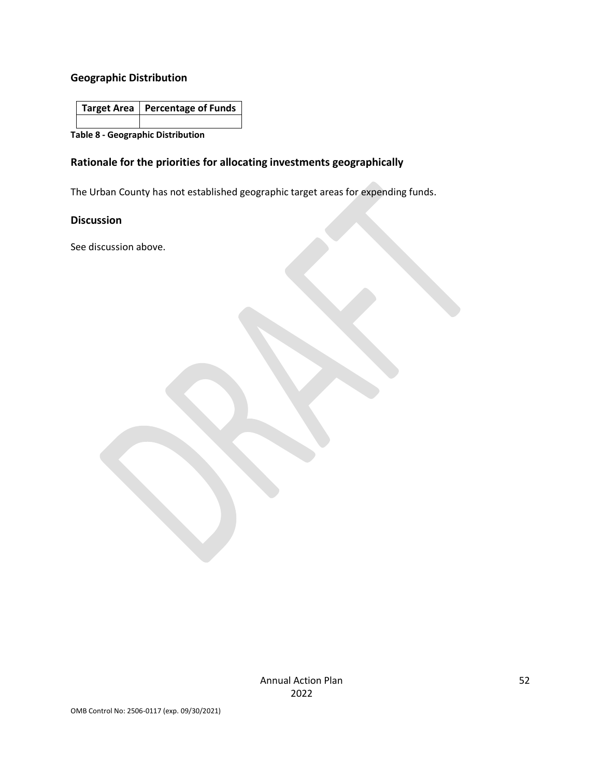# **Geographic Distribution**

| Target Area   Percentage of Funds |
|-----------------------------------|
|                                   |

**Table 8 - Geographic Distribution** 

### **Rationale for the priorities for allocating investments geographically**

The Urban County has not established geographic target areas for expending funds.

### **Discussion**

See discussion above.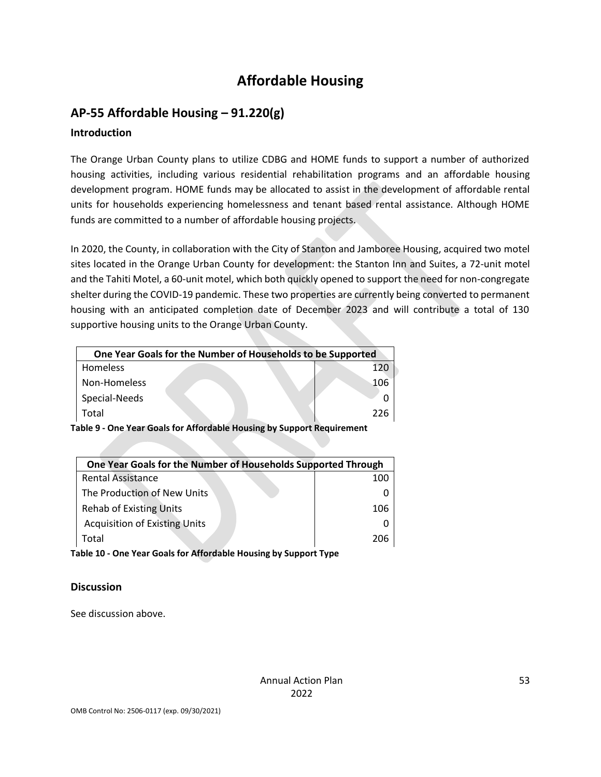# **Affordable Housing**

# **AP-55 Affordable Housing – 91.220(g)**

## **Introduction**

The Orange Urban County plans to utilize CDBG and HOME funds to support a number of authorized housing activities, including various residential rehabilitation programs and an affordable housing development program. HOME funds may be allocated to assist in the development of affordable rental units for households experiencing homelessness and tenant based rental assistance. Although HOME funds are committed to a number of affordable housing projects.

In 2020, the County, in collaboration with the City of Stanton and Jamboree Housing, acquired two motel sites located in the Orange Urban County for development: the Stanton Inn and Suites, a 72-unit motel and the Tahiti Motel, a 60-unit motel, which both quickly opened to support the need for non-congregate shelter during the COVID-19 pandemic. These two properties are currently being converted to permanent housing with an anticipated completion date of December 2023 and will contribute a total of 130 supportive housing units to the Orange Urban County.

| One Year Goals for the Number of Households to be Supported |     |
|-------------------------------------------------------------|-----|
| <b>Homeless</b>                                             | 120 |
| Non-Homeless                                                | 106 |
| Special-Needs                                               |     |
| Total                                                       | 226 |

**Table 9 - One Year Goals for Affordable Housing by Support Requirement**

| One Year Goals for the Number of Households Supported Through |     |  |
|---------------------------------------------------------------|-----|--|
| <b>Rental Assistance</b>                                      | 100 |  |
| The Production of New Units                                   |     |  |
| <b>Rehab of Existing Units</b>                                | 106 |  |
| <b>Acquisition of Existing Units</b>                          |     |  |
| Total                                                         | 706 |  |

**Table 10 - One Year Goals for Affordable Housing by Support Type**

## **Discussion**

See discussion above.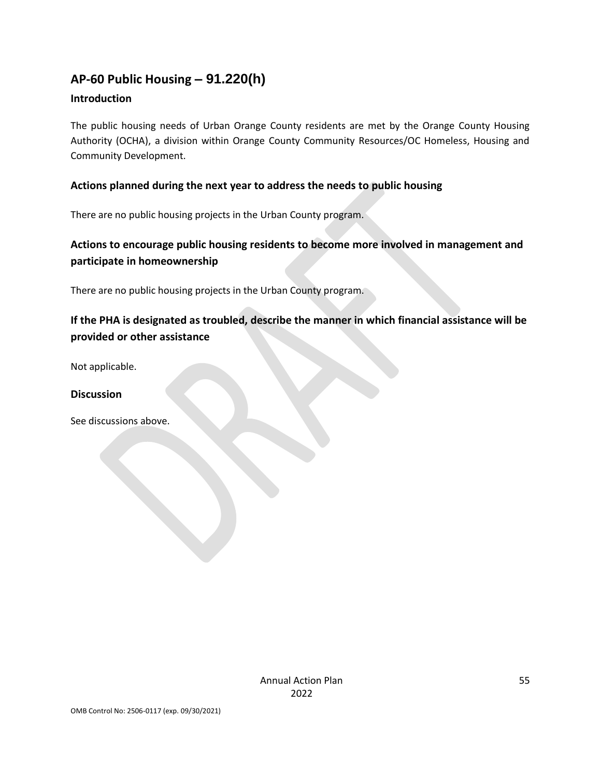# **AP-60 Public Housing** *–* **91.220(h)**

### **Introduction**

The public housing needs of Urban Orange County residents are met by the Orange County Housing Authority (OCHA), a division within Orange County Community Resources/OC Homeless, Housing and Community Development.

### **Actions planned during the next year to address the needs to public housing**

There are no public housing projects in the Urban County program.

# **Actions to encourage public housing residents to become more involved in management and participate in homeownership**

There are no public housing projects in the Urban County program.

# **If the PHA is designated as troubled, describe the manner in which financial assistance will be provided or other assistance**

Not applicable.

### **Discussion**

See discussions above.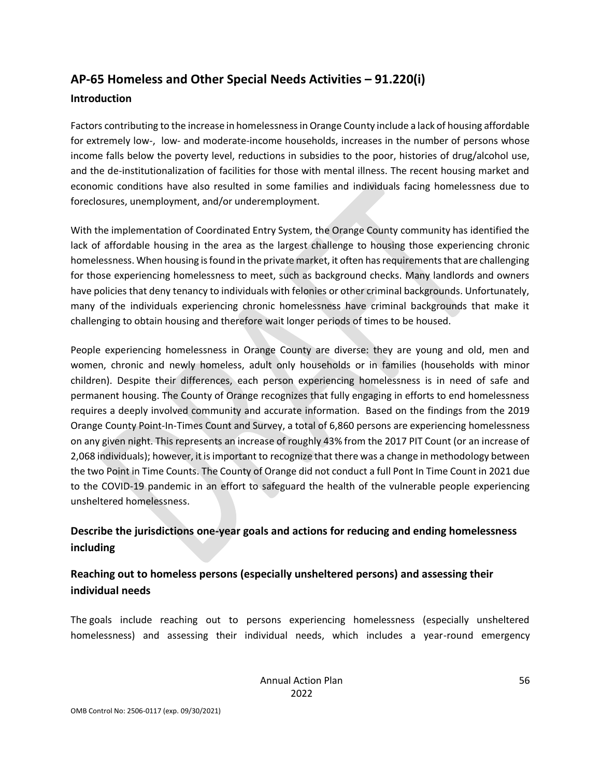# **AP-65 Homeless and Other Special Needs Activities – 91.220(i)**

#### **Introduction**

Factors contributing to the increase in homelessness in Orange County include a lack of housing affordable for extremely low-, low- and moderate-income households, increases in the number of persons whose income falls below the poverty level, reductions in subsidies to the poor, histories of drug/alcohol use, and the de-institutionalization of facilities for those with mental illness. The recent housing market and economic conditions have also resulted in some families and individuals facing homelessness due to foreclosures, unemployment, and/or underemployment.

With the implementation of Coordinated Entry System, the Orange County community has identified the lack of affordable housing in the area as the largest challenge to housing those experiencing chronic homelessness. When housing is found in the private market, it often has requirements that are challenging for those experiencing homelessness to meet, such as background checks. Many landlords and owners have policies that deny tenancy to individuals with felonies or other criminal backgrounds. Unfortunately, many of the individuals experiencing chronic homelessness have criminal backgrounds that make it challenging to obtain housing and therefore wait longer periods of times to be housed.

People experiencing homelessness in Orange County are diverse: they are young and old, men and women, chronic and newly homeless, adult only households or in families (households with minor children). Despite their differences, each person experiencing homelessness is in need of safe and permanent housing. The County of Orange recognizes that fully engaging in efforts to end homelessness requires a deeply involved community and accurate information. Based on the findings from the 2019 Orange County Point-In-Times Count and Survey, a total of 6,860 persons are experiencing homelessness on any given night. This represents an increase of roughly 43% from the 2017 PIT Count (or an increase of 2,068 individuals); however, it is important to recognize that there was a change in methodology between the two Point in Time Counts. The County of Orange did not conduct a full Pont In Time Count in 2021 due to the COVID-19 pandemic in an effort to safeguard the health of the vulnerable people experiencing unsheltered homelessness.

# **Describe the jurisdictions one-year goals and actions for reducing and ending homelessness including**

# **Reaching out to homeless persons (especially unsheltered persons) and assessing their individual needs**

The goals include reaching out to persons experiencing homelessness (especially unsheltered homelessness) and assessing their individual needs, which includes a year-round emergency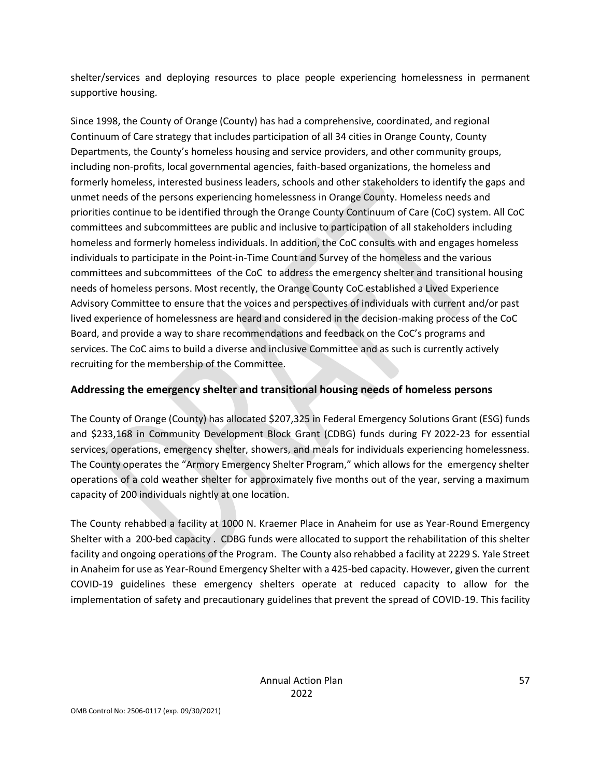shelter/services and deploying resources to place people experiencing homelessness in permanent supportive housing.

Since 1998, the County of Orange (County) has had a comprehensive, coordinated, and regional Continuum of Care strategy that includes participation of all 34 cities in Orange County, County Departments, the County's homeless housing and service providers, and other community groups, including non-profits, local governmental agencies, faith-based organizations, the homeless and formerly homeless, interested business leaders, schools and other stakeholders to identify the gaps and unmet needs of the persons experiencing homelessness in Orange County. Homeless needs and priorities continue to be identified through the Orange County Continuum of Care (CoC) system. All CoC committees and subcommittees are public and inclusive to participation of all stakeholders including homeless and formerly homeless individuals. In addition, the CoC consults with and engages homeless individuals to participate in the Point-in-Time Count and Survey of the homeless and the various committees and subcommittees of the CoC to address the emergency shelter and transitional housing needs of homeless persons. Most recently, the Orange County CoC established a Lived Experience Advisory Committee to ensure that the voices and perspectives of individuals with current and/or past lived experience of homelessness are heard and considered in the decision-making process of the CoC Board, and provide a way to share recommendations and feedback on the CoC's programs and services. The CoC aims to build a diverse and inclusive Committee and as such is currently actively recruiting for the membership of the Committee.

### **Addressing the emergency shelter and transitional housing needs of homeless persons**

The County of Orange (County) has allocated \$207,325 in Federal Emergency Solutions Grant (ESG) funds and \$233,168 in Community Development Block Grant (CDBG) funds during FY 2022-23 for essential services, operations, emergency shelter, showers, and meals for individuals experiencing homelessness. The County operates the "Armory Emergency Shelter Program," which allows for the emergency shelter operations of a cold weather shelter for approximately five months out of the year, serving a maximum capacity of 200 individuals nightly at one location.

The County rehabbed a facility at 1000 N. Kraemer Place in Anaheim for use as Year-Round Emergency Shelter with a 200-bed capacity . CDBG funds were allocated to support the rehabilitation of this shelter facility and ongoing operations of the Program. The County also rehabbed a facility at 2229 S. Yale Street in Anaheim for use as Year-Round Emergency Shelter with a 425-bed capacity. However, given the current COVID-19 guidelines these emergency shelters operate at reduced capacity to allow for the implementation of safety and precautionary guidelines that prevent the spread of COVID-19. This facility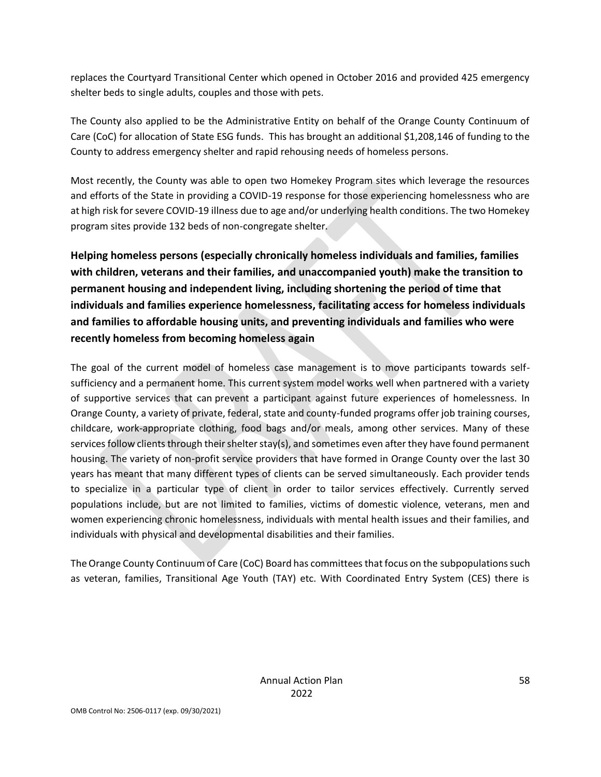replaces the Courtyard Transitional Center which opened in October 2016 and provided 425 emergency shelter beds to single adults, couples and those with pets.

The County also applied to be the Administrative Entity on behalf of the Orange County Continuum of Care (CoC) for allocation of State ESG funds. This has brought an additional \$1,208,146 of funding to the County to address emergency shelter and rapid rehousing needs of homeless persons.

Most recently, the County was able to open two Homekey Program sites which leverage the resources and efforts of the State in providing a COVID-19 response for those experiencing homelessness who are at high risk for severe COVID-19 illness due to age and/or underlying health conditions. The two Homekey program sites provide 132 beds of non-congregate shelter.

**Helping homeless persons (especially chronically homeless individuals and families, families with children, veterans and their families, and unaccompanied youth) make the transition to permanent housing and independent living, including shortening the period of time that individuals and families experience homelessness, facilitating access for homeless individuals and families to affordable housing units, and preventing individuals and families who were recently homeless from becoming homeless again**

The goal of the current model of homeless case management is to move participants towards selfsufficiency and a permanent home. This current system model works well when partnered with a variety of supportive services that can prevent a participant against future experiences of homelessness. In Orange County, a variety of private, federal, state and county-funded programs offer job training courses, childcare, work-appropriate clothing, food bags and/or meals, among other services. Many of these services follow clients through their shelter stay(s), and sometimes even after they have found permanent housing. The variety of non-profit service providers that have formed in Orange County over the last 30 years has meant that many different types of clients can be served simultaneously. Each provider tends to specialize in a particular type of client in order to tailor services effectively. Currently served populations include, but are not limited to families, victims of domestic violence, veterans, men and women experiencing chronic homelessness, individuals with mental health issues and their families, and individuals with physical and developmental disabilities and their families.

The Orange County Continuum of Care (CoC) Board has committees that focus on the subpopulations such as veteran, families, Transitional Age Youth (TAY) etc. With Coordinated Entry System (CES) there is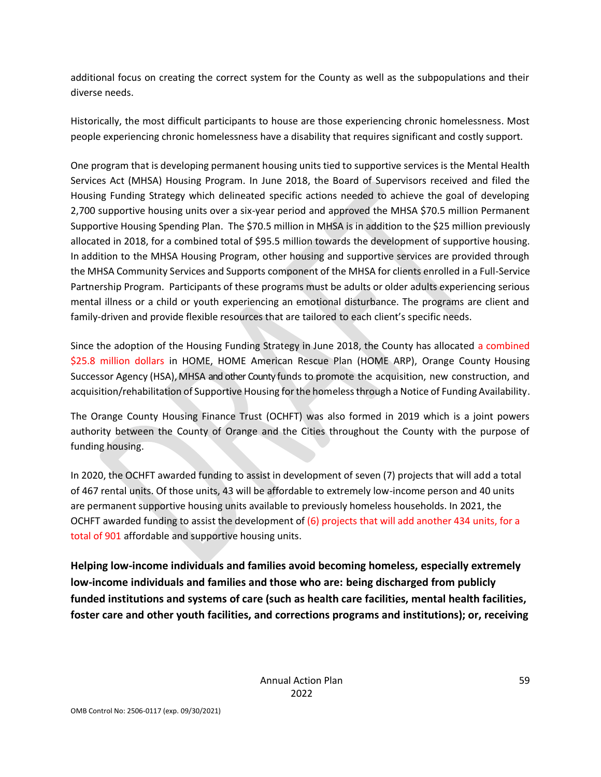additional focus on creating the correct system for the County as well as the subpopulations and their diverse needs.

Historically, the most difficult participants to house are those experiencing chronic homelessness. Most people experiencing chronic homelessness have a disability that requires significant and costly support.

One program that is developing permanent housing units tied to supportive services is the Mental Health Services Act (MHSA) Housing Program. In June 2018, the Board of Supervisors received and filed the Housing Funding Strategy which delineated specific actions needed to achieve the goal of developing 2,700 supportive housing units over a six-year period and approved the MHSA \$70.5 million Permanent Supportive Housing Spending Plan. The \$70.5 million in MHSA is in addition to the \$25 million previously allocated in 2018, for a combined total of \$95.5 million towards the development of supportive housing. In addition to the MHSA Housing Program, other housing and supportive services are provided through the MHSA Community Services and Supports component of the MHSA for clients enrolled in a Full-Service Partnership Program. Participants of these programs must be adults or older adults experiencing serious mental illness or a child or youth experiencing an emotional disturbance. The programs are client and family-driven and provide flexible resources that are tailored to each client's specific needs.

Since the adoption of the Housing Funding Strategy in June 2018, the County has allocated a combined \$25.8 million dollars in HOME, HOME American Rescue Plan (HOME ARP), Orange County Housing Successor Agency (HSA), MHSA and other County funds to promote the acquisition, new construction, and acquisition/rehabilitation of Supportive Housing for the homeless through a Notice of Funding Availability.

The Orange County Housing Finance Trust (OCHFT) was also formed in 2019 which is a joint powers authority between the County of Orange and the Cities throughout the County with the purpose of funding housing.

In 2020, the OCHFT awarded funding to assist in development of seven (7) projects that will add a total of 467 rental units. Of those units, 43 will be affordable to extremely low-income person and 40 units are permanent supportive housing units available to previously homeless households. In 2021, the OCHFT awarded funding to assist the development of  $(6)$  projects that will add another 434 units, for a total of 901 affordable and supportive housing units.

**Helping low-income individuals and families avoid becoming homeless, especially extremely low-income individuals and families and those who are: being discharged from publicly funded institutions and systems of care (such as health care facilities, mental health facilities, foster care and other youth facilities, and corrections programs and institutions); or, receiving**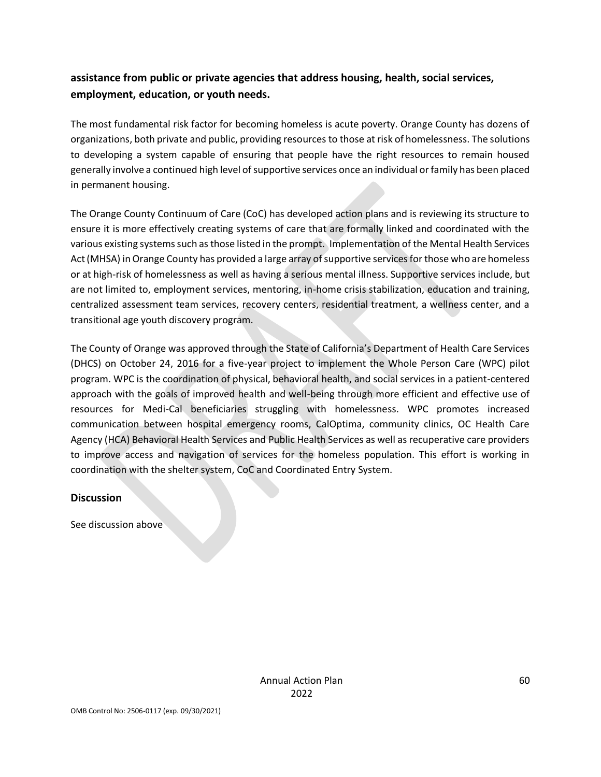# **assistance from public or private agencies that address housing, health, social services, employment, education, or youth needs.**

The most fundamental risk factor for becoming homeless is acute poverty. Orange County has dozens of organizations, both private and public, providing resources to those at risk of homelessness. The solutions to developing a system capable of ensuring that people have the right resources to remain housed generally involve a continued high level of supportive services once an individual or family has been placed in permanent housing.

The Orange County Continuum of Care (CoC) has developed action plans and is reviewing its structure to ensure it is more effectively creating systems of care that are formally linked and coordinated with the various existing systems such as those listed in the prompt. Implementation of the Mental Health Services Act (MHSA) in Orange County has provided a large array of supportive services for those who are homeless or at high-risk of homelessness as well as having a serious mental illness. Supportive services include, but are not limited to, employment services, mentoring, in-home crisis stabilization, education and training, centralized assessment team services, recovery centers, residential treatment, a wellness center, and a transitional age youth discovery program.

The County of Orange was approved through the State of California's Department of Health Care Services (DHCS) on October 24, 2016 for a five-year project to implement the Whole Person Care (WPC) pilot program. WPC is the coordination of physical, behavioral health, and social services in a patient-centered approach with the goals of improved health and well-being through more efficient and effective use of resources for Medi-Cal beneficiaries struggling with homelessness. WPC promotes increased communication between hospital emergency rooms, CalOptima, community clinics, OC Health Care Agency (HCA) Behavioral Health Services and Public Health Services as well as recuperative care providers to improve access and navigation of services for the homeless population. This effort is working in coordination with the shelter system, CoC and Coordinated Entry System.

#### **Discussion**

See discussion above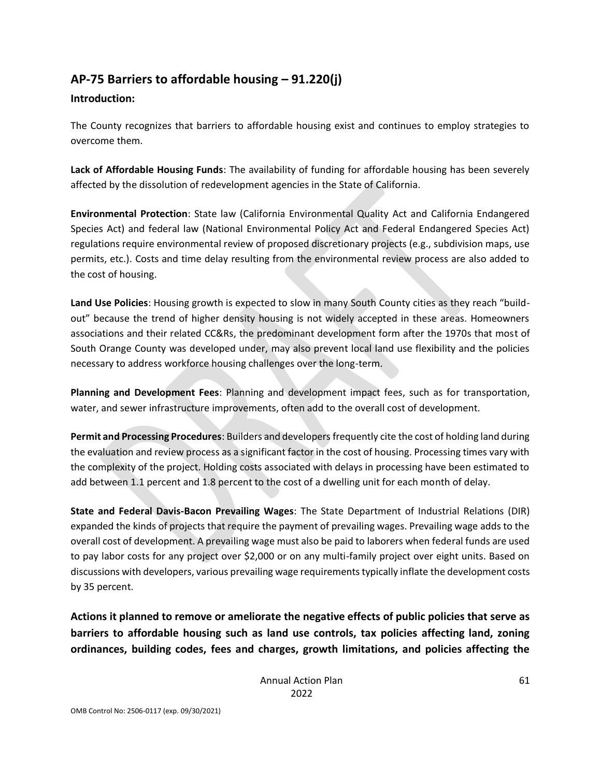# **AP-75 Barriers to affordable housing – 91.220(j)**

### **Introduction:**

The County recognizes that barriers to affordable housing exist and continues to employ strategies to overcome them.

**Lack of Affordable Housing Funds**: The availability of funding for affordable housing has been severely affected by the dissolution of redevelopment agencies in the State of California.

**Environmental Protection**: State law (California Environmental Quality Act and California Endangered Species Act) and federal law (National Environmental Policy Act and Federal Endangered Species Act) regulations require environmental review of proposed discretionary projects (e.g., subdivision maps, use permits, etc.). Costs and time delay resulting from the environmental review process are also added to the cost of housing.

**Land Use Policies**: Housing growth is expected to slow in many South County cities as they reach "buildout" because the trend of higher density housing is not widely accepted in these areas. Homeowners associations and their related CC&Rs, the predominant development form after the 1970s that most of South Orange County was developed under, may also prevent local land use flexibility and the policies necessary to address workforce housing challenges over the long-term.

**Planning and Development Fees**: Planning and development impact fees, such as for transportation, water, and sewer infrastructure improvements, often add to the overall cost of development.

**Permit and Processing Procedures**: Builders and developers frequently cite the cost of holding land during the evaluation and review process as a significant factor in the cost of housing. Processing times vary with the complexity of the project. Holding costs associated with delays in processing have been estimated to add between 1.1 percent and 1.8 percent to the cost of a dwelling unit for each month of delay.

**State and Federal Davis-Bacon Prevailing Wages**: The State Department of Industrial Relations (DIR) expanded the kinds of projects that require the payment of prevailing wages. Prevailing wage adds to the overall cost of development. A prevailing wage must also be paid to laborers when federal funds are used to pay labor costs for any project over \$2,000 or on any multi-family project over eight units. Based on discussions with developers, various prevailing wage requirements typically inflate the development costs by 35 percent.

**Actions it planned to remove or ameliorate the negative effects of public policies that serve as barriers to affordable housing such as land use controls, tax policies affecting land, zoning ordinances, building codes, fees and charges, growth limitations, and policies affecting the**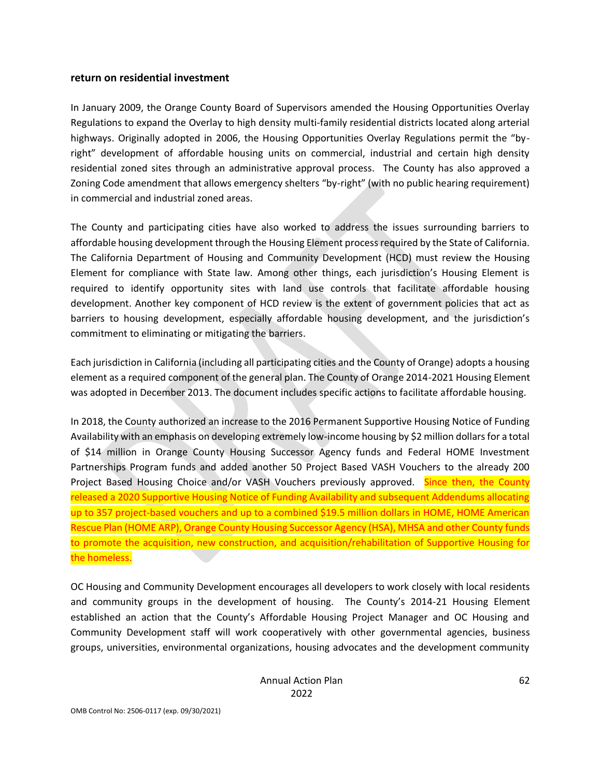#### **return on residential investment**

In January 2009, the Orange County Board of Supervisors amended the Housing Opportunities Overlay Regulations to expand the Overlay to high density multi-family residential districts located along arterial highways. Originally adopted in 2006, the Housing Opportunities Overlay Regulations permit the "byright" development of affordable housing units on commercial, industrial and certain high density residential zoned sites through an administrative approval process. The County has also approved a Zoning Code amendment that allows emergency shelters "by-right" (with no public hearing requirement) in commercial and industrial zoned areas.

The County and participating cities have also worked to address the issues surrounding barriers to affordable housing development through the Housing Element process required by the State of California. The California Department of Housing and Community Development (HCD) must review the Housing Element for compliance with State law. Among other things, each jurisdiction's Housing Element is required to identify opportunity sites with land use controls that facilitate affordable housing development. Another key component of HCD review is the extent of government policies that act as barriers to housing development, especially affordable housing development, and the jurisdiction's commitment to eliminating or mitigating the barriers.

Each jurisdiction in California (including all participating cities and the County of Orange) adopts a housing element as a required component of the general plan. The County of Orange 2014-2021 Housing Element was adopted in December 2013. The document includes specific actions to facilitate affordable housing.

In 2018, the County authorized an increase to the 2016 Permanent Supportive Housing Notice of Funding Availability with an emphasis on developing extremely low-income housing by \$2 million dollars for a total of \$14 million in Orange County Housing Successor Agency funds and Federal HOME Investment Partnerships Program funds and added another 50 Project Based VASH Vouchers to the already 200 Project Based Housing Choice and/or VASH Vouchers previously approved. Since then, the County released a 2020 Supportive Housing Notice of Funding Availability and subsequent Addendums allocating up to 357 project-based vouchers and up to a combined \$19.5 million dollars in HOME, HOME American Rescue Plan (HOME ARP), Orange County Housing Successor Agency (HSA), MHSA and other County funds to promote the acquisition, new construction, and acquisition/rehabilitation of Supportive Housing for the homeless.

OC Housing and Community Development encourages all developers to work closely with local residents and community groups in the development of housing. The County's 2014-21 Housing Element established an action that the County's Affordable Housing Project Manager and OC Housing and Community Development staff will work cooperatively with other governmental agencies, business groups, universities, environmental organizations, housing advocates and the development community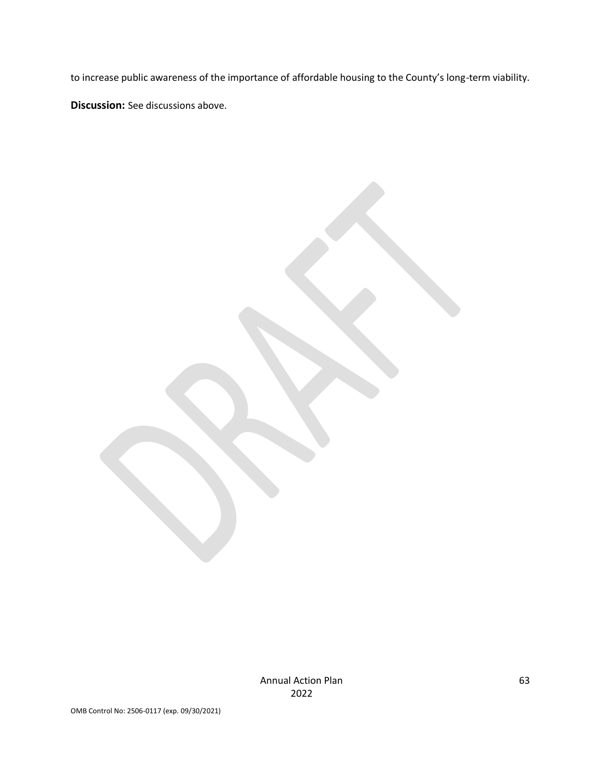to increase public awareness of the importance of affordable housing to the County's long-term viability. **Discussion:** See discussions above.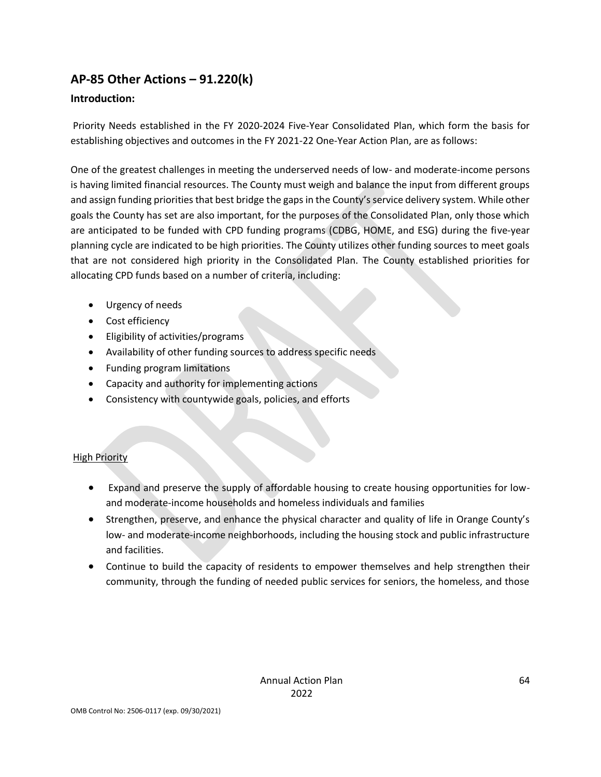# **AP-85 Other Actions – 91.220(k)**

### **Introduction:**

Priority Needs established in the FY 2020-2024 Five-Year Consolidated Plan, which form the basis for establishing objectives and outcomes in the FY 2021-22 One-Year Action Plan, are as follows:

One of the greatest challenges in meeting the underserved needs of low- and moderate-income persons is having limited financial resources. The County must weigh and balance the input from different groups and assign funding priorities that best bridge the gaps in the County's service delivery system. While other goals the County has set are also important, for the purposes of the Consolidated Plan, only those which are anticipated to be funded with CPD funding programs (CDBG, HOME, and ESG) during the five-year planning cycle are indicated to be high priorities. The County utilizes other funding sources to meet goals that are not considered high priority in the Consolidated Plan. The County established priorities for allocating CPD funds based on a number of criteria, including:

- Urgency of needs
- Cost efficiency
- Eligibility of activities/programs
- Availability of other funding sources to address specific needs
- Funding program limitations
- Capacity and authority for implementing actions
- Consistency with countywide goals, policies, and efforts

## **High Priority**

- Expand and preserve the supply of affordable housing to create housing opportunities for lowand moderate-income households and homeless individuals and families
- Strengthen, preserve, and enhance the physical character and quality of life in Orange County's low- and moderate-income neighborhoods, including the housing stock and public infrastructure and facilities.
- Continue to build the capacity of residents to empower themselves and help strengthen their community, through the funding of needed public services for seniors, the homeless, and those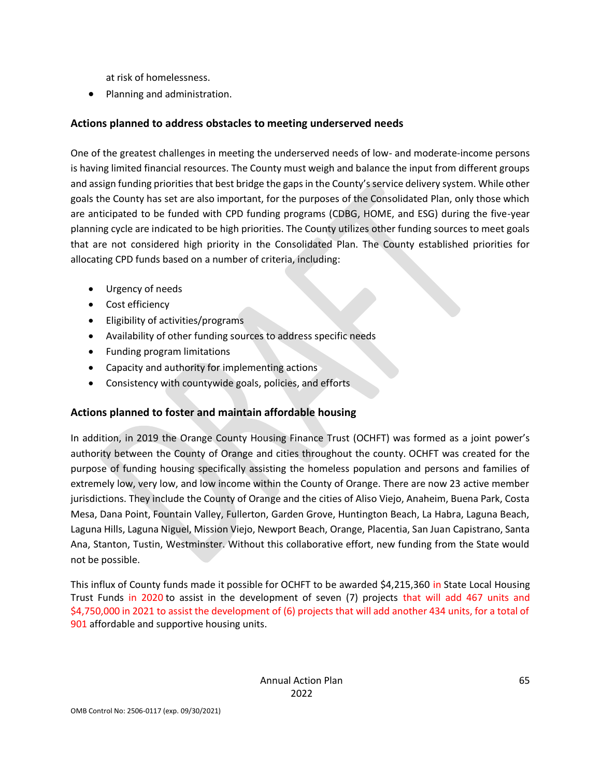at risk of homelessness.

• Planning and administration.

### **Actions planned to address obstacles to meeting underserved needs**

One of the greatest challenges in meeting the underserved needs of low- and moderate-income persons is having limited financial resources. The County must weigh and balance the input from different groups and assign funding priorities that best bridge the gaps in the County's service delivery system. While other goals the County has set are also important, for the purposes of the Consolidated Plan, only those which are anticipated to be funded with CPD funding programs (CDBG, HOME, and ESG) during the five-year planning cycle are indicated to be high priorities. The County utilizes other funding sources to meet goals that are not considered high priority in the Consolidated Plan. The County established priorities for allocating CPD funds based on a number of criteria, including:

- Urgency of needs
- Cost efficiency
- Eligibility of activities/programs
- Availability of other funding sources to address specific needs
- Funding program limitations
- Capacity and authority for implementing actions
- Consistency with countywide goals, policies, and efforts

### **Actions planned to foster and maintain affordable housing**

In addition, in 2019 the Orange County Housing Finance Trust (OCHFT) was formed as a joint power's authority between the County of Orange and cities throughout the county. OCHFT was created for the purpose of funding housing specifically assisting the homeless population and persons and families of extremely low, very low, and low income within the County of Orange. There are now 23 active member jurisdictions. They include the County of Orange and the cities of Aliso Viejo, Anaheim, Buena Park, Costa Mesa, Dana Point, Fountain Valley, Fullerton, Garden Grove, Huntington Beach, La Habra, Laguna Beach, Laguna Hills, Laguna Niguel, Mission Viejo, Newport Beach, Orange, Placentia, San Juan Capistrano, Santa Ana, Stanton, Tustin, Westminster. Without this collaborative effort, new funding from the State would not be possible.

This influx of County funds made it possible for OCHFT to be awarded \$4,215,360 in State Local Housing Trust Funds in 2020 to assist in the development of seven (7) projects that will add 467 units and \$4,750,000 in 2021 to assist the development of (6) projects that will add another 434 units, for a total of 901 affordable and supportive housing units.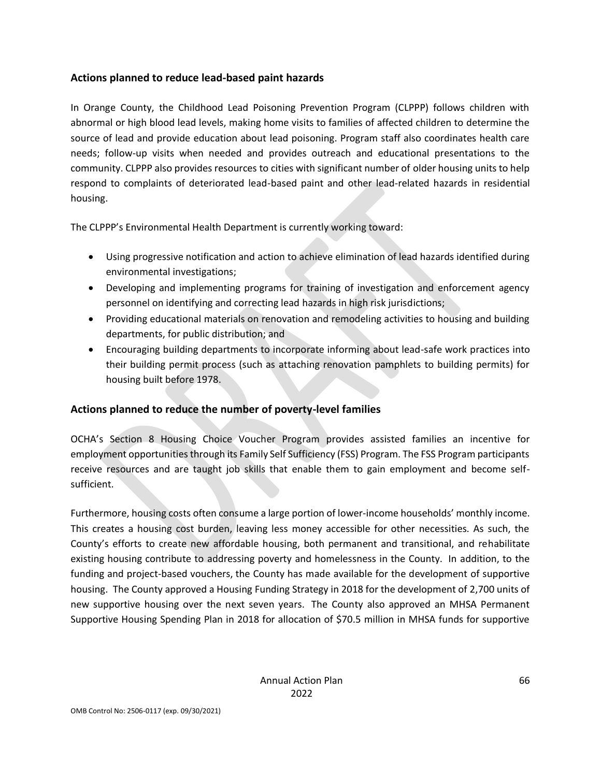### **Actions planned to reduce lead-based paint hazards**

In Orange County, the Childhood Lead Poisoning Prevention Program (CLPPP) follows children with abnormal or high blood lead levels, making home visits to families of affected children to determine the source of lead and provide education about lead poisoning. Program staff also coordinates health care needs; follow-up visits when needed and provides outreach and educational presentations to the community. CLPPP also provides resources to cities with significant number of older housing units to help respond to complaints of deteriorated lead-based paint and other lead-related hazards in residential housing.

The CLPPP's Environmental Health Department is currently working toward:

- Using progressive notification and action to achieve elimination of lead hazards identified during environmental investigations;
- Developing and implementing programs for training of investigation and enforcement agency personnel on identifying and correcting lead hazards in high risk jurisdictions;
- Providing educational materials on renovation and remodeling activities to housing and building departments, for public distribution; and
- Encouraging building departments to incorporate informing about lead-safe work practices into their building permit process (such as attaching renovation pamphlets to building permits) for housing built before 1978.

### **Actions planned to reduce the number of poverty-level families**

OCHA's Section 8 Housing Choice Voucher Program provides assisted families an incentive for employment opportunities through its Family Self Sufficiency (FSS) Program. The FSS Program participants receive resources and are taught job skills that enable them to gain employment and become selfsufficient.

Furthermore, housing costs often consume a large portion of lower-income households' monthly income. This creates a housing cost burden, leaving less money accessible for other necessities. As such, the County's efforts to create new affordable housing, both permanent and transitional, and rehabilitate existing housing contribute to addressing poverty and homelessness in the County. In addition, to the funding and project-based vouchers, the County has made available for the development of supportive housing. The County approved a Housing Funding Strategy in 2018 for the development of 2,700 units of new supportive housing over the next seven years. The County also approved an MHSA Permanent Supportive Housing Spending Plan in 2018 for allocation of \$70.5 million in MHSA funds for supportive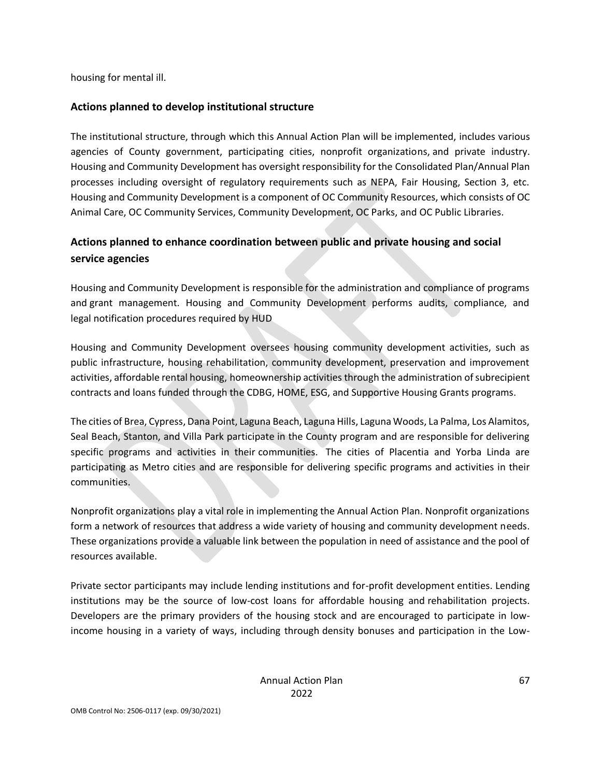housing for mental ill.

### **Actions planned to develop institutional structure**

The institutional structure, through which this Annual Action Plan will be implemented, includes various agencies of County government, participating cities, nonprofit organizations, and private industry. Housing and Community Development has oversight responsibility for the Consolidated Plan/Annual Plan processes including oversight of regulatory requirements such as NEPA, Fair Housing, Section 3, etc. Housing and Community Development is a component of OC Community Resources, which consists of OC Animal Care, OC Community Services, Community Development, OC Parks, and OC Public Libraries.

# **Actions planned to enhance coordination between public and private housing and social service agencies**

Housing and Community Development is responsible for the administration and compliance of programs and grant management. Housing and Community Development performs audits, compliance, and legal notification procedures required by HUD

Housing and Community Development oversees housing community development activities, such as public infrastructure, housing rehabilitation, community development, preservation and improvement activities, affordable rental housing, homeownership activities through the administration of subrecipient contracts and loans funded through the CDBG, HOME, ESG, and Supportive Housing Grants programs.

The cities of Brea, Cypress, Dana Point, Laguna Beach, Laguna Hills, Laguna Woods, La Palma, Los Alamitos, Seal Beach, Stanton, and Villa Park participate in the County program and are responsible for delivering specific programs and activities in their communities. The cities of Placentia and Yorba Linda are participating as Metro cities and are responsible for delivering specific programs and activities in their communities.

Nonprofit organizations play a vital role in implementing the Annual Action Plan. Nonprofit organizations form a network of resources that address a wide variety of housing and community development needs. These organizations provide a valuable link between the population in need of assistance and the pool of resources available.

Private sector participants may include lending institutions and for-profit development entities. Lending institutions may be the source of low-cost loans for affordable housing and rehabilitation projects. Developers are the primary providers of the housing stock and are encouraged to participate in lowincome housing in a variety of ways, including through density bonuses and participation in the Low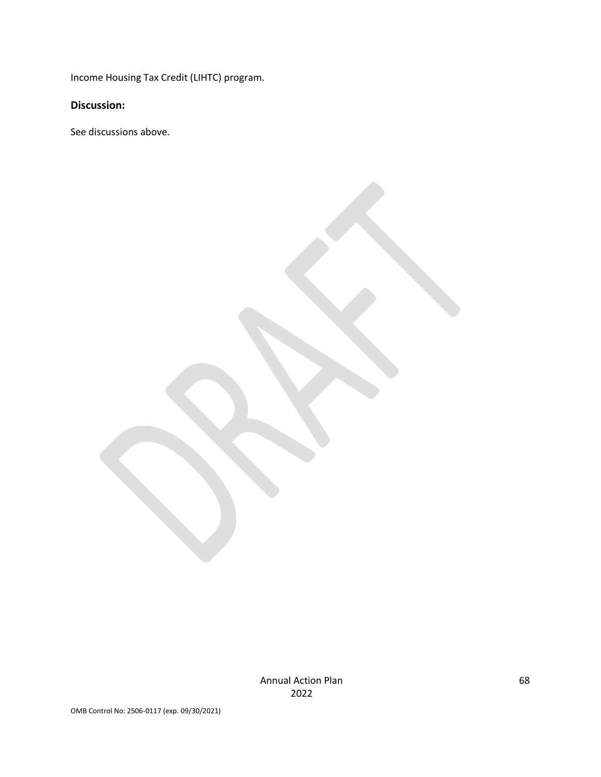Income Housing Tax Credit (LIHTC) program.

**Discussion:** 

See discussions above.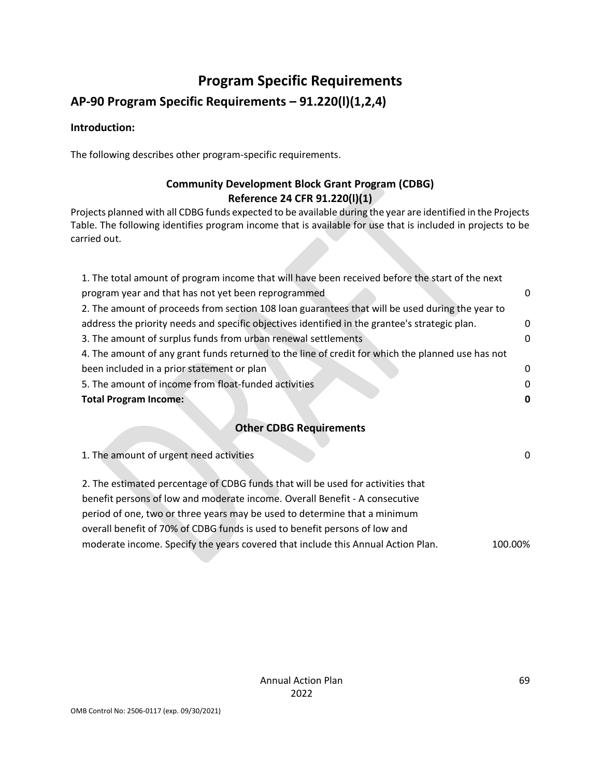# **Program Specific Requirements**

# **AP-90 Program Specific Requirements – 91.220(l)(1,2,4)**

### **Introduction:**

The following describes other program-specific requirements.

# **Community Development Block Grant Program (CDBG) Reference 24 CFR 91.220(l)(1)**

Projects planned with all CDBG funds expected to be available during the year are identified in the Projects Table. The following identifies program income that is available for use that is included in projects to be carried out.

| 1. The total amount of program income that will have been received before the start of the next   |          |
|---------------------------------------------------------------------------------------------------|----------|
| program year and that has not yet been reprogrammed                                               | 0        |
| 2. The amount of proceeds from section 108 loan guarantees that will be used during the year to   |          |
| address the priority needs and specific objectives identified in the grantee's strategic plan.    | 0        |
| 3. The amount of surplus funds from urban renewal settlements                                     | 0        |
| 4. The amount of any grant funds returned to the line of credit for which the planned use has not |          |
| been included in a prior statement or plan                                                        | 0        |
| 5. The amount of income from float-funded activities                                              | $\Omega$ |
| <b>Total Program Income:</b>                                                                      | 0        |
|                                                                                                   |          |

# **Other CDBG Requirements**

| 1. The amount of urgent need activities                                          | 0       |
|----------------------------------------------------------------------------------|---------|
| 2. The estimated percentage of CDBG funds that will be used for activities that  |         |
| benefit persons of low and moderate income. Overall Benefit - A consecutive      |         |
| period of one, two or three years may be used to determine that a minimum        |         |
| overall benefit of 70% of CDBG funds is used to benefit persons of low and       |         |
| moderate income. Specify the years covered that include this Annual Action Plan. | 100.00% |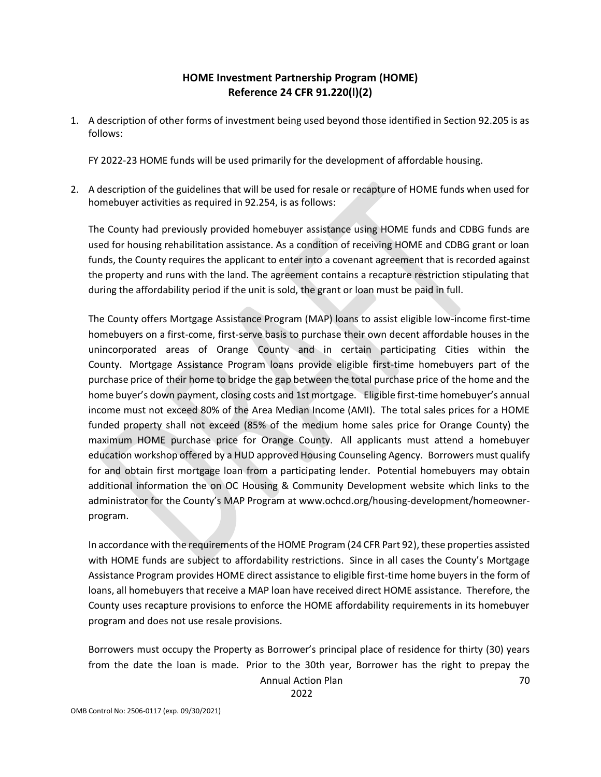## **HOME Investment Partnership Program (HOME) Reference 24 CFR 91.220(l)(2)**

1. A description of other forms of investment being used beyond those identified in Section 92.205 is as follows:

FY 2022-23 HOME funds will be used primarily for the development of affordable housing.

2. A description of the guidelines that will be used for resale or recapture of HOME funds when used for homebuyer activities as required in 92.254, is as follows:

The County had previously provided homebuyer assistance using HOME funds and CDBG funds are used for housing rehabilitation assistance. As a condition of receiving HOME and CDBG grant or loan funds, the County requires the applicant to enter into a covenant agreement that is recorded against the property and runs with the land. The agreement contains a recapture restriction stipulating that during the affordability period if the unit is sold, the grant or loan must be paid in full.

The County offers Mortgage Assistance Program (MAP) loans to assist eligible low-income first-time homebuyers on a first-come, first-serve basis to purchase their own decent affordable houses in the unincorporated areas of Orange County and in certain participating Cities within the County. Mortgage Assistance Program loans provide eligible first-time homebuyers part of the purchase price of their home to bridge the gap between the total purchase price of the home and the home buyer's down payment, closing costs and 1st mortgage. Eligible first-time homebuyer's annual income must not exceed 80% of the Area Median Income (AMI). The total sales prices for a HOME funded property shall not exceed (85% of the medium home sales price for Orange County) the maximum HOME purchase price for Orange County. All applicants must attend a homebuyer education workshop offered by a HUD approved Housing Counseling Agency. Borrowers must qualify for and obtain first mortgage loan from a participating lender. Potential homebuyers may obtain additional information the on OC Housing & Community Development website which links to the administrator for the County's MAP Program at www.ochcd.org/housing-development/homeownerprogram.

In accordance with the requirements of the HOME Program (24 CFR Part 92), these properties assisted with HOME funds are subject to affordability restrictions. Since in all cases the County's Mortgage Assistance Program provides HOME direct assistance to eligible first-time home buyers in the form of loans, all homebuyers that receive a MAP loan have received direct HOME assistance. Therefore, the County uses recapture provisions to enforce the HOME affordability requirements in its homebuyer program and does not use resale provisions.

Annual Action Plan 70 Borrowers must occupy the Property as Borrower's principal place of residence for thirty (30) years from the date the loan is made. Prior to the 30th year, Borrower has the right to prepay the

2022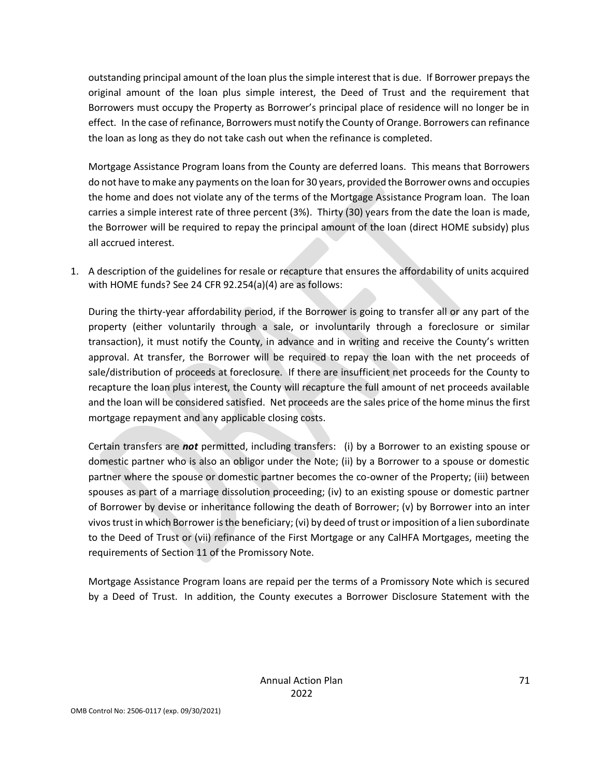outstanding principal amount of the loan plus the simple interest that is due. If Borrower prepays the original amount of the loan plus simple interest, the Deed of Trust and the requirement that Borrowers must occupy the Property as Borrower's principal place of residence will no longer be in effect. In the case of refinance, Borrowers must notify the County of Orange. Borrowers can refinance the loan as long as they do not take cash out when the refinance is completed.

Mortgage Assistance Program loans from the County are deferred loans. This means that Borrowers do not have to make any payments on the loan for 30 years, provided the Borrower owns and occupies the home and does not violate any of the terms of the Mortgage Assistance Program loan. The loan carries a simple interest rate of three percent (3%). Thirty (30) years from the date the loan is made, the Borrower will be required to repay the principal amount of the loan (direct HOME subsidy) plus all accrued interest.

1. A description of the guidelines for resale or recapture that ensures the affordability of units acquired with HOME funds? See 24 CFR 92.254(a)(4) are as follows:

During the thirty-year affordability period, if the Borrower is going to transfer all or any part of the property (either voluntarily through a sale, or involuntarily through a foreclosure or similar transaction), it must notify the County, in advance and in writing and receive the County's written approval. At transfer, the Borrower will be required to repay the loan with the net proceeds of sale/distribution of proceeds at foreclosure. If there are insufficient net proceeds for the County to recapture the loan plus interest, the County will recapture the full amount of net proceeds available and the loan will be considered satisfied. Net proceeds are the sales price of the home minus the first mortgage repayment and any applicable closing costs.

Certain transfers are *not* permitted, including transfers: (i) by a Borrower to an existing spouse or domestic partner who is also an obligor under the Note; (ii) by a Borrower to a spouse or domestic partner where the spouse or domestic partner becomes the co-owner of the Property; (iii) between spouses as part of a marriage dissolution proceeding; (iv) to an existing spouse or domestic partner of Borrower by devise or inheritance following the death of Borrower; (v) by Borrower into an inter vivos trust in which Borrower is the beneficiary; (vi) by deed of trust or imposition of a lien subordinate to the Deed of Trust or (vii) refinance of the First Mortgage or any CalHFA Mortgages, meeting the requirements of Section 11 of the Promissory Note.

Mortgage Assistance Program loans are repaid per the terms of a Promissory Note which is secured by a Deed of Trust. In addition, the County executes a Borrower Disclosure Statement with the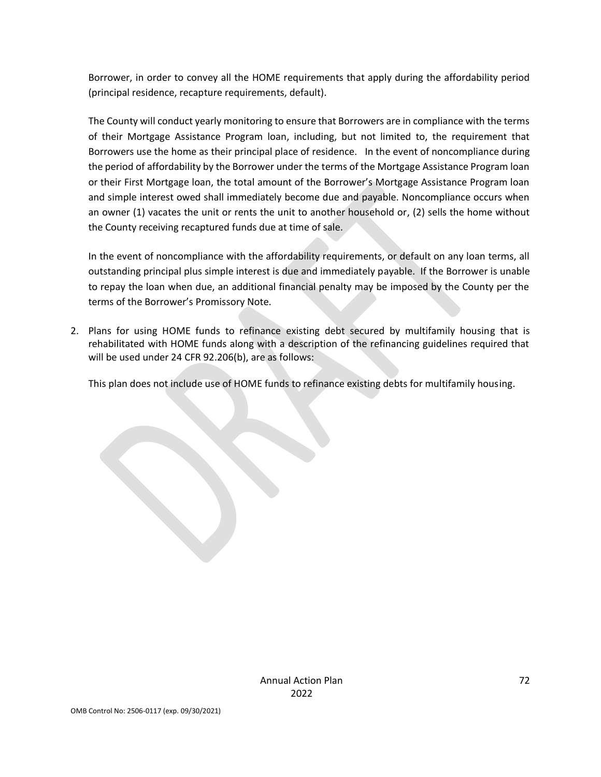Borrower, in order to convey all the HOME requirements that apply during the affordability period (principal residence, recapture requirements, default).

The County will conduct yearly monitoring to ensure that Borrowers are in compliance with the terms of their Mortgage Assistance Program loan, including, but not limited to, the requirement that Borrowers use the home as their principal place of residence. In the event of noncompliance during the period of affordability by the Borrower under the terms of the Mortgage Assistance Program loan or their First Mortgage loan, the total amount of the Borrower's Mortgage Assistance Program loan and simple interest owed shall immediately become due and payable. Noncompliance occurs when an owner (1) vacates the unit or rents the unit to another household or, (2) sells the home without the County receiving recaptured funds due at time of sale.

In the event of noncompliance with the affordability requirements, or default on any loan terms, all outstanding principal plus simple interest is due and immediately payable. If the Borrower is unable to repay the loan when due, an additional financial penalty may be imposed by the County per the terms of the Borrower's Promissory Note.

2. Plans for using HOME funds to refinance existing debt secured by multifamily housing that is rehabilitated with HOME funds along with a description of the refinancing guidelines required that will be used under 24 CFR 92.206(b), are as follows:

This plan does not include use of HOME funds to refinance existing debts for multifamily housing.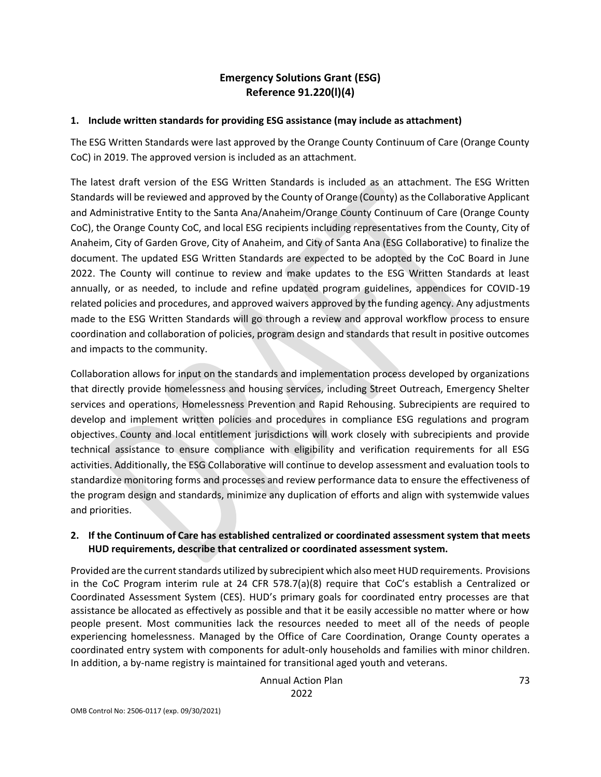## **Emergency Solutions Grant (ESG) Reference 91.220(l)(4)**

## **1. Include written standards for providing ESG assistance (may include as attachment)**

The ESG Written Standards were last approved by the Orange County Continuum of Care (Orange County CoC) in 2019. The approved version is included as an attachment.

The latest draft version of the ESG Written Standards is included as an attachment. The ESG Written Standards will be reviewed and approved by the County of Orange (County) as the Collaborative Applicant and Administrative Entity to the Santa Ana/Anaheim/Orange County Continuum of Care (Orange County CoC), the Orange County CoC, and local ESG recipients including representatives from the County, City of Anaheim, City of Garden Grove, City of Anaheim, and City of Santa Ana (ESG Collaborative) to finalize the document. The updated ESG Written Standards are expected to be adopted by the CoC Board in June 2022. The County will continue to review and make updates to the ESG Written Standards at least annually, or as needed, to include and refine updated program guidelines, appendices for COVID-19 related policies and procedures, and approved waivers approved by the funding agency. Any adjustments made to the ESG Written Standards will go through a review and approval workflow process to ensure coordination and collaboration of policies, program design and standards that result in positive outcomes and impacts to the community.

Collaboration allows for input on the standards and implementation process developed by organizations that directly provide homelessness and housing services, including Street Outreach, Emergency Shelter services and operations, Homelessness Prevention and Rapid Rehousing. Subrecipients are required to develop and implement written policies and procedures in compliance ESG regulations and program objectives. County and local entitlement jurisdictions will work closely with subrecipients and provide technical assistance to ensure compliance with eligibility and verification requirements for all ESG activities. Additionally, the ESG Collaborative will continue to develop assessment and evaluation tools to standardize monitoring forms and processes and review performance data to ensure the effectiveness of the program design and standards, minimize any duplication of efforts and align with systemwide values and priorities.

## **2. If the Continuum of Care has established centralized or coordinated assessment system that meets HUD requirements, describe that centralized or coordinated assessment system.**

Provided are the current standards utilized by subrecipient which also meet HUD requirements. Provisions in the CoC Program interim rule at 24 CFR 578.7(a)(8) require that CoC's establish a Centralized or Coordinated Assessment System (CES). HUD's primary goals for coordinated entry processes are that assistance be allocated as effectively as possible and that it be easily accessible no matter where or how people present. Most communities lack the resources needed to meet all of the needs of people experiencing homelessness. Managed by the Office of Care Coordination, Orange County operates a coordinated entry system with components for adult-only households and families with minor children. In addition, a by-name registry is maintained for transitional aged youth and veterans.

> Annual Action Plan 2022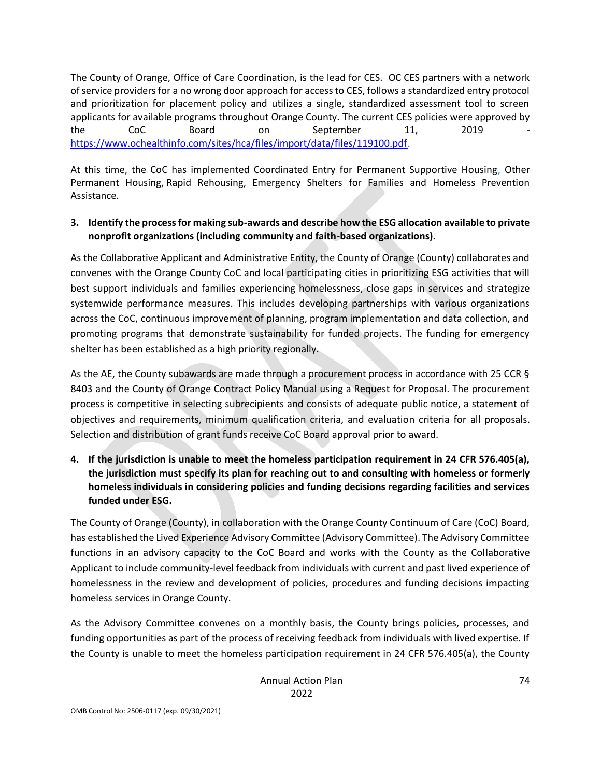The County of Orange, Office of Care Coordination, is the lead for CES. OC CES partners with a network of service providers for a no wrong door approach for access to CES, follows a standardized entry protocol and prioritization for placement policy and utilizes a single, standardized assessment tool to screen applicants for available programs throughout Orange County. The current CES policies were approved by the CoC Board on September 11, 2019 [https://www.ochealthinfo.com/sites/hca/files/import/data/files/119100.pdf.](https://gcc02.safelinks.protection.outlook.com/?url=https%3A%2F%2Fwww.ochealthinfo.com%2Fsites%2Fhca%2Ffiles%2Fimport%2Fdata%2Ffiles%2F119100.pdf%25E2%2580%258B&data=04%7C01%7CCraig.Fee%40occr.ocgov.com%7Cc2170a5527b843729beb08da08fca140%7Ce4449a56cd3d40baae3225a63deaab3b%7C0%7C0%7C637832178551990392%7CUnknown%7CTWFpbGZsb3d8eyJWIjoiMC4wLjAwMDAiLCJQIjoiV2luMzIiLCJBTiI6Ik1haWwiLCJXVCI6Mn0%3D%7C3000&sdata=sHrBZ21i8jvumahGaunBYM3PnMa%2BRwyU%2Bjeb2ilBkEE%3D&reserved=0)

At this time, the CoC has implemented Coordinated Entry for Permanent Supportive Housing, Other Permanent Housing, Rapid Rehousing, Emergency Shelters for Families and Homeless Prevention Assistance.

## **3. Identify the process for making sub-awards and describe how the ESG allocation available to private nonprofit organizations (including community and faith-based organizations).**

As the Collaborative Applicant and Administrative Entity, the County of Orange (County) collaborates and convenes with the Orange County CoC and local participating cities in prioritizing ESG activities that will best support individuals and families experiencing homelessness, close gaps in services and strategize systemwide performance measures. This includes developing partnerships with various organizations across the CoC, continuous improvement of planning, program implementation and data collection, and promoting programs that demonstrate sustainability for funded projects. The funding for emergency shelter has been established as a high priority regionally.

As the AE, the County subawards are made through a procurement process in accordance with 25 CCR § 8403 and the County of Orange Contract Policy Manual using a Request for Proposal. The procurement process is competitive in selecting subrecipients and consists of adequate public notice, a statement of objectives and requirements, minimum qualification criteria, and evaluation criteria for all proposals. Selection and distribution of grant funds receive CoC Board approval prior to award.

**4. If the jurisdiction is unable to meet the homeless participation requirement in 24 CFR 576.405(a), the jurisdiction must specify its plan for reaching out to and consulting with homeless or formerly homeless individuals in considering policies and funding decisions regarding facilities and services funded under ESG.** 

The County of Orange (County), in collaboration with the Orange County Continuum of Care (CoC) Board, has established the Lived Experience Advisory Committee (Advisory Committee). The Advisory Committee functions in an advisory capacity to the CoC Board and works with the County as the Collaborative Applicant to include community-level feedback from individuals with current and past lived experience of homelessness in the review and development of policies, procedures and funding decisions impacting homeless services in Orange County.

As the Advisory Committee convenes on a monthly basis, the County brings policies, processes, and funding opportunities as part of the process of receiving feedback from individuals with lived expertise. If the County is unable to meet the homeless participation requirement in 24 CFR 576.405(a), the County